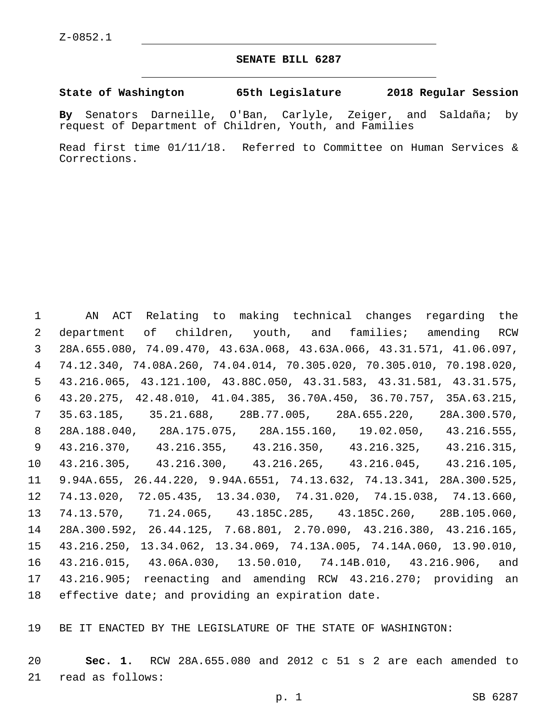## **SENATE BILL 6287**

**State of Washington 65th Legislature 2018 Regular Session**

**By** Senators Darneille, O'Ban, Carlyle, Zeiger, and Saldaña; by request of Department of Children, Youth, and Families

Read first time 01/11/18. Referred to Committee on Human Services & Corrections.

 AN ACT Relating to making technical changes regarding the department of children, youth, and families; amending RCW 28A.655.080, 74.09.470, 43.63A.068, 43.63A.066, 43.31.571, 41.06.097, 74.12.340, 74.08A.260, 74.04.014, 70.305.020, 70.305.010, 70.198.020, 43.216.065, 43.121.100, 43.88C.050, 43.31.583, 43.31.581, 43.31.575, 43.20.275, 42.48.010, 41.04.385, 36.70A.450, 36.70.757, 35A.63.215, 35.63.185, 35.21.688, 28B.77.005, 28A.655.220, 28A.300.570, 28A.188.040, 28A.175.075, 28A.155.160, 19.02.050, 43.216.555, 43.216.370, 43.216.355, 43.216.350, 43.216.325, 43.216.315, 43.216.305, 43.216.300, 43.216.265, 43.216.045, 43.216.105, 9.94A.655, 26.44.220, 9.94A.6551, 74.13.632, 74.13.341, 28A.300.525, 74.13.020, 72.05.435, 13.34.030, 74.31.020, 74.15.038, 74.13.660, 74.13.570, 71.24.065, 43.185C.285, 43.185C.260, 28B.105.060, 28A.300.592, 26.44.125, 7.68.801, 2.70.090, 43.216.380, 43.216.165, 43.216.250, 13.34.062, 13.34.069, 74.13A.005, 74.14A.060, 13.90.010, 43.216.015, 43.06A.030, 13.50.010, 74.14B.010, 43.216.906, and 43.216.905; reenacting and amending RCW 43.216.270; providing an effective date; and providing an expiration date.

BE IT ENACTED BY THE LEGISLATURE OF THE STATE OF WASHINGTON:

 **Sec. 1.** RCW 28A.655.080 and 2012 c 51 s 2 are each amended to 21 read as follows: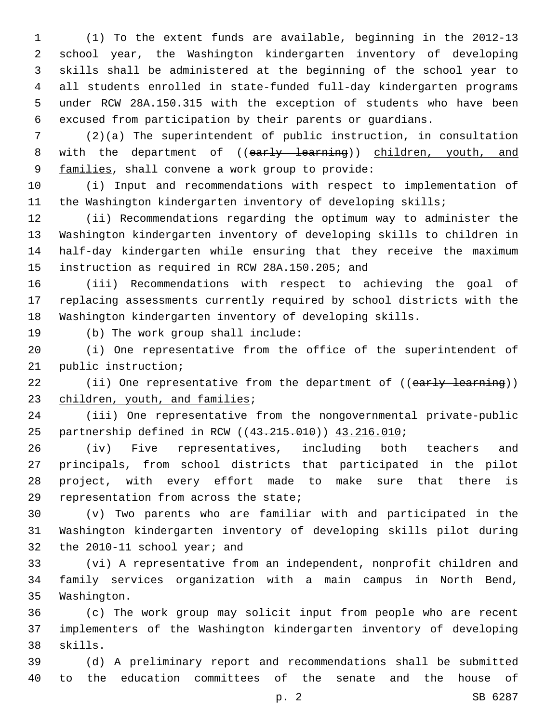(1) To the extent funds are available, beginning in the 2012-13 school year, the Washington kindergarten inventory of developing skills shall be administered at the beginning of the school year to all students enrolled in state-funded full-day kindergarten programs under RCW 28A.150.315 with the exception of students who have been excused from participation by their parents or guardians.

 (2)(a) The superintendent of public instruction, in consultation 8 with the department of ((early learning)) children, youth, and 9 families, shall convene a work group to provide:

 (i) Input and recommendations with respect to implementation of the Washington kindergarten inventory of developing skills;

 (ii) Recommendations regarding the optimum way to administer the Washington kindergarten inventory of developing skills to children in half-day kindergarten while ensuring that they receive the maximum 15 instruction as required in RCW 28A.150.205; and

 (iii) Recommendations with respect to achieving the goal of replacing assessments currently required by school districts with the Washington kindergarten inventory of developing skills.

19 (b) The work group shall include:

 (i) One representative from the office of the superintendent of 21 public instruction;

22 (ii) One representative from the department of ((early learning)) 23 children, youth, and families;

 (iii) One representative from the nongovernmental private-public 25 partnership defined in RCW ((43.215.010)) 43.216.010;

 (iv) Five representatives, including both teachers and principals, from school districts that participated in the pilot project, with every effort made to make sure that there is 29 representation from across the state;

 (v) Two parents who are familiar with and participated in the Washington kindergarten inventory of developing skills pilot during 32 the 2010-11 school year; and

 (vi) A representative from an independent, nonprofit children and family services organization with a main campus in North Bend, 35 Washington.

 (c) The work group may solicit input from people who are recent implementers of the Washington kindergarten inventory of developing 38 skills.

 (d) A preliminary report and recommendations shall be submitted to the education committees of the senate and the house of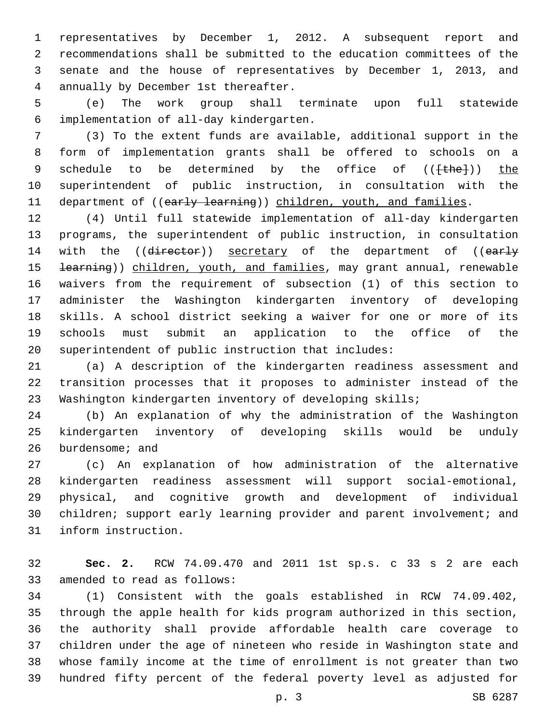representatives by December 1, 2012. A subsequent report and recommendations shall be submitted to the education committees of the senate and the house of representatives by December 1, 2013, and annually by December 1st thereafter.4

 (e) The work group shall terminate upon full statewide implementation of all-day kindergarten.6

 (3) To the extent funds are available, additional support in the form of implementation grants shall be offered to schools on a 9 schedule to be determined by the office of (( $\{\text{the}\}\$ )) the superintendent of public instruction, in consultation with the 11 department of ((early learning)) children, youth, and families.

 (4) Until full statewide implementation of all-day kindergarten programs, the superintendent of public instruction, in consultation 14 with the ((director)) secretary of the department of ((early 15 <del>learning</del>)) children, youth, and families, may grant annual, renewable waivers from the requirement of subsection (1) of this section to administer the Washington kindergarten inventory of developing skills. A school district seeking a waiver for one or more of its schools must submit an application to the office of the superintendent of public instruction that includes:

 (a) A description of the kindergarten readiness assessment and transition processes that it proposes to administer instead of the Washington kindergarten inventory of developing skills;

 (b) An explanation of why the administration of the Washington kindergarten inventory of developing skills would be unduly 26 burdensome; and

 (c) An explanation of how administration of the alternative kindergarten readiness assessment will support social-emotional, physical, and cognitive growth and development of individual 30 children; support early learning provider and parent involvement; and 31 inform instruction.

 **Sec. 2.** RCW 74.09.470 and 2011 1st sp.s. c 33 s 2 are each 33 amended to read as follows:

 (1) Consistent with the goals established in RCW 74.09.402, through the apple health for kids program authorized in this section, the authority shall provide affordable health care coverage to children under the age of nineteen who reside in Washington state and whose family income at the time of enrollment is not greater than two hundred fifty percent of the federal poverty level as adjusted for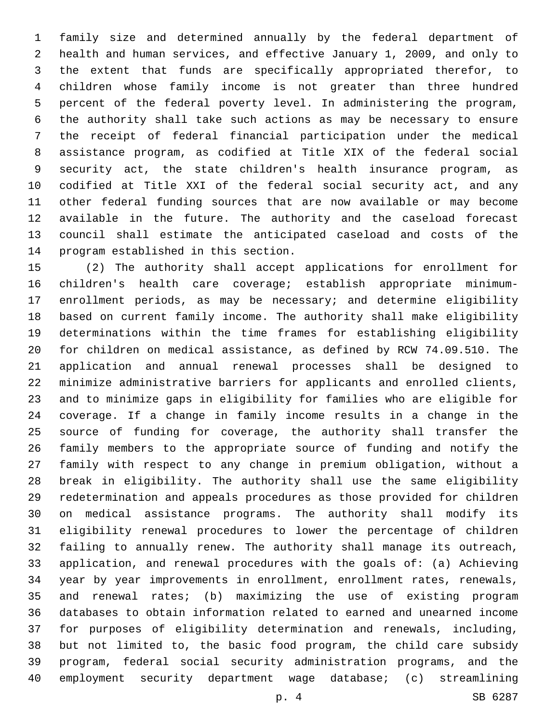family size and determined annually by the federal department of health and human services, and effective January 1, 2009, and only to the extent that funds are specifically appropriated therefor, to children whose family income is not greater than three hundred percent of the federal poverty level. In administering the program, the authority shall take such actions as may be necessary to ensure the receipt of federal financial participation under the medical assistance program, as codified at Title XIX of the federal social security act, the state children's health insurance program, as codified at Title XXI of the federal social security act, and any other federal funding sources that are now available or may become available in the future. The authority and the caseload forecast council shall estimate the anticipated caseload and costs of the 14 program established in this section.

 (2) The authority shall accept applications for enrollment for children's health care coverage; establish appropriate minimum- enrollment periods, as may be necessary; and determine eligibility based on current family income. The authority shall make eligibility determinations within the time frames for establishing eligibility for children on medical assistance, as defined by RCW 74.09.510. The application and annual renewal processes shall be designed to minimize administrative barriers for applicants and enrolled clients, and to minimize gaps in eligibility for families who are eligible for coverage. If a change in family income results in a change in the source of funding for coverage, the authority shall transfer the family members to the appropriate source of funding and notify the family with respect to any change in premium obligation, without a break in eligibility. The authority shall use the same eligibility redetermination and appeals procedures as those provided for children on medical assistance programs. The authority shall modify its eligibility renewal procedures to lower the percentage of children failing to annually renew. The authority shall manage its outreach, application, and renewal procedures with the goals of: (a) Achieving year by year improvements in enrollment, enrollment rates, renewals, and renewal rates; (b) maximizing the use of existing program databases to obtain information related to earned and unearned income for purposes of eligibility determination and renewals, including, but not limited to, the basic food program, the child care subsidy program, federal social security administration programs, and the employment security department wage database; (c) streamlining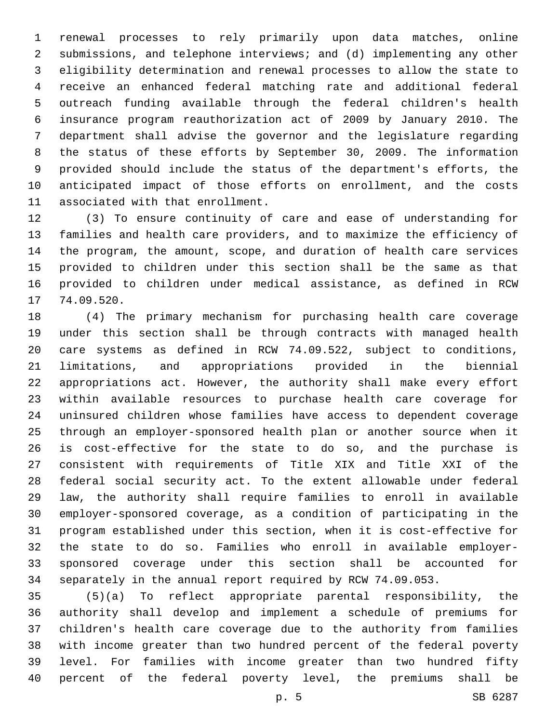renewal processes to rely primarily upon data matches, online submissions, and telephone interviews; and (d) implementing any other eligibility determination and renewal processes to allow the state to receive an enhanced federal matching rate and additional federal outreach funding available through the federal children's health insurance program reauthorization act of 2009 by January 2010. The department shall advise the governor and the legislature regarding the status of these efforts by September 30, 2009. The information provided should include the status of the department's efforts, the anticipated impact of those efforts on enrollment, and the costs 11 associated with that enrollment.

 (3) To ensure continuity of care and ease of understanding for families and health care providers, and to maximize the efficiency of the program, the amount, scope, and duration of health care services provided to children under this section shall be the same as that provided to children under medical assistance, as defined in RCW 17 74.09.520.

 (4) The primary mechanism for purchasing health care coverage under this section shall be through contracts with managed health care systems as defined in RCW 74.09.522, subject to conditions, limitations, and appropriations provided in the biennial appropriations act. However, the authority shall make every effort within available resources to purchase health care coverage for uninsured children whose families have access to dependent coverage through an employer-sponsored health plan or another source when it is cost-effective for the state to do so, and the purchase is consistent with requirements of Title XIX and Title XXI of the federal social security act. To the extent allowable under federal law, the authority shall require families to enroll in available employer-sponsored coverage, as a condition of participating in the program established under this section, when it is cost-effective for the state to do so. Families who enroll in available employer- sponsored coverage under this section shall be accounted for separately in the annual report required by RCW 74.09.053.

 (5)(a) To reflect appropriate parental responsibility, the authority shall develop and implement a schedule of premiums for children's health care coverage due to the authority from families with income greater than two hundred percent of the federal poverty level. For families with income greater than two hundred fifty percent of the federal poverty level, the premiums shall be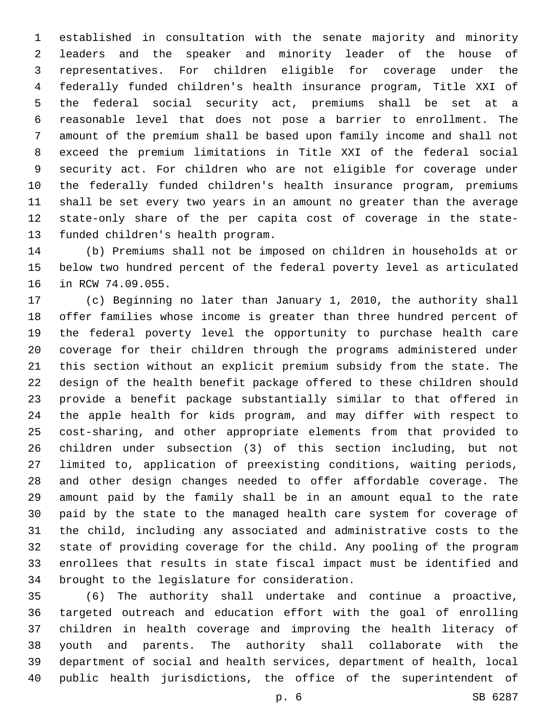established in consultation with the senate majority and minority leaders and the speaker and minority leader of the house of representatives. For children eligible for coverage under the federally funded children's health insurance program, Title XXI of the federal social security act, premiums shall be set at a reasonable level that does not pose a barrier to enrollment. The amount of the premium shall be based upon family income and shall not exceed the premium limitations in Title XXI of the federal social security act. For children who are not eligible for coverage under the federally funded children's health insurance program, premiums shall be set every two years in an amount no greater than the average state-only share of the per capita cost of coverage in the state-13 funded children's health program.

 (b) Premiums shall not be imposed on children in households at or below two hundred percent of the federal poverty level as articulated 16 in RCW 74.09.055.

 (c) Beginning no later than January 1, 2010, the authority shall offer families whose income is greater than three hundred percent of the federal poverty level the opportunity to purchase health care coverage for their children through the programs administered under this section without an explicit premium subsidy from the state. The design of the health benefit package offered to these children should provide a benefit package substantially similar to that offered in the apple health for kids program, and may differ with respect to cost-sharing, and other appropriate elements from that provided to children under subsection (3) of this section including, but not limited to, application of preexisting conditions, waiting periods, and other design changes needed to offer affordable coverage. The amount paid by the family shall be in an amount equal to the rate paid by the state to the managed health care system for coverage of the child, including any associated and administrative costs to the state of providing coverage for the child. Any pooling of the program enrollees that results in state fiscal impact must be identified and 34 brought to the legislature for consideration.

 (6) The authority shall undertake and continue a proactive, targeted outreach and education effort with the goal of enrolling children in health coverage and improving the health literacy of youth and parents. The authority shall collaborate with the department of social and health services, department of health, local public health jurisdictions, the office of the superintendent of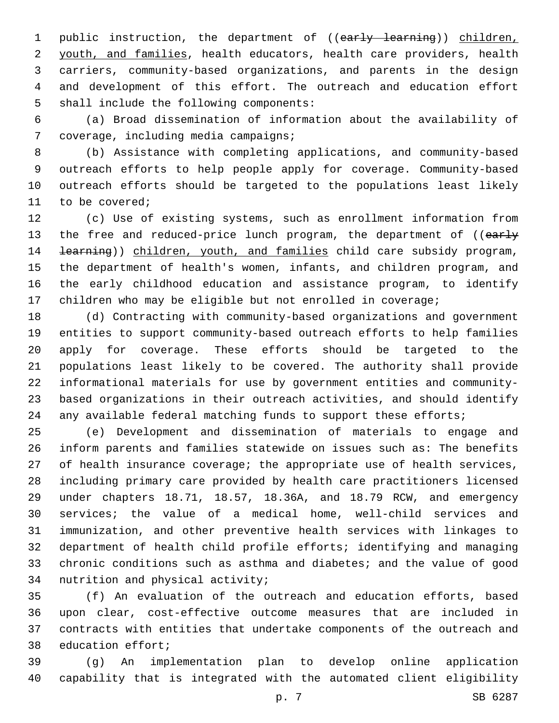1 public instruction, the department of ((early learning)) children, youth, and families, health educators, health care providers, health carriers, community-based organizations, and parents in the design and development of this effort. The outreach and education effort 5 shall include the following components:

 (a) Broad dissemination of information about the availability of 7 coverage, including media campaigns;

 (b) Assistance with completing applications, and community-based outreach efforts to help people apply for coverage. Community-based outreach efforts should be targeted to the populations least likely 11 to be covered;

 (c) Use of existing systems, such as enrollment information from 13 the free and reduced-price lunch program, the department of ((early 14 <del>learning</del>)) children, youth, and families child care subsidy program, the department of health's women, infants, and children program, and the early childhood education and assistance program, to identify children who may be eligible but not enrolled in coverage;

 (d) Contracting with community-based organizations and government entities to support community-based outreach efforts to help families apply for coverage. These efforts should be targeted to the populations least likely to be covered. The authority shall provide informational materials for use by government entities and community- based organizations in their outreach activities, and should identify 24 any available federal matching funds to support these efforts;

 (e) Development and dissemination of materials to engage and inform parents and families statewide on issues such as: The benefits of health insurance coverage; the appropriate use of health services, including primary care provided by health care practitioners licensed under chapters 18.71, 18.57, 18.36A, and 18.79 RCW, and emergency services; the value of a medical home, well-child services and immunization, and other preventive health services with linkages to department of health child profile efforts; identifying and managing chronic conditions such as asthma and diabetes; and the value of good 34 nutrition and physical activity;

 (f) An evaluation of the outreach and education efforts, based upon clear, cost-effective outcome measures that are included in contracts with entities that undertake components of the outreach and 38 education effort;

 (g) An implementation plan to develop online application capability that is integrated with the automated client eligibility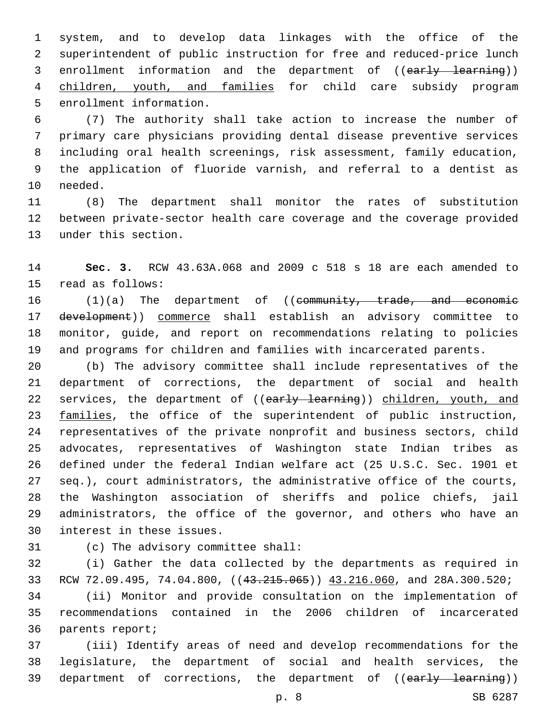system, and to develop data linkages with the office of the superintendent of public instruction for free and reduced-price lunch 3 enrollment information and the department of ((early learning)) children, youth, and families for child care subsidy program 5 enrollment information.

 (7) The authority shall take action to increase the number of primary care physicians providing dental disease preventive services including oral health screenings, risk assessment, family education, the application of fluoride varnish, and referral to a dentist as 10 needed.

 (8) The department shall monitor the rates of substitution between private-sector health care coverage and the coverage provided 13 under this section.

 **Sec. 3.** RCW 43.63A.068 and 2009 c 518 s 18 are each amended to 15 read as follows:

16 (1)(a) The department of ((community, trade, and economic 17 development)) commerce shall establish an advisory committee to monitor, guide, and report on recommendations relating to policies and programs for children and families with incarcerated parents.

 (b) The advisory committee shall include representatives of the department of corrections, the department of social and health 22 services, the department of ((early learning)) children, youth, and 23 families, the office of the superintendent of public instruction, representatives of the private nonprofit and business sectors, child advocates, representatives of Washington state Indian tribes as defined under the federal Indian welfare act (25 U.S.C. Sec. 1901 et seq.), court administrators, the administrative office of the courts, the Washington association of sheriffs and police chiefs, jail administrators, the office of the governor, and others who have an 30 interest in these issues.

31 (c) The advisory committee shall:

 (i) Gather the data collected by the departments as required in 33 RCW 72.09.495, 74.04.800, ((43.215.065)) 43.216.060, and 28A.300.520;

 (ii) Monitor and provide consultation on the implementation of recommendations contained in the 2006 children of incarcerated 36 parents report;

 (iii) Identify areas of need and develop recommendations for the legislature, the department of social and health services, the 39 department of corrections, the department of ((early learning))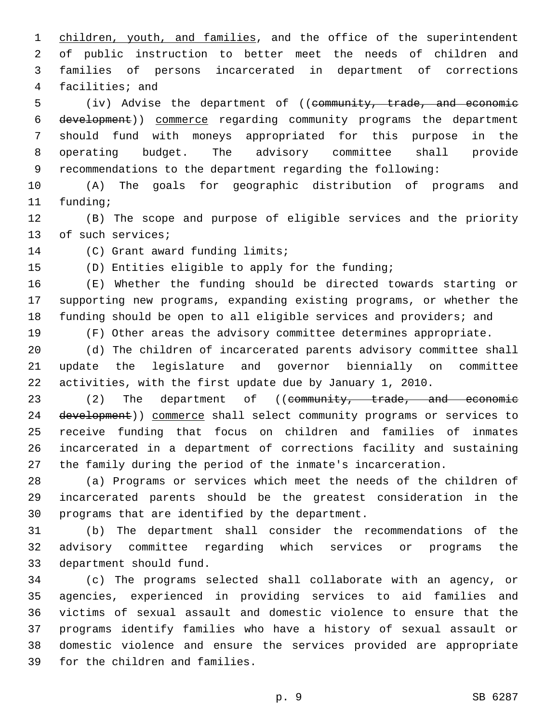1 children, youth, and families, and the office of the superintendent of public instruction to better meet the needs of children and families of persons incarcerated in department of corrections 4 facilities; and

5 (iv) Advise the department of ((community, trade, and economic development)) commerce regarding community programs the department should fund with moneys appropriated for this purpose in the operating budget. The advisory committee shall provide recommendations to the department regarding the following:

 (A) The goals for geographic distribution of programs and 11 funding;

 (B) The scope and purpose of eligible services and the priority 13 of such services;

14 (C) Grant award funding limits;

(D) Entities eligible to apply for the funding;

 (E) Whether the funding should be directed towards starting or supporting new programs, expanding existing programs, or whether the funding should be open to all eligible services and providers; and

(F) Other areas the advisory committee determines appropriate.

 (d) The children of incarcerated parents advisory committee shall update the legislature and governor biennially on committee activities, with the first update due by January 1, 2010.

23 (2) The department of ((community, trade, and economic 24 development)) commerce shall select community programs or services to receive funding that focus on children and families of inmates incarcerated in a department of corrections facility and sustaining the family during the period of the inmate's incarceration.

 (a) Programs or services which meet the needs of the children of incarcerated parents should be the greatest consideration in the 30 programs that are identified by the department.

 (b) The department shall consider the recommendations of the advisory committee regarding which services or programs the 33 department should fund.

 (c) The programs selected shall collaborate with an agency, or agencies, experienced in providing services to aid families and victims of sexual assault and domestic violence to ensure that the programs identify families who have a history of sexual assault or domestic violence and ensure the services provided are appropriate 39 for the children and families.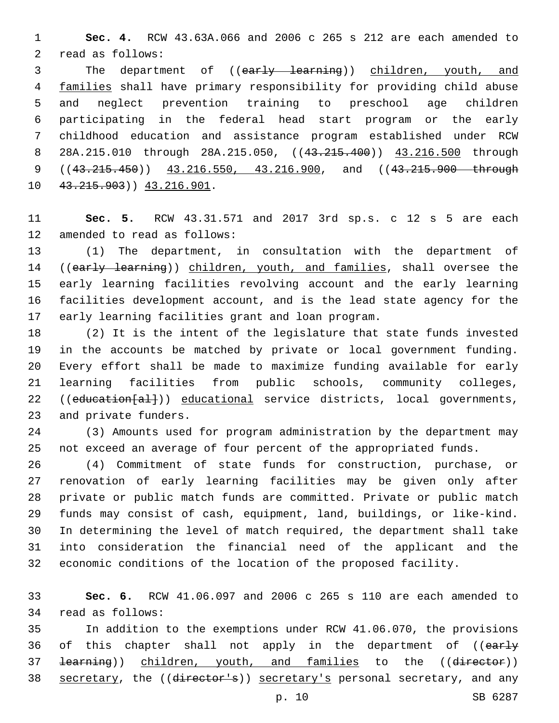**Sec. 4.** RCW 43.63A.066 and 2006 c 265 s 212 are each amended to 2 read as follows:

3 The department of ((early learning)) children, youth, and families shall have primary responsibility for providing child abuse and neglect prevention training to preschool age children participating in the federal head start program or the early childhood education and assistance program established under RCW 8 28A.215.010 through 28A.215.050, ((43.215.400)) 43.216.500 through 9 ((43.215.450)) 43.216.550, 43.216.900, and ((43.215.900 through 10 43.215.903) 43.216.901.

 **Sec. 5.** RCW 43.31.571 and 2017 3rd sp.s. c 12 s 5 are each 12 amended to read as follows:

 (1) The department, in consultation with the department of 14 ((early learning)) children, youth, and families, shall oversee the early learning facilities revolving account and the early learning facilities development account, and is the lead state agency for the 17 early learning facilities grant and loan program.

 (2) It is the intent of the legislature that state funds invested in the accounts be matched by private or local government funding. Every effort shall be made to maximize funding available for early learning facilities from public schools, community colleges, 22 ((education[al])) educational service districts, local governments, 23 and private funders.

 (3) Amounts used for program administration by the department may not exceed an average of four percent of the appropriated funds.

 (4) Commitment of state funds for construction, purchase, or renovation of early learning facilities may be given only after private or public match funds are committed. Private or public match funds may consist of cash, equipment, land, buildings, or like-kind. In determining the level of match required, the department shall take into consideration the financial need of the applicant and the economic conditions of the location of the proposed facility.

 **Sec. 6.** RCW 41.06.097 and 2006 c 265 s 110 are each amended to 34 read as follows:

 In addition to the exemptions under RCW 41.06.070, the provisions 36 of this chapter shall not apply in the department of ((early 37 <del>learning</del>)) children, youth, and families to the ((director)) 38 secretary, the ((director's)) secretary's personal secretary, and any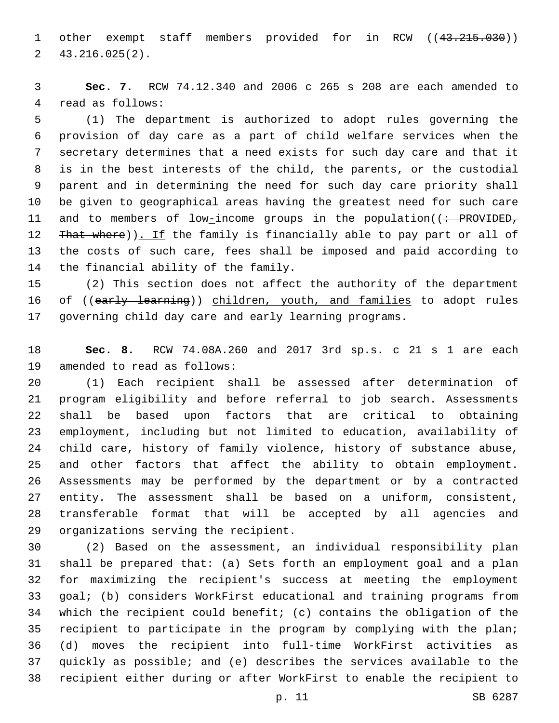1 other exempt staff members provided for in RCW ((43.215.030))  $2\frac{43.216.025(2)}{2}$ 

 **Sec. 7.** RCW 74.12.340 and 2006 c 265 s 208 are each amended to 4 read as follows:

 (1) The department is authorized to adopt rules governing the provision of day care as a part of child welfare services when the secretary determines that a need exists for such day care and that it is in the best interests of the child, the parents, or the custodial parent and in determining the need for such day care priority shall be given to geographical areas having the greatest need for such care 11 and to members of low-income groups in the population((: PROVIDED, 12 That where)). If the family is financially able to pay part or all of the costs of such care, fees shall be imposed and paid according to 14 the financial ability of the family.

 (2) This section does not affect the authority of the department 16 of ((early learning)) children, youth, and families to adopt rules governing child day care and early learning programs.

 **Sec. 8.** RCW 74.08A.260 and 2017 3rd sp.s. c 21 s 1 are each 19 amended to read as follows:

 (1) Each recipient shall be assessed after determination of program eligibility and before referral to job search. Assessments shall be based upon factors that are critical to obtaining employment, including but not limited to education, availability of child care, history of family violence, history of substance abuse, and other factors that affect the ability to obtain employment. Assessments may be performed by the department or by a contracted entity. The assessment shall be based on a uniform, consistent, transferable format that will be accepted by all agencies and 29 organizations serving the recipient.

 (2) Based on the assessment, an individual responsibility plan shall be prepared that: (a) Sets forth an employment goal and a plan for maximizing the recipient's success at meeting the employment goal; (b) considers WorkFirst educational and training programs from which the recipient could benefit; (c) contains the obligation of the recipient to participate in the program by complying with the plan; (d) moves the recipient into full-time WorkFirst activities as quickly as possible; and (e) describes the services available to the recipient either during or after WorkFirst to enable the recipient to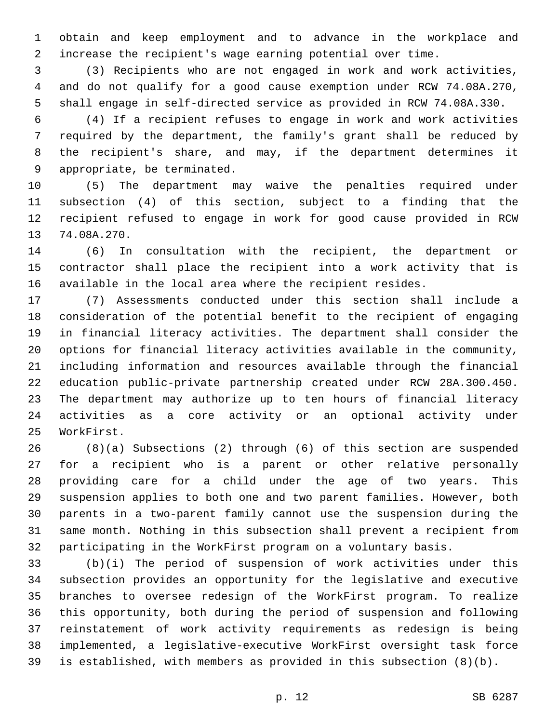obtain and keep employment and to advance in the workplace and increase the recipient's wage earning potential over time.

 (3) Recipients who are not engaged in work and work activities, and do not qualify for a good cause exemption under RCW 74.08A.270, shall engage in self-directed service as provided in RCW 74.08A.330.

 (4) If a recipient refuses to engage in work and work activities required by the department, the family's grant shall be reduced by the recipient's share, and may, if the department determines it 9 appropriate, be terminated.

 (5) The department may waive the penalties required under subsection (4) of this section, subject to a finding that the recipient refused to engage in work for good cause provided in RCW 13 74.08A.270.

 (6) In consultation with the recipient, the department or contractor shall place the recipient into a work activity that is available in the local area where the recipient resides.

 (7) Assessments conducted under this section shall include a consideration of the potential benefit to the recipient of engaging in financial literacy activities. The department shall consider the options for financial literacy activities available in the community, including information and resources available through the financial education public-private partnership created under RCW 28A.300.450. The department may authorize up to ten hours of financial literacy activities as a core activity or an optional activity under 25 WorkFirst.

 (8)(a) Subsections (2) through (6) of this section are suspended for a recipient who is a parent or other relative personally providing care for a child under the age of two years. This suspension applies to both one and two parent families. However, both parents in a two-parent family cannot use the suspension during the same month. Nothing in this subsection shall prevent a recipient from participating in the WorkFirst program on a voluntary basis.

 (b)(i) The period of suspension of work activities under this subsection provides an opportunity for the legislative and executive branches to oversee redesign of the WorkFirst program. To realize this opportunity, both during the period of suspension and following reinstatement of work activity requirements as redesign is being implemented, a legislative-executive WorkFirst oversight task force is established, with members as provided in this subsection (8)(b).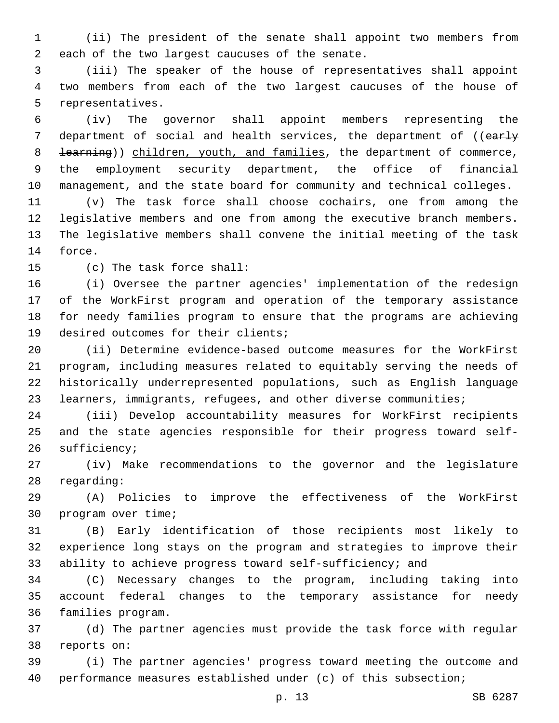(ii) The president of the senate shall appoint two members from 2 each of the two largest caucuses of the senate.

 (iii) The speaker of the house of representatives shall appoint two members from each of the two largest caucuses of the house of 5 representatives.

 (iv) The governor shall appoint members representing the 7 department of social and health services, the department of ((early 8 <del>learning</del>)) children, youth, and families, the department of commerce, the employment security department, the office of financial management, and the state board for community and technical colleges.

 (v) The task force shall choose cochairs, one from among the legislative members and one from among the executive branch members. The legislative members shall convene the initial meeting of the task 14 force.

15 (c) The task force shall:

 (i) Oversee the partner agencies' implementation of the redesign of the WorkFirst program and operation of the temporary assistance for needy families program to ensure that the programs are achieving 19 desired outcomes for their clients;

 (ii) Determine evidence-based outcome measures for the WorkFirst program, including measures related to equitably serving the needs of historically underrepresented populations, such as English language learners, immigrants, refugees, and other diverse communities;

 (iii) Develop accountability measures for WorkFirst recipients and the state agencies responsible for their progress toward self-26 sufficiency;

 (iv) Make recommendations to the governor and the legislature 28 regarding:

 (A) Policies to improve the effectiveness of the WorkFirst 30 program over time;

 (B) Early identification of those recipients most likely to experience long stays on the program and strategies to improve their ability to achieve progress toward self-sufficiency; and

 (C) Necessary changes to the program, including taking into account federal changes to the temporary assistance for needy 36 families program.

 (d) The partner agencies must provide the task force with regular 38 reports on:

 (i) The partner agencies' progress toward meeting the outcome and performance measures established under (c) of this subsection;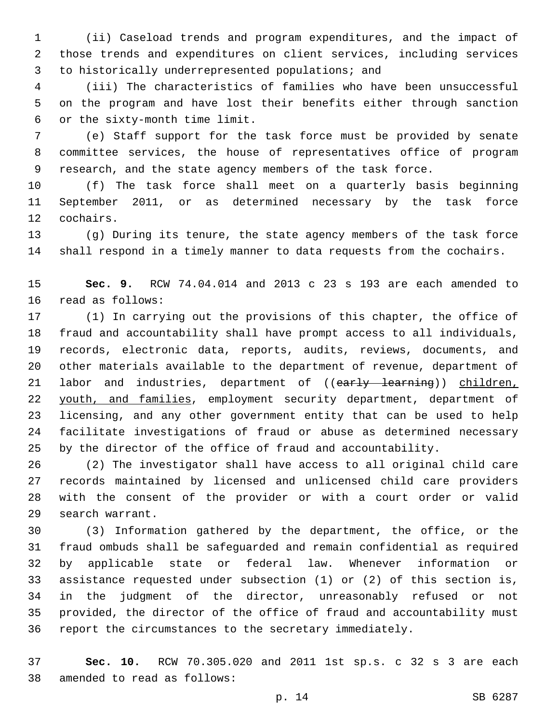(ii) Caseload trends and program expenditures, and the impact of those trends and expenditures on client services, including services 3 to historically underrepresented populations; and

 (iii) The characteristics of families who have been unsuccessful on the program and have lost their benefits either through sanction or the sixty-month time limit.6

 (e) Staff support for the task force must be provided by senate committee services, the house of representatives office of program research, and the state agency members of the task force.

 (f) The task force shall meet on a quarterly basis beginning September 2011, or as determined necessary by the task force 12 cochairs.

 (g) During its tenure, the state agency members of the task force shall respond in a timely manner to data requests from the cochairs.

 **Sec. 9.** RCW 74.04.014 and 2013 c 23 s 193 are each amended to 16 read as follows:

 (1) In carrying out the provisions of this chapter, the office of fraud and accountability shall have prompt access to all individuals, records, electronic data, reports, audits, reviews, documents, and other materials available to the department of revenue, department of 21 labor and industries, department of ((early learning)) children, 22 youth, and families, employment security department, department of licensing, and any other government entity that can be used to help facilitate investigations of fraud or abuse as determined necessary by the director of the office of fraud and accountability.

 (2) The investigator shall have access to all original child care records maintained by licensed and unlicensed child care providers with the consent of the provider or with a court order or valid 29 search warrant.

 (3) Information gathered by the department, the office, or the fraud ombuds shall be safeguarded and remain confidential as required by applicable state or federal law. Whenever information or assistance requested under subsection (1) or (2) of this section is, in the judgment of the director, unreasonably refused or not provided, the director of the office of fraud and accountability must report the circumstances to the secretary immediately.

 **Sec. 10.** RCW 70.305.020 and 2011 1st sp.s. c 32 s 3 are each 38 amended to read as follows: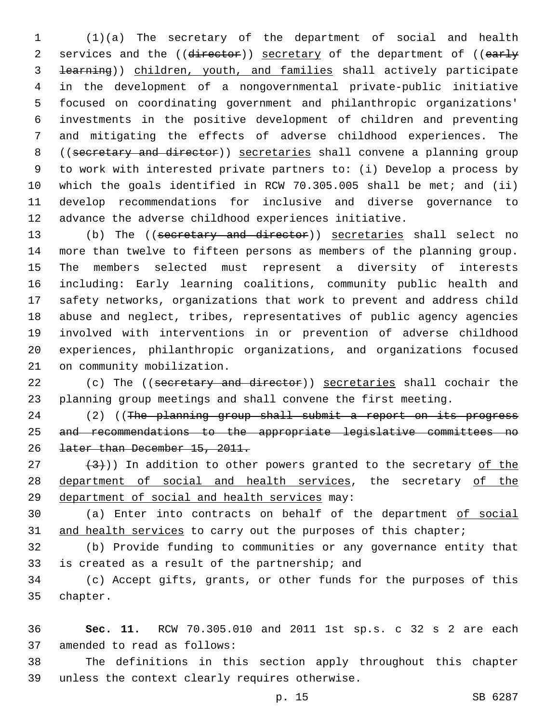(1)(a) The secretary of the department of social and health 2 services and the ((director)) secretary of the department of ((early learning)) children, youth, and families shall actively participate in the development of a nongovernmental private-public initiative focused on coordinating government and philanthropic organizations' investments in the positive development of children and preventing and mitigating the effects of adverse childhood experiences. The ((secretary and director)) secretaries shall convene a planning group to work with interested private partners to: (i) Develop a process by which the goals identified in RCW 70.305.005 shall be met; and (ii) develop recommendations for inclusive and diverse governance to advance the adverse childhood experiences initiative.

 (b) The ((secretary and director)) secretaries shall select no more than twelve to fifteen persons as members of the planning group. The members selected must represent a diversity of interests including: Early learning coalitions, community public health and safety networks, organizations that work to prevent and address child abuse and neglect, tribes, representatives of public agency agencies involved with interventions in or prevention of adverse childhood experiences, philanthropic organizations, and organizations focused 21 on community mobilization.

22 (c) The ((secretary and director)) secretaries shall cochair the planning group meetings and shall convene the first meeting.

24 (2) ((The planning group shall submit a report on its progress and recommendations to the appropriate legislative committees no later than December 15, 2011.

 $(3)$  (3)) In addition to other powers granted to the secretary of the 28 department of social and health services, the secretary of the 29 department of social and health services may:

 (a) Enter into contracts on behalf of the department of social 31 and health services to carry out the purposes of this chapter;

 (b) Provide funding to communities or any governance entity that 33 is created as a result of the partnership; and

 (c) Accept gifts, grants, or other funds for the purposes of this 35 chapter.

 **Sec. 11.** RCW 70.305.010 and 2011 1st sp.s. c 32 s 2 are each 37 amended to read as follows:

 The definitions in this section apply throughout this chapter 39 unless the context clearly requires otherwise.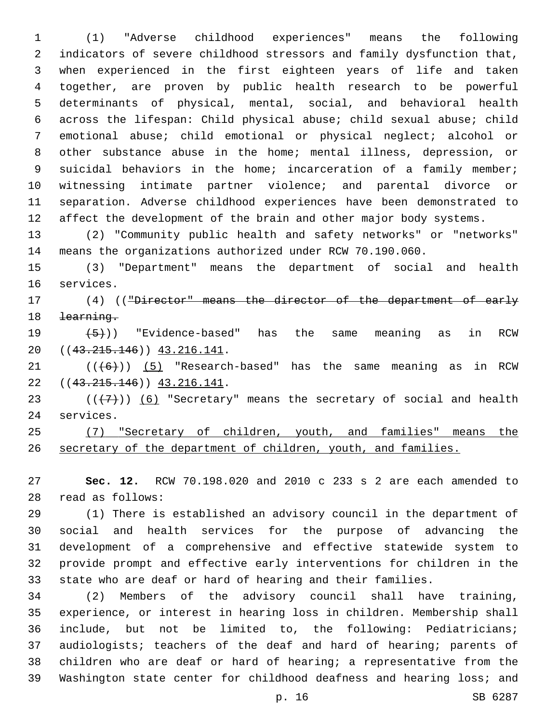(1) "Adverse childhood experiences" means the following indicators of severe childhood stressors and family dysfunction that, when experienced in the first eighteen years of life and taken together, are proven by public health research to be powerful determinants of physical, mental, social, and behavioral health across the lifespan: Child physical abuse; child sexual abuse; child emotional abuse; child emotional or physical neglect; alcohol or other substance abuse in the home; mental illness, depression, or 9 suicidal behaviors in the home; incarceration of a family member; witnessing intimate partner violence; and parental divorce or separation. Adverse childhood experiences have been demonstrated to 12 affect the development of the brain and other major body systems.

 (2) "Community public health and safety networks" or "networks" means the organizations authorized under RCW 70.190.060.

 (3) "Department" means the department of social and health 16 services.

17 (4) (("Director" means the director of the department of early learning.

 $(5)$ ) "Evidence-based" has the same meaning as in RCW 20 ((43.215.146)) 43.216.141.

 ( $(\overline{6})$ ) (5) "Research-based" has the same meaning as in RCW 22 ((43.215.146)) 43.216.141.

23  $((+7))$   $(6)$  "Secretary" means the secretary of social and health 24 services.

 (7) "Secretary of children, youth, and families" means the secretary of the department of children, youth, and families.

 **Sec. 12.** RCW 70.198.020 and 2010 c 233 s 2 are each amended to read as follows:28

 (1) There is established an advisory council in the department of social and health services for the purpose of advancing the development of a comprehensive and effective statewide system to provide prompt and effective early interventions for children in the state who are deaf or hard of hearing and their families.

 (2) Members of the advisory council shall have training, experience, or interest in hearing loss in children. Membership shall include, but not be limited to, the following: Pediatricians; audiologists; teachers of the deaf and hard of hearing; parents of children who are deaf or hard of hearing; a representative from the Washington state center for childhood deafness and hearing loss; and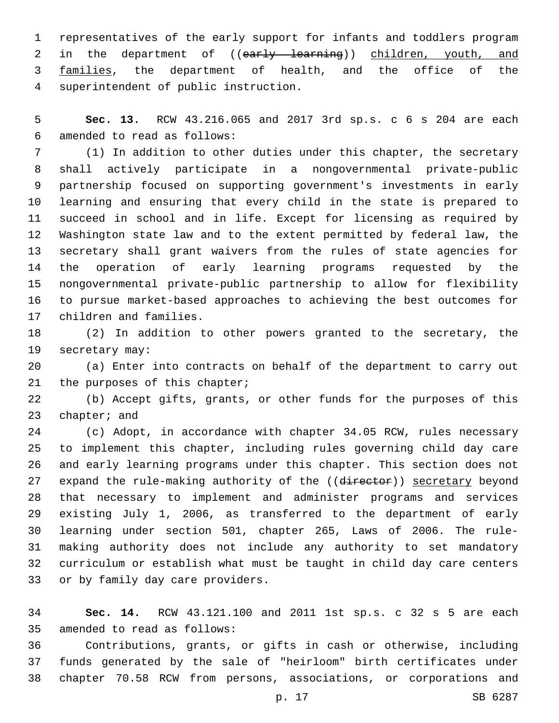representatives of the early support for infants and toddlers program 2 in the department of ((early learning)) children, youth, and 3 families, the department of health, and the office of the superintendent of public instruction.4

 **Sec. 13.** RCW 43.216.065 and 2017 3rd sp.s. c 6 s 204 are each amended to read as follows:6

 (1) In addition to other duties under this chapter, the secretary shall actively participate in a nongovernmental private-public partnership focused on supporting government's investments in early learning and ensuring that every child in the state is prepared to succeed in school and in life. Except for licensing as required by Washington state law and to the extent permitted by federal law, the secretary shall grant waivers from the rules of state agencies for the operation of early learning programs requested by the nongovernmental private-public partnership to allow for flexibility to pursue market-based approaches to achieving the best outcomes for 17 children and families.

 (2) In addition to other powers granted to the secretary, the 19 secretary may:

 (a) Enter into contracts on behalf of the department to carry out 21 the purposes of this chapter;

 (b) Accept gifts, grants, or other funds for the purposes of this 23 chapter; and

 (c) Adopt, in accordance with chapter 34.05 RCW, rules necessary to implement this chapter, including rules governing child day care and early learning programs under this chapter. This section does not 27 expand the rule-making authority of the ((director)) secretary beyond that necessary to implement and administer programs and services existing July 1, 2006, as transferred to the department of early learning under section 501, chapter 265, Laws of 2006. The rule- making authority does not include any authority to set mandatory curriculum or establish what must be taught in child day care centers 33 or by family day care providers.

 **Sec. 14.** RCW 43.121.100 and 2011 1st sp.s. c 32 s 5 are each 35 amended to read as follows:

 Contributions, grants, or gifts in cash or otherwise, including funds generated by the sale of "heirloom" birth certificates under chapter 70.58 RCW from persons, associations, or corporations and

p. 17 SB 6287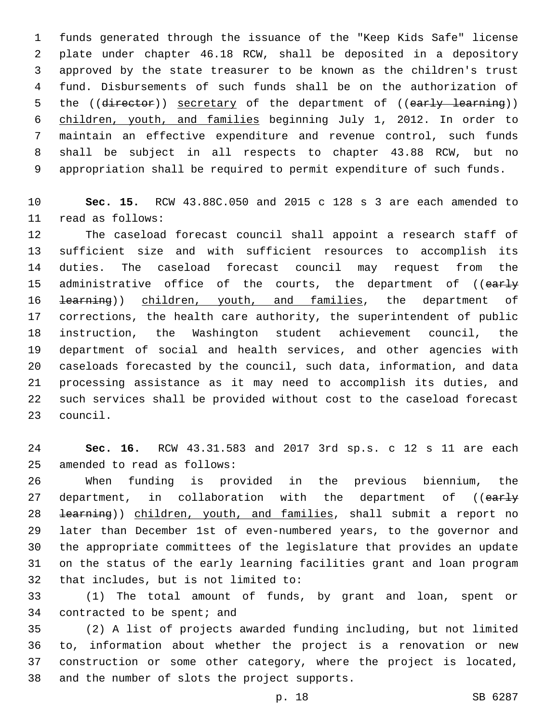funds generated through the issuance of the "Keep Kids Safe" license plate under chapter 46.18 RCW, shall be deposited in a depository approved by the state treasurer to be known as the children's trust fund. Disbursements of such funds shall be on the authorization of 5 the ((director)) secretary of the department of ((early learning)) children, youth, and families beginning July 1, 2012. In order to maintain an effective expenditure and revenue control, such funds shall be subject in all respects to chapter 43.88 RCW, but no appropriation shall be required to permit expenditure of such funds.

 **Sec. 15.** RCW 43.88C.050 and 2015 c 128 s 3 are each amended to read as follows:11

 The caseload forecast council shall appoint a research staff of sufficient size and with sufficient resources to accomplish its duties. The caseload forecast council may request from the 15 administrative office of the courts, the department of ((early 16 <del>learning</del>)) children, youth, and families, the department of corrections, the health care authority, the superintendent of public instruction, the Washington student achievement council, the department of social and health services, and other agencies with caseloads forecasted by the council, such data, information, and data processing assistance as it may need to accomplish its duties, and such services shall be provided without cost to the caseload forecast 23 council.

 **Sec. 16.** RCW 43.31.583 and 2017 3rd sp.s. c 12 s 11 are each 25 amended to read as follows:

 When funding is provided in the previous biennium, the 27 department, in collaboration with the department of ((early 28 <del>learning</del>)) children, youth, and families, shall submit a report no later than December 1st of even-numbered years, to the governor and the appropriate committees of the legislature that provides an update on the status of the early learning facilities grant and loan program 32 that includes, but is not limited to:

 (1) The total amount of funds, by grant and loan, spent or 34 contracted to be spent; and

 (2) A list of projects awarded funding including, but not limited to, information about whether the project is a renovation or new construction or some other category, where the project is located, 38 and the number of slots the project supports.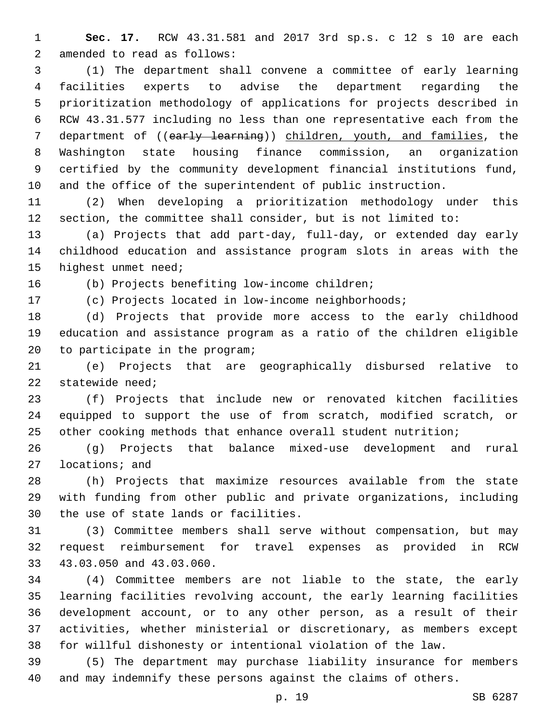**Sec. 17.** RCW 43.31.581 and 2017 3rd sp.s. c 12 s 10 are each 2 amended to read as follows:

 (1) The department shall convene a committee of early learning facilities experts to advise the department regarding the prioritization methodology of applications for projects described in RCW 43.31.577 including no less than one representative each from the 7 department of ((early learning)) children, youth, and families, the Washington state housing finance commission, an organization certified by the community development financial institutions fund, and the office of the superintendent of public instruction.

 (2) When developing a prioritization methodology under this section, the committee shall consider, but is not limited to:

 (a) Projects that add part-day, full-day, or extended day early childhood education and assistance program slots in areas with the 15 highest unmet need;

16 (b) Projects benefiting low-income children;

(c) Projects located in low-income neighborhoods;

 (d) Projects that provide more access to the early childhood education and assistance program as a ratio of the children eligible 20 to participate in the program;

 (e) Projects that are geographically disbursed relative to statewide need;

 (f) Projects that include new or renovated kitchen facilities equipped to support the use of from scratch, modified scratch, or other cooking methods that enhance overall student nutrition;

 (g) Projects that balance mixed-use development and rural 27 locations; and

 (h) Projects that maximize resources available from the state with funding from other public and private organizations, including 30 the use of state lands or facilities.

 (3) Committee members shall serve without compensation, but may request reimbursement for travel expenses as provided in RCW 33 43.03.050 and 43.03.060.

 (4) Committee members are not liable to the state, the early learning facilities revolving account, the early learning facilities development account, or to any other person, as a result of their activities, whether ministerial or discretionary, as members except for willful dishonesty or intentional violation of the law.

 (5) The department may purchase liability insurance for members and may indemnify these persons against the claims of others.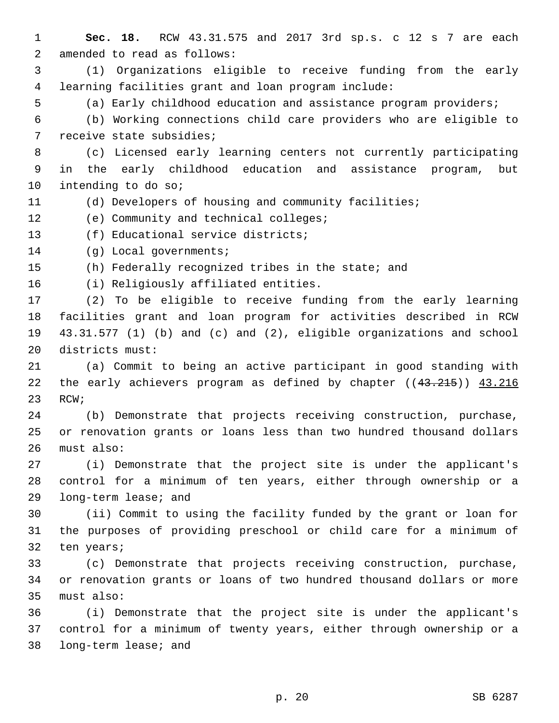**Sec. 18.** RCW 43.31.575 and 2017 3rd sp.s. c 12 s 7 are each 2 amended to read as follows: (1) Organizations eligible to receive funding from the early learning facilities grant and loan program include: (a) Early childhood education and assistance program providers; (b) Working connections child care providers who are eligible to 7 receive state subsidies; (c) Licensed early learning centers not currently participating in the early childhood education and assistance program, but 10 intending to do so; (d) Developers of housing and community facilities; 12 (e) Community and technical colleges; 13 (f) Educational service districts; 14 (g) Local governments; (h) Federally recognized tribes in the state; and 16 (i) Religiously affiliated entities. (2) To be eligible to receive funding from the early learning facilities grant and loan program for activities described in RCW 43.31.577 (1) (b) and (c) and (2), eligible organizations and school 20 districts must: (a) Commit to being an active participant in good standing with 22 the early achievers program as defined by chapter ((43.215)) 43.216 23 RCW; (b) Demonstrate that projects receiving construction, purchase, or renovation grants or loans less than two hundred thousand dollars 26 must also: (i) Demonstrate that the project site is under the applicant's control for a minimum of ten years, either through ownership or a 29 long-term lease; and (ii) Commit to using the facility funded by the grant or loan for the purposes of providing preschool or child care for a minimum of 32 ten years; (c) Demonstrate that projects receiving construction, purchase, or renovation grants or loans of two hundred thousand dollars or more 35 must also: (i) Demonstrate that the project site is under the applicant's control for a minimum of twenty years, either through ownership or a 38 long-term lease; and

p. 20 SB 6287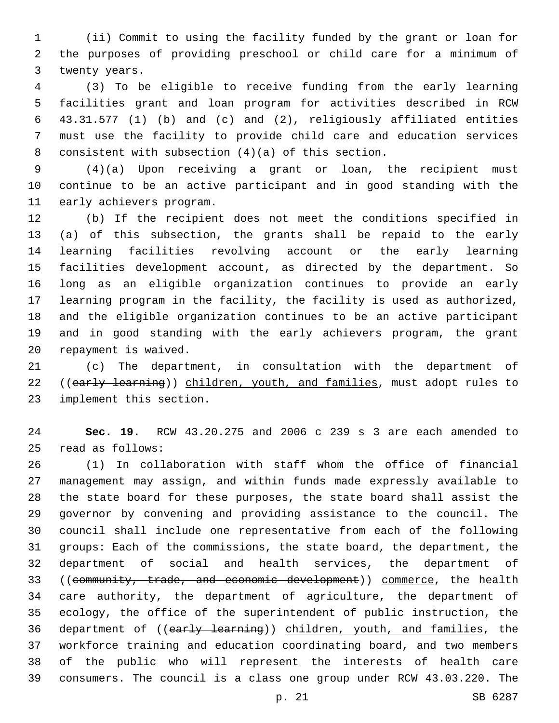(ii) Commit to using the facility funded by the grant or loan for the purposes of providing preschool or child care for a minimum of 3 twenty years.

 (3) To be eligible to receive funding from the early learning facilities grant and loan program for activities described in RCW 43.31.577 (1) (b) and (c) and (2), religiously affiliated entities must use the facility to provide child care and education services 8 consistent with subsection  $(4)(a)$  of this section.

 (4)(a) Upon receiving a grant or loan, the recipient must continue to be an active participant and in good standing with the 11 early achievers program.

 (b) If the recipient does not meet the conditions specified in (a) of this subsection, the grants shall be repaid to the early learning facilities revolving account or the early learning facilities development account, as directed by the department. So long as an eligible organization continues to provide an early learning program in the facility, the facility is used as authorized, and the eligible organization continues to be an active participant and in good standing with the early achievers program, the grant 20 repayment is waived.

 (c) The department, in consultation with the department of 22 ((early learning)) children, youth, and families, must adopt rules to 23 implement this section.

 **Sec. 19.** RCW 43.20.275 and 2006 c 239 s 3 are each amended to read as follows:25

 (1) In collaboration with staff whom the office of financial management may assign, and within funds made expressly available to the state board for these purposes, the state board shall assist the governor by convening and providing assistance to the council. The council shall include one representative from each of the following groups: Each of the commissions, the state board, the department, the department of social and health services, the department of 33 ((community, trade, and economic development)) commerce, the health care authority, the department of agriculture, the department of ecology, the office of the superintendent of public instruction, the 36 department of ((early learning)) children, youth, and families, the workforce training and education coordinating board, and two members of the public who will represent the interests of health care consumers. The council is a class one group under RCW 43.03.220. The

p. 21 SB 6287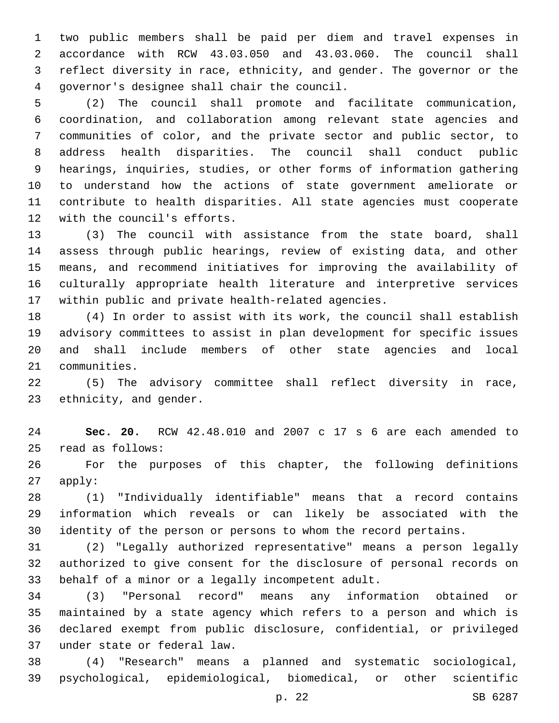two public members shall be paid per diem and travel expenses in accordance with RCW 43.03.050 and 43.03.060. The council shall reflect diversity in race, ethnicity, and gender. The governor or the governor's designee shall chair the council.4

 (2) The council shall promote and facilitate communication, coordination, and collaboration among relevant state agencies and communities of color, and the private sector and public sector, to address health disparities. The council shall conduct public hearings, inquiries, studies, or other forms of information gathering to understand how the actions of state government ameliorate or contribute to health disparities. All state agencies must cooperate 12 with the council's efforts.

 (3) The council with assistance from the state board, shall assess through public hearings, review of existing data, and other means, and recommend initiatives for improving the availability of culturally appropriate health literature and interpretive services within public and private health-related agencies.

 (4) In order to assist with its work, the council shall establish advisory committees to assist in plan development for specific issues and shall include members of other state agencies and local 21 communities.

 (5) The advisory committee shall reflect diversity in race, 23 ethnicity, and gender.

 **Sec. 20.** RCW 42.48.010 and 2007 c 17 s 6 are each amended to read as follows:25

 For the purposes of this chapter, the following definitions apply:

 (1) "Individually identifiable" means that a record contains information which reveals or can likely be associated with the identity of the person or persons to whom the record pertains.

 (2) "Legally authorized representative" means a person legally authorized to give consent for the disclosure of personal records on 33 behalf of a minor or a legally incompetent adult.

 (3) "Personal record" means any information obtained or maintained by a state agency which refers to a person and which is declared exempt from public disclosure, confidential, or privileged under state or federal law.37

 (4) "Research" means a planned and systematic sociological, psychological, epidemiological, biomedical, or other scientific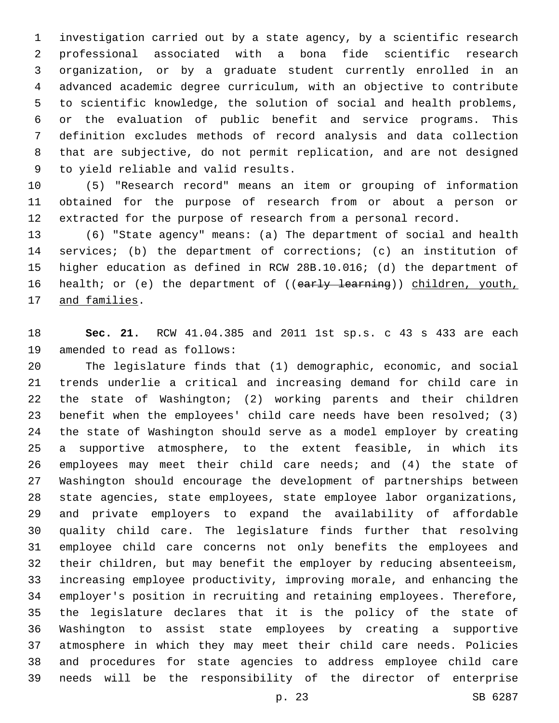investigation carried out by a state agency, by a scientific research professional associated with a bona fide scientific research organization, or by a graduate student currently enrolled in an advanced academic degree curriculum, with an objective to contribute to scientific knowledge, the solution of social and health problems, or the evaluation of public benefit and service programs. This definition excludes methods of record analysis and data collection that are subjective, do not permit replication, and are not designed 9 to yield reliable and valid results.

 (5) "Research record" means an item or grouping of information obtained for the purpose of research from or about a person or extracted for the purpose of research from a personal record.

 (6) "State agency" means: (a) The department of social and health services; (b) the department of corrections; (c) an institution of higher education as defined in RCW 28B.10.016; (d) the department of 16 health; or (e) the department of ((early learning)) children, youth, 17 and families.

 **Sec. 21.** RCW 41.04.385 and 2011 1st sp.s. c 43 s 433 are each 19 amended to read as follows:

 The legislature finds that (1) demographic, economic, and social trends underlie a critical and increasing demand for child care in the state of Washington; (2) working parents and their children benefit when the employees' child care needs have been resolved; (3) the state of Washington should serve as a model employer by creating a supportive atmosphere, to the extent feasible, in which its employees may meet their child care needs; and (4) the state of Washington should encourage the development of partnerships between state agencies, state employees, state employee labor organizations, and private employers to expand the availability of affordable quality child care. The legislature finds further that resolving employee child care concerns not only benefits the employees and their children, but may benefit the employer by reducing absenteeism, increasing employee productivity, improving morale, and enhancing the employer's position in recruiting and retaining employees. Therefore, the legislature declares that it is the policy of the state of Washington to assist state employees by creating a supportive atmosphere in which they may meet their child care needs. Policies and procedures for state agencies to address employee child care needs will be the responsibility of the director of enterprise

p. 23 SB 6287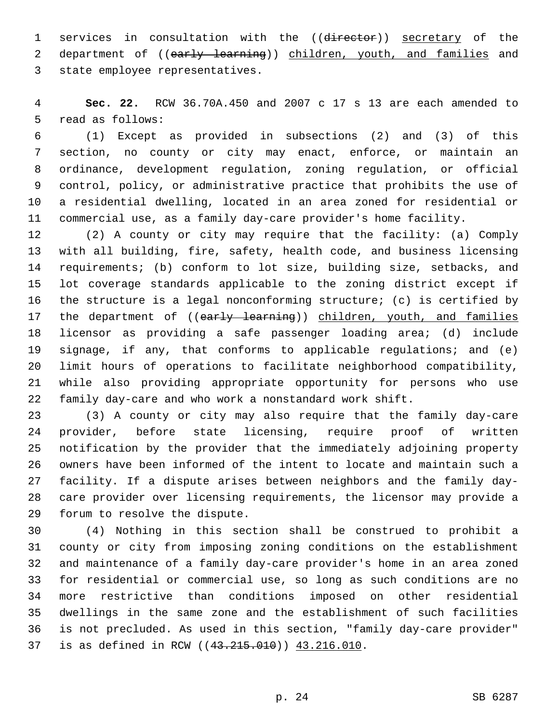1 services in consultation with the ((director)) secretary of the 2 department of ((early learning)) children, youth, and families and 3 state employee representatives.

 **Sec. 22.** RCW 36.70A.450 and 2007 c 17 s 13 are each amended to 5 read as follows:

 (1) Except as provided in subsections (2) and (3) of this section, no county or city may enact, enforce, or maintain an ordinance, development regulation, zoning regulation, or official control, policy, or administrative practice that prohibits the use of a residential dwelling, located in an area zoned for residential or commercial use, as a family day-care provider's home facility.

 (2) A county or city may require that the facility: (a) Comply with all building, fire, safety, health code, and business licensing requirements; (b) conform to lot size, building size, setbacks, and lot coverage standards applicable to the zoning district except if the structure is a legal nonconforming structure; (c) is certified by 17 the department of ((early learning)) children, youth, and families licensor as providing a safe passenger loading area; (d) include signage, if any, that conforms to applicable regulations; and (e) limit hours of operations to facilitate neighborhood compatibility, while also providing appropriate opportunity for persons who use family day-care and who work a nonstandard work shift.

 (3) A county or city may also require that the family day-care provider, before state licensing, require proof of written notification by the provider that the immediately adjoining property owners have been informed of the intent to locate and maintain such a facility. If a dispute arises between neighbors and the family day- care provider over licensing requirements, the licensor may provide a 29 forum to resolve the dispute.

 (4) Nothing in this section shall be construed to prohibit a county or city from imposing zoning conditions on the establishment and maintenance of a family day-care provider's home in an area zoned for residential or commercial use, so long as such conditions are no more restrictive than conditions imposed on other residential dwellings in the same zone and the establishment of such facilities is not precluded. As used in this section, "family day-care provider" 37 is as defined in RCW ((43.215.010)) 43.216.010.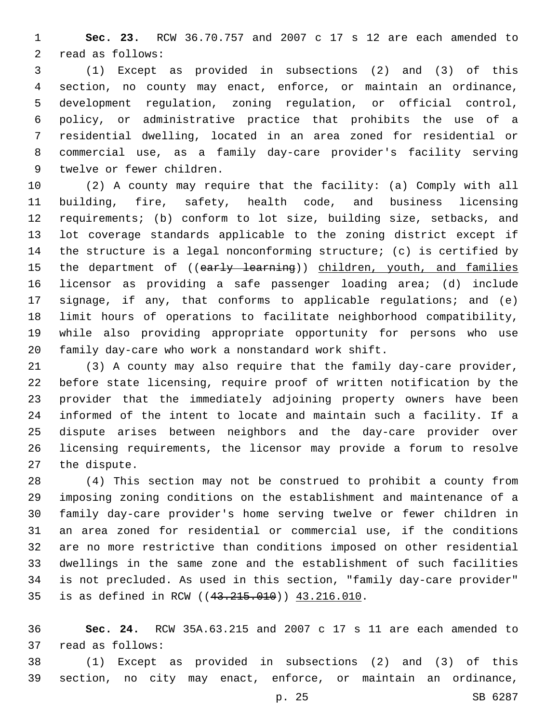**Sec. 23.** RCW 36.70.757 and 2007 c 17 s 12 are each amended to 2 read as follows:

 (1) Except as provided in subsections (2) and (3) of this section, no county may enact, enforce, or maintain an ordinance, development regulation, zoning regulation, or official control, policy, or administrative practice that prohibits the use of a residential dwelling, located in an area zoned for residential or commercial use, as a family day-care provider's facility serving 9 twelve or fewer children.

 (2) A county may require that the facility: (a) Comply with all building, fire, safety, health code, and business licensing requirements; (b) conform to lot size, building size, setbacks, and lot coverage standards applicable to the zoning district except if the structure is a legal nonconforming structure; (c) is certified by 15 the department of ((early learning)) children, youth, and families licensor as providing a safe passenger loading area; (d) include signage, if any, that conforms to applicable regulations; and (e) limit hours of operations to facilitate neighborhood compatibility, while also providing appropriate opportunity for persons who use family day-care who work a nonstandard work shift.

 (3) A county may also require that the family day-care provider, before state licensing, require proof of written notification by the provider that the immediately adjoining property owners have been informed of the intent to locate and maintain such a facility. If a dispute arises between neighbors and the day-care provider over licensing requirements, the licensor may provide a forum to resolve 27 the dispute.

 (4) This section may not be construed to prohibit a county from imposing zoning conditions on the establishment and maintenance of a family day-care provider's home serving twelve or fewer children in an area zoned for residential or commercial use, if the conditions are no more restrictive than conditions imposed on other residential dwellings in the same zone and the establishment of such facilities is not precluded. As used in this section, "family day-care provider" 35 is as defined in RCW ((43.215.010)) 43.216.010.

 **Sec. 24.** RCW 35A.63.215 and 2007 c 17 s 11 are each amended to 37 read as follows:

 (1) Except as provided in subsections (2) and (3) of this section, no city may enact, enforce, or maintain an ordinance,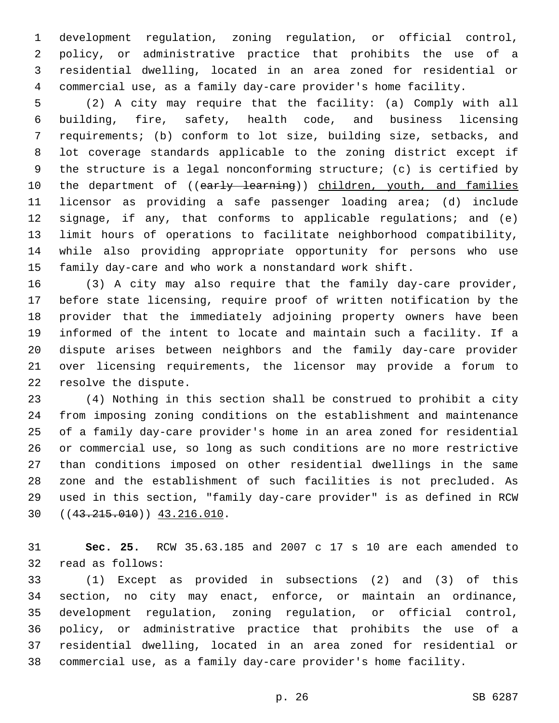development regulation, zoning regulation, or official control, policy, or administrative practice that prohibits the use of a residential dwelling, located in an area zoned for residential or commercial use, as a family day-care provider's home facility.

 (2) A city may require that the facility: (a) Comply with all building, fire, safety, health code, and business licensing requirements; (b) conform to lot size, building size, setbacks, and lot coverage standards applicable to the zoning district except if the structure is a legal nonconforming structure; (c) is certified by 10 the department of ((early learning)) children, youth, and families licensor as providing a safe passenger loading area; (d) include signage, if any, that conforms to applicable regulations; and (e) limit hours of operations to facilitate neighborhood compatibility, while also providing appropriate opportunity for persons who use family day-care and who work a nonstandard work shift.

 (3) A city may also require that the family day-care provider, before state licensing, require proof of written notification by the provider that the immediately adjoining property owners have been informed of the intent to locate and maintain such a facility. If a dispute arises between neighbors and the family day-care provider over licensing requirements, the licensor may provide a forum to 22 resolve the dispute.

 (4) Nothing in this section shall be construed to prohibit a city from imposing zoning conditions on the establishment and maintenance of a family day-care provider's home in an area zoned for residential or commercial use, so long as such conditions are no more restrictive than conditions imposed on other residential dwellings in the same zone and the establishment of such facilities is not precluded. As used in this section, "family day-care provider" is as defined in RCW  $(43.215.010)$   $(43.215.010)$ 

 **Sec. 25.** RCW 35.63.185 and 2007 c 17 s 10 are each amended to 32 read as follows:

 (1) Except as provided in subsections (2) and (3) of this section, no city may enact, enforce, or maintain an ordinance, development regulation, zoning regulation, or official control, policy, or administrative practice that prohibits the use of a residential dwelling, located in an area zoned for residential or commercial use, as a family day-care provider's home facility.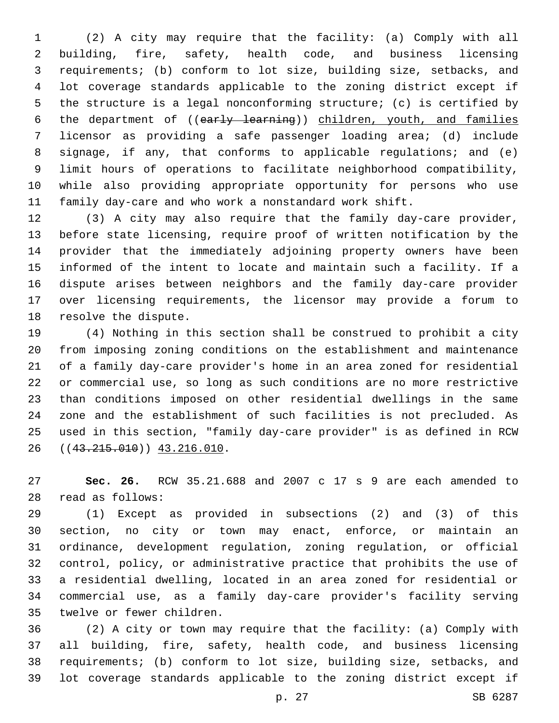(2) A city may require that the facility: (a) Comply with all building, fire, safety, health code, and business licensing requirements; (b) conform to lot size, building size, setbacks, and lot coverage standards applicable to the zoning district except if the structure is a legal nonconforming structure; (c) is certified by 6 the department of ((early learning)) children, youth, and families licensor as providing a safe passenger loading area; (d) include signage, if any, that conforms to applicable regulations; and (e) limit hours of operations to facilitate neighborhood compatibility, while also providing appropriate opportunity for persons who use family day-care and who work a nonstandard work shift.

 (3) A city may also require that the family day-care provider, before state licensing, require proof of written notification by the provider that the immediately adjoining property owners have been informed of the intent to locate and maintain such a facility. If a dispute arises between neighbors and the family day-care provider over licensing requirements, the licensor may provide a forum to 18 resolve the dispute.

 (4) Nothing in this section shall be construed to prohibit a city from imposing zoning conditions on the establishment and maintenance of a family day-care provider's home in an area zoned for residential or commercial use, so long as such conditions are no more restrictive than conditions imposed on other residential dwellings in the same zone and the establishment of such facilities is not precluded. As used in this section, "family day-care provider" is as defined in RCW 26 ((43.215.010)) 43.216.010.

 **Sec. 26.** RCW 35.21.688 and 2007 c 17 s 9 are each amended to read as follows:28

 (1) Except as provided in subsections (2) and (3) of this section, no city or town may enact, enforce, or maintain an ordinance, development regulation, zoning regulation, or official control, policy, or administrative practice that prohibits the use of a residential dwelling, located in an area zoned for residential or commercial use, as a family day-care provider's facility serving 35 twelve or fewer children.

 (2) A city or town may require that the facility: (a) Comply with all building, fire, safety, health code, and business licensing requirements; (b) conform to lot size, building size, setbacks, and lot coverage standards applicable to the zoning district except if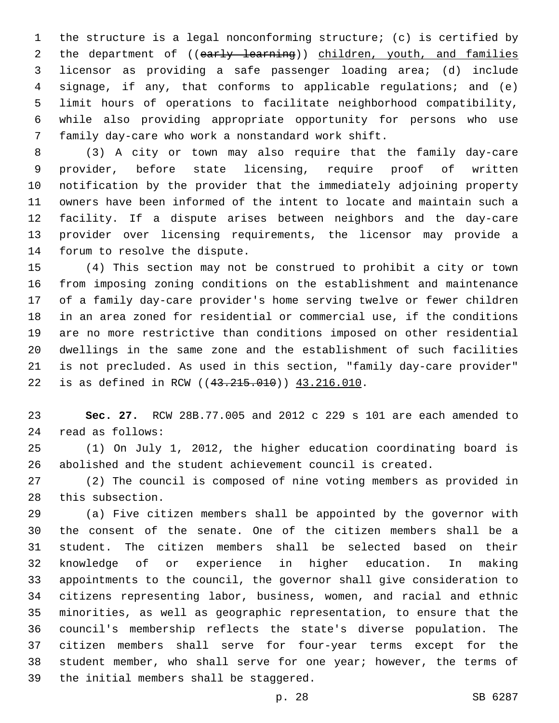the structure is a legal nonconforming structure; (c) is certified by 2 the department of ((early learning)) children, youth, and families licensor as providing a safe passenger loading area; (d) include signage, if any, that conforms to applicable regulations; and (e) limit hours of operations to facilitate neighborhood compatibility, while also providing appropriate opportunity for persons who use 7 family day-care who work a nonstandard work shift.

 (3) A city or town may also require that the family day-care provider, before state licensing, require proof of written notification by the provider that the immediately adjoining property owners have been informed of the intent to locate and maintain such a facility. If a dispute arises between neighbors and the day-care provider over licensing requirements, the licensor may provide a 14 forum to resolve the dispute.

 (4) This section may not be construed to prohibit a city or town from imposing zoning conditions on the establishment and maintenance of a family day-care provider's home serving twelve or fewer children in an area zoned for residential or commercial use, if the conditions are no more restrictive than conditions imposed on other residential dwellings in the same zone and the establishment of such facilities is not precluded. As used in this section, "family day-care provider" 22 is as defined in RCW ((43.215.010)) 43.216.010.

 **Sec. 27.** RCW 28B.77.005 and 2012 c 229 s 101 are each amended to read as follows:24

 (1) On July 1, 2012, the higher education coordinating board is abolished and the student achievement council is created.

 (2) The council is composed of nine voting members as provided in 28 this subsection.

 (a) Five citizen members shall be appointed by the governor with the consent of the senate. One of the citizen members shall be a student. The citizen members shall be selected based on their knowledge of or experience in higher education. In making appointments to the council, the governor shall give consideration to citizens representing labor, business, women, and racial and ethnic minorities, as well as geographic representation, to ensure that the council's membership reflects the state's diverse population. The citizen members shall serve for four-year terms except for the 38 student member, who shall serve for one year; however, the terms of 39 the initial members shall be staggered.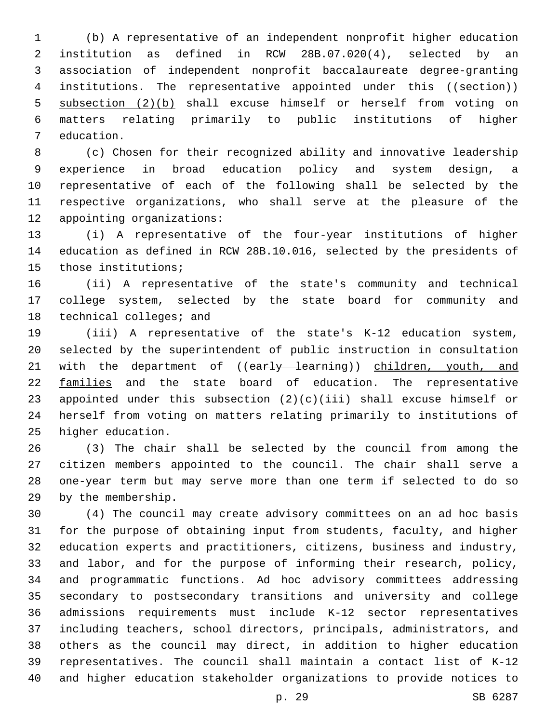(b) A representative of an independent nonprofit higher education institution as defined in RCW 28B.07.020(4), selected by an association of independent nonprofit baccalaureate degree-granting 4 institutions. The representative appointed under this ((section)) subsection (2)(b) shall excuse himself or herself from voting on matters relating primarily to public institutions of higher 7 education.

 (c) Chosen for their recognized ability and innovative leadership experience in broad education policy and system design, a representative of each of the following shall be selected by the respective organizations, who shall serve at the pleasure of the 12 appointing organizations:

 (i) A representative of the four-year institutions of higher education as defined in RCW 28B.10.016, selected by the presidents of 15 those institutions;

 (ii) A representative of the state's community and technical college system, selected by the state board for community and 18 technical colleges; and

 (iii) A representative of the state's K-12 education system, selected by the superintendent of public instruction in consultation 21 with the department of ((early learning)) children, youth, and families and the state board of education. The representative appointed under this subsection (2)(c)(iii) shall excuse himself or herself from voting on matters relating primarily to institutions of 25 higher education.

 (3) The chair shall be selected by the council from among the citizen members appointed to the council. The chair shall serve a one-year term but may serve more than one term if selected to do so 29 by the membership.

 (4) The council may create advisory committees on an ad hoc basis for the purpose of obtaining input from students, faculty, and higher education experts and practitioners, citizens, business and industry, and labor, and for the purpose of informing their research, policy, and programmatic functions. Ad hoc advisory committees addressing secondary to postsecondary transitions and university and college admissions requirements must include K-12 sector representatives including teachers, school directors, principals, administrators, and others as the council may direct, in addition to higher education representatives. The council shall maintain a contact list of K-12 and higher education stakeholder organizations to provide notices to

p. 29 SB 6287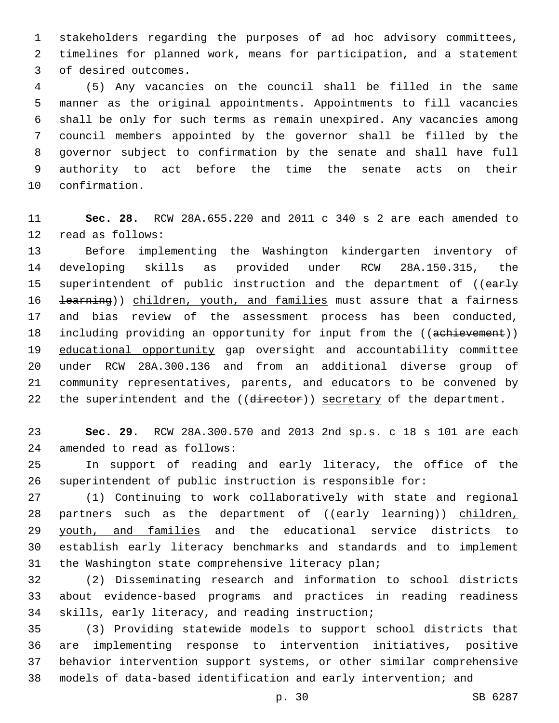stakeholders regarding the purposes of ad hoc advisory committees, timelines for planned work, means for participation, and a statement 3 of desired outcomes.

 (5) Any vacancies on the council shall be filled in the same manner as the original appointments. Appointments to fill vacancies shall be only for such terms as remain unexpired. Any vacancies among council members appointed by the governor shall be filled by the governor subject to confirmation by the senate and shall have full authority to act before the time the senate acts on their 10 confirmation.

 **Sec. 28.** RCW 28A.655.220 and 2011 c 340 s 2 are each amended to 12 read as follows:

 Before implementing the Washington kindergarten inventory of developing skills as provided under RCW 28A.150.315, the 15 superintendent of public instruction and the department of ((early 16 <del>learning</del>)) children, youth, and families must assure that a fairness and bias review of the assessment process has been conducted, 18 including providing an opportunity for input from the ((achievement)) educational opportunity gap oversight and accountability committee under RCW 28A.300.136 and from an additional diverse group of community representatives, parents, and educators to be convened by 22 the superintendent and the ((director)) secretary of the department.

 **Sec. 29.** RCW 28A.300.570 and 2013 2nd sp.s. c 18 s 101 are each 24 amended to read as follows:

 In support of reading and early literacy, the office of the superintendent of public instruction is responsible for:

 (1) Continuing to work collaboratively with state and regional 28 partners such as the department of ((early learning)) children, 29 youth, and families and the educational service districts to establish early literacy benchmarks and standards and to implement 31 the Washington state comprehensive literacy plan;

 (2) Disseminating research and information to school districts about evidence-based programs and practices in reading readiness 34 skills, early literacy, and reading instruction;

 (3) Providing statewide models to support school districts that are implementing response to intervention initiatives, positive behavior intervention support systems, or other similar comprehensive models of data-based identification and early intervention; and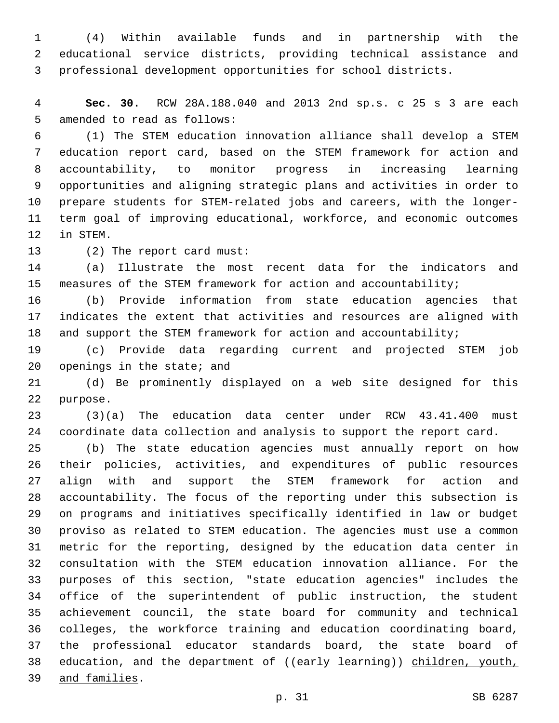(4) Within available funds and in partnership with the educational service districts, providing technical assistance and professional development opportunities for school districts.

 **Sec. 30.** RCW 28A.188.040 and 2013 2nd sp.s. c 25 s 3 are each 5 amended to read as follows:

 (1) The STEM education innovation alliance shall develop a STEM education report card, based on the STEM framework for action and accountability, to monitor progress in increasing learning opportunities and aligning strategic plans and activities in order to prepare students for STEM-related jobs and careers, with the longer- term goal of improving educational, workforce, and economic outcomes 12 in STEM.

13 (2) The report card must:

 (a) Illustrate the most recent data for the indicators and measures of the STEM framework for action and accountability;

 (b) Provide information from state education agencies that indicates the extent that activities and resources are aligned with 18 and support the STEM framework for action and accountability;

 (c) Provide data regarding current and projected STEM job openings in the state; and

 (d) Be prominently displayed on a web site designed for this 22 purpose.

 (3)(a) The education data center under RCW 43.41.400 must coordinate data collection and analysis to support the report card.

 (b) The state education agencies must annually report on how their policies, activities, and expenditures of public resources align with and support the STEM framework for action and accountability. The focus of the reporting under this subsection is on programs and initiatives specifically identified in law or budget proviso as related to STEM education. The agencies must use a common metric for the reporting, designed by the education data center in consultation with the STEM education innovation alliance. For the purposes of this section, "state education agencies" includes the office of the superintendent of public instruction, the student achievement council, the state board for community and technical colleges, the workforce training and education coordinating board, the professional educator standards board, the state board of 38 education, and the department of ((early learning)) children, youth, and families.39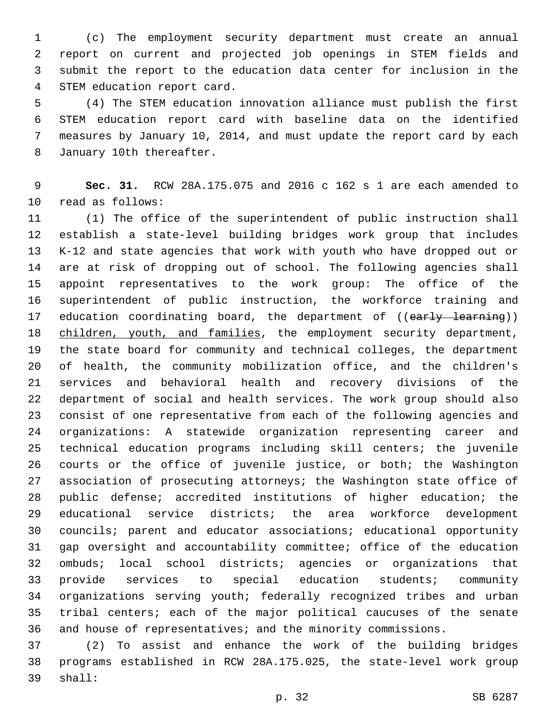(c) The employment security department must create an annual report on current and projected job openings in STEM fields and submit the report to the education data center for inclusion in the 4 STEM education report card.

 (4) The STEM education innovation alliance must publish the first STEM education report card with baseline data on the identified measures by January 10, 2014, and must update the report card by each 8 January 10th thereafter.

 **Sec. 31.** RCW 28A.175.075 and 2016 c 162 s 1 are each amended to 10 read as follows:

 (1) The office of the superintendent of public instruction shall establish a state-level building bridges work group that includes K-12 and state agencies that work with youth who have dropped out or are at risk of dropping out of school. The following agencies shall appoint representatives to the work group: The office of the superintendent of public instruction, the workforce training and 17 education coordinating board, the department of ((early learning)) 18 children, youth, and families, the employment security department, the state board for community and technical colleges, the department of health, the community mobilization office, and the children's services and behavioral health and recovery divisions of the department of social and health services. The work group should also consist of one representative from each of the following agencies and organizations: A statewide organization representing career and technical education programs including skill centers; the juvenile courts or the office of juvenile justice, or both; the Washington association of prosecuting attorneys; the Washington state office of public defense; accredited institutions of higher education; the educational service districts; the area workforce development councils; parent and educator associations; educational opportunity gap oversight and accountability committee; office of the education ombuds; local school districts; agencies or organizations that provide services to special education students; community organizations serving youth; federally recognized tribes and urban tribal centers; each of the major political caucuses of the senate and house of representatives; and the minority commissions.

 (2) To assist and enhance the work of the building bridges programs established in RCW 28A.175.025, the state-level work group 39 shall: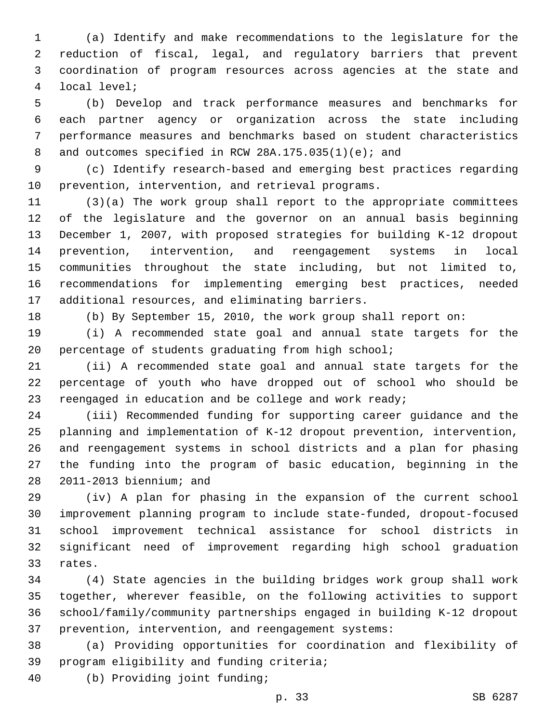(a) Identify and make recommendations to the legislature for the reduction of fiscal, legal, and regulatory barriers that prevent coordination of program resources across agencies at the state and local level;4

 (b) Develop and track performance measures and benchmarks for each partner agency or organization across the state including performance measures and benchmarks based on student characteristics 8 and outcomes specified in RCW 28A.175.035(1)(e); and

 (c) Identify research-based and emerging best practices regarding 10 prevention, intervention, and retrieval programs.

 (3)(a) The work group shall report to the appropriate committees of the legislature and the governor on an annual basis beginning December 1, 2007, with proposed strategies for building K-12 dropout prevention, intervention, and reengagement systems in local communities throughout the state including, but not limited to, recommendations for implementing emerging best practices, needed 17 additional resources, and eliminating barriers.

(b) By September 15, 2010, the work group shall report on:

 (i) A recommended state goal and annual state targets for the percentage of students graduating from high school;

 (ii) A recommended state goal and annual state targets for the percentage of youth who have dropped out of school who should be 23 reengaged in education and be college and work ready;

 (iii) Recommended funding for supporting career guidance and the planning and implementation of K-12 dropout prevention, intervention, and reengagement systems in school districts and a plan for phasing the funding into the program of basic education, beginning in the 28 2011-2013 biennium; and

 (iv) A plan for phasing in the expansion of the current school improvement planning program to include state-funded, dropout-focused school improvement technical assistance for school districts in significant need of improvement regarding high school graduation 33 rates.

 (4) State agencies in the building bridges work group shall work together, wherever feasible, on the following activities to support school/family/community partnerships engaged in building K-12 dropout prevention, intervention, and reengagement systems:

 (a) Providing opportunities for coordination and flexibility of 39 program eligibility and funding criteria;

(b) Providing joint funding;40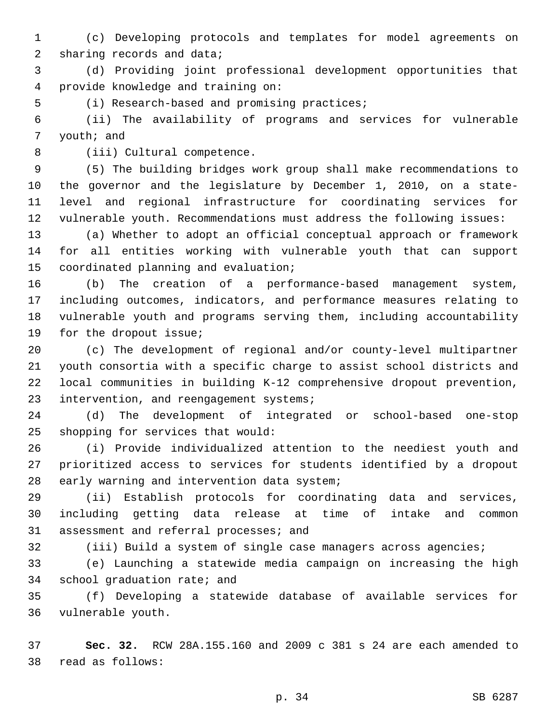(c) Developing protocols and templates for model agreements on 2 sharing records and data;

 (d) Providing joint professional development opportunities that provide knowledge and training on:4

5 (i) Research-based and promising practices;

 (ii) The availability of programs and services for vulnerable 7 youth; and

8 (iii) Cultural competence.

 (5) The building bridges work group shall make recommendations to the governor and the legislature by December 1, 2010, on a state- level and regional infrastructure for coordinating services for vulnerable youth. Recommendations must address the following issues:

 (a) Whether to adopt an official conceptual approach or framework for all entities working with vulnerable youth that can support 15 coordinated planning and evaluation;

 (b) The creation of a performance-based management system, including outcomes, indicators, and performance measures relating to vulnerable youth and programs serving them, including accountability 19 for the dropout issue;

 (c) The development of regional and/or county-level multipartner youth consortia with a specific charge to assist school districts and local communities in building K-12 comprehensive dropout prevention, 23 intervention, and reengagement systems;

 (d) The development of integrated or school-based one-stop 25 shopping for services that would:

 (i) Provide individualized attention to the neediest youth and prioritized access to services for students identified by a dropout 28 early warning and intervention data system;

 (ii) Establish protocols for coordinating data and services, including getting data release at time of intake and common 31 assessment and referral processes; and

(iii) Build a system of single case managers across agencies;

 (e) Launching a statewide media campaign on increasing the high 34 school graduation rate; and

 (f) Developing a statewide database of available services for 36 vulnerable youth.

 **Sec. 32.** RCW 28A.155.160 and 2009 c 381 s 24 are each amended to read as follows:38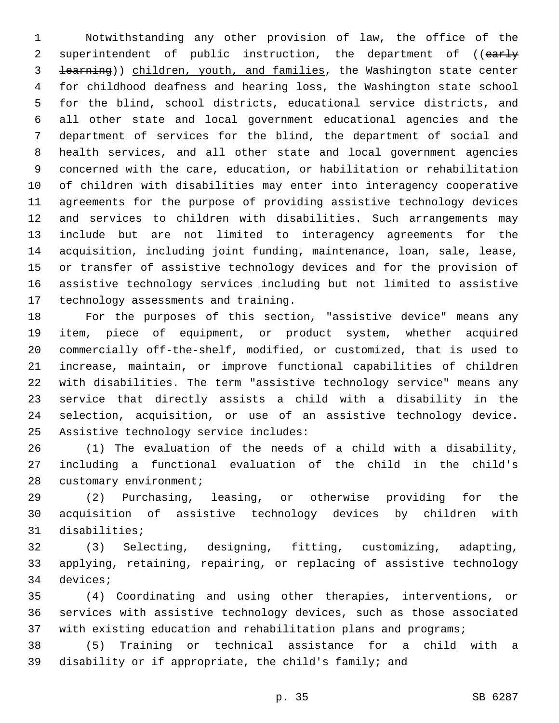Notwithstanding any other provision of law, the office of the 2 superintendent of public instruction, the department of ((early learning)) children, youth, and families, the Washington state center for childhood deafness and hearing loss, the Washington state school for the blind, school districts, educational service districts, and all other state and local government educational agencies and the department of services for the blind, the department of social and health services, and all other state and local government agencies concerned with the care, education, or habilitation or rehabilitation of children with disabilities may enter into interagency cooperative agreements for the purpose of providing assistive technology devices and services to children with disabilities. Such arrangements may include but are not limited to interagency agreements for the acquisition, including joint funding, maintenance, loan, sale, lease, or transfer of assistive technology devices and for the provision of assistive technology services including but not limited to assistive 17 technology assessments and training.

 For the purposes of this section, "assistive device" means any item, piece of equipment, or product system, whether acquired commercially off-the-shelf, modified, or customized, that is used to increase, maintain, or improve functional capabilities of children with disabilities. The term "assistive technology service" means any service that directly assists a child with a disability in the selection, acquisition, or use of an assistive technology device. 25 Assistive technology service includes:

 (1) The evaluation of the needs of a child with a disability, including a functional evaluation of the child in the child's 28 customary environment;

 (2) Purchasing, leasing, or otherwise providing for the acquisition of assistive technology devices by children with 31 disabilities;

 (3) Selecting, designing, fitting, customizing, adapting, applying, retaining, repairing, or replacing of assistive technology 34 devices;

 (4) Coordinating and using other therapies, interventions, or services with assistive technology devices, such as those associated with existing education and rehabilitation plans and programs;

 (5) Training or technical assistance for a child with a disability or if appropriate, the child's family; and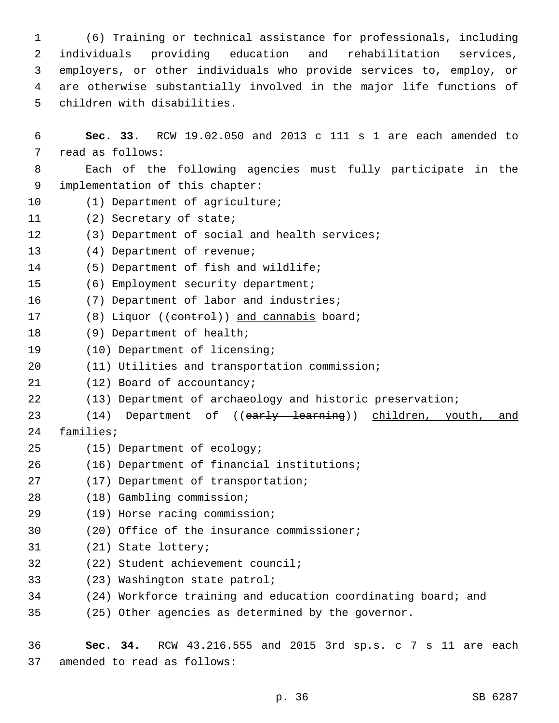(6) Training or technical assistance for professionals, including individuals providing education and rehabilitation services, employers, or other individuals who provide services to, employ, or are otherwise substantially involved in the major life functions of 5 children with disabilities.

6 **Sec. 33.** RCW 19.02.050 and 2013 c 111 s 1 are each amended to 7 read as follows: 8 Each of the following agencies must fully participate in the 9 implementation of this chapter: 10 (1) Department of agriculture; 11 (2) Secretary of state; 12 (3) Department of social and health services; 13 (4) Department of revenue; 14 (5) Department of fish and wildlife; 15 (6) Employment security department; 16 (7) Department of labor and industries; 17 (8) Liquor ((eontrol)) and cannabis board; 18 (9) Department of health; 19 (10) Department of licensing; 20 (11) Utilities and transportation commission; 21 (12) Board of accountancy; 22 (13) Department of archaeology and historic preservation; 23 (14) Department of ((early learning)) children, youth, and 24 families; 25 (15) Department of ecology; (16) Department of financial institutions;26 27 (17) Department of transportation; (18) Gambling commission;28 (19) Horse racing commission;29 30 (20) Office of the insurance commissioner; 31 (21) State lottery; 32 (22) Student achievement council; 33 (23) Washington state patrol; 34 (24) Workforce training and education coordinating board; and 35 (25) Other agencies as determined by the governor.

36 **Sec. 34.** RCW 43.216.555 and 2015 3rd sp.s. c 7 s 11 are each 37 amended to read as follows: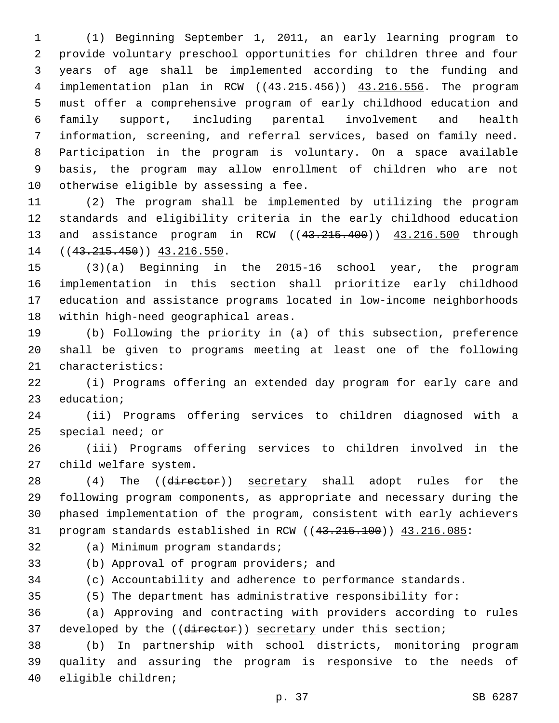(1) Beginning September 1, 2011, an early learning program to provide voluntary preschool opportunities for children three and four years of age shall be implemented according to the funding and implementation plan in RCW ((43.215.456)) 43.216.556. The program must offer a comprehensive program of early childhood education and family support, including parental involvement and health information, screening, and referral services, based on family need. Participation in the program is voluntary. On a space available basis, the program may allow enrollment of children who are not 10 otherwise eligible by assessing a fee.

 (2) The program shall be implemented by utilizing the program standards and eligibility criteria in the early childhood education and assistance program in RCW ((43.215.400)) 43.216.500 through 14 ((43.215.450)) 43.216.550.

 (3)(a) Beginning in the 2015-16 school year, the program implementation in this section shall prioritize early childhood education and assistance programs located in low-income neighborhoods 18 within high-need geographical areas.

 (b) Following the priority in (a) of this subsection, preference shall be given to programs meeting at least one of the following 21 characteristics:

 (i) Programs offering an extended day program for early care and 23 education;

 (ii) Programs offering services to children diagnosed with a special need; or

 (iii) Programs offering services to children involved in the 27 child welfare system.

28 (4) The ((director)) secretary shall adopt rules for the following program components, as appropriate and necessary during the phased implementation of the program, consistent with early achievers 31 program standards established in RCW ((43.215.100)) 43.216.085:

32 (a) Minimum program standards;

(b) Approval of program providers; and

(c) Accountability and adherence to performance standards.

(5) The department has administrative responsibility for:

 (a) Approving and contracting with providers according to rules 37 developed by the ((director)) secretary under this section;

 (b) In partnership with school districts, monitoring program quality and assuring the program is responsive to the needs of 40 eligible children;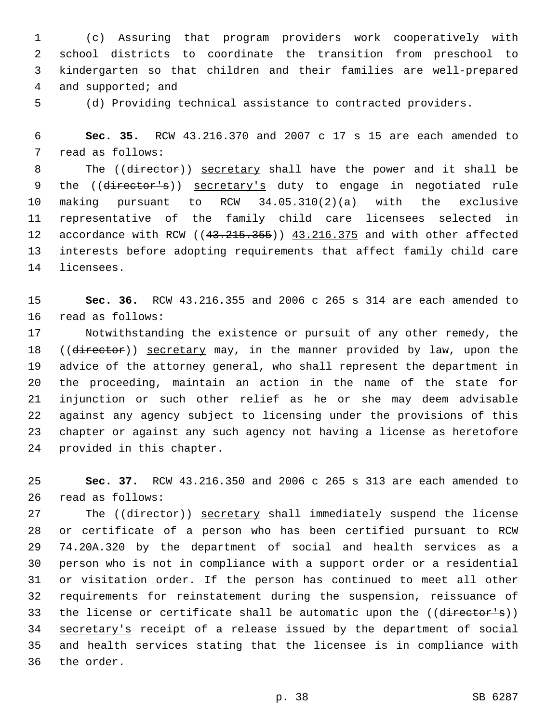(c) Assuring that program providers work cooperatively with school districts to coordinate the transition from preschool to kindergarten so that children and their families are well-prepared 4 and supported; and

(d) Providing technical assistance to contracted providers.

 **Sec. 35.** RCW 43.216.370 and 2007 c 17 s 15 are each amended to 7 read as follows:

8 The ((director)) secretary shall have the power and it shall be 9 the ((director's)) secretary's duty to engage in negotiated rule making pursuant to RCW 34.05.310(2)(a) with the exclusive representative of the family child care licensees selected in 12 accordance with RCW ((43.215.355)) 43.216.375 and with other affected interests before adopting requirements that affect family child care 14 licensees.

 **Sec. 36.** RCW 43.216.355 and 2006 c 265 s 314 are each amended to 16 read as follows:

 Notwithstanding the existence or pursuit of any other remedy, the 18 ((director)) secretary may, in the manner provided by law, upon the advice of the attorney general, who shall represent the department in the proceeding, maintain an action in the name of the state for injunction or such other relief as he or she may deem advisable against any agency subject to licensing under the provisions of this chapter or against any such agency not having a license as heretofore 24 provided in this chapter.

 **Sec. 37.** RCW 43.216.350 and 2006 c 265 s 313 are each amended to 26 read as follows:

27 The ((director)) secretary shall immediately suspend the license or certificate of a person who has been certified pursuant to RCW 74.20A.320 by the department of social and health services as a person who is not in compliance with a support order or a residential or visitation order. If the person has continued to meet all other requirements for reinstatement during the suspension, reissuance of 33 the license or certificate shall be automatic upon the ((director's)) secretary's receipt of a release issued by the department of social and health services stating that the licensee is in compliance with 36 the order.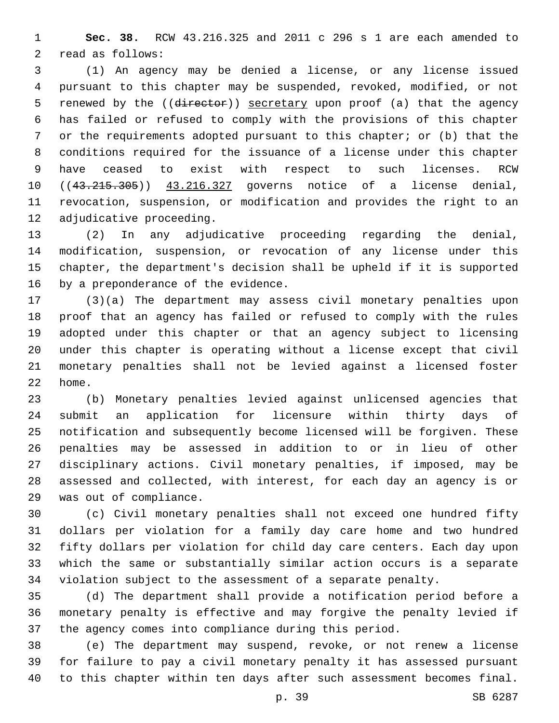**Sec. 38.** RCW 43.216.325 and 2011 c 296 s 1 are each amended to 2 read as follows:

 (1) An agency may be denied a license, or any license issued pursuant to this chapter may be suspended, revoked, modified, or not 5 renewed by the ((director)) secretary upon proof (a) that the agency has failed or refused to comply with the provisions of this chapter or the requirements adopted pursuant to this chapter; or (b) that the conditions required for the issuance of a license under this chapter have ceased to exist with respect to such licenses. RCW 10 ((43.215.305)) 43.216.327 governs notice of a license denial, revocation, suspension, or modification and provides the right to an 12 adjudicative proceeding.

 (2) In any adjudicative proceeding regarding the denial, modification, suspension, or revocation of any license under this chapter, the department's decision shall be upheld if it is supported 16 by a preponderance of the evidence.

 (3)(a) The department may assess civil monetary penalties upon proof that an agency has failed or refused to comply with the rules adopted under this chapter or that an agency subject to licensing under this chapter is operating without a license except that civil monetary penalties shall not be levied against a licensed foster 22 home.

 (b) Monetary penalties levied against unlicensed agencies that submit an application for licensure within thirty days of notification and subsequently become licensed will be forgiven. These penalties may be assessed in addition to or in lieu of other disciplinary actions. Civil monetary penalties, if imposed, may be assessed and collected, with interest, for each day an agency is or 29 was out of compliance.

 (c) Civil monetary penalties shall not exceed one hundred fifty dollars per violation for a family day care home and two hundred fifty dollars per violation for child day care centers. Each day upon which the same or substantially similar action occurs is a separate violation subject to the assessment of a separate penalty.

 (d) The department shall provide a notification period before a monetary penalty is effective and may forgive the penalty levied if the agency comes into compliance during this period.

 (e) The department may suspend, revoke, or not renew a license for failure to pay a civil monetary penalty it has assessed pursuant to this chapter within ten days after such assessment becomes final.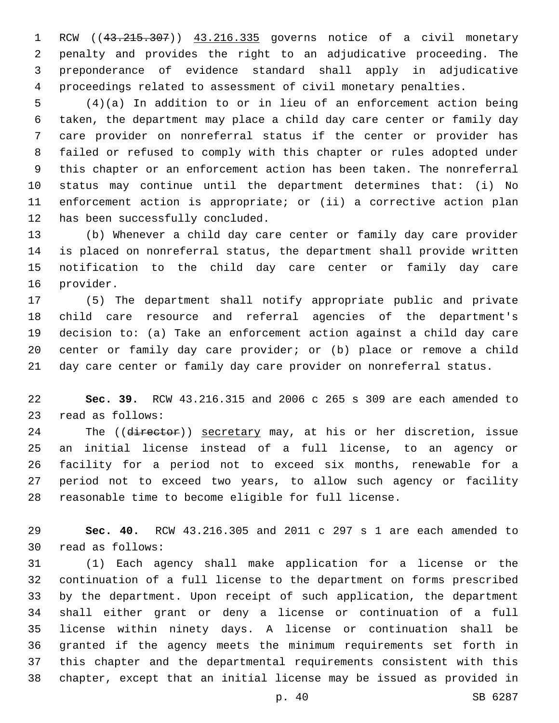RCW ((43.215.307)) 43.216.335 governs notice of a civil monetary penalty and provides the right to an adjudicative proceeding. The preponderance of evidence standard shall apply in adjudicative proceedings related to assessment of civil monetary penalties.

 (4)(a) In addition to or in lieu of an enforcement action being taken, the department may place a child day care center or family day care provider on nonreferral status if the center or provider has failed or refused to comply with this chapter or rules adopted under this chapter or an enforcement action has been taken. The nonreferral status may continue until the department determines that: (i) No enforcement action is appropriate; or (ii) a corrective action plan 12 has been successfully concluded.

 (b) Whenever a child day care center or family day care provider is placed on nonreferral status, the department shall provide written notification to the child day care center or family day care 16 provider.

 (5) The department shall notify appropriate public and private child care resource and referral agencies of the department's decision to: (a) Take an enforcement action against a child day care center or family day care provider; or (b) place or remove a child day care center or family day care provider on nonreferral status.

 **Sec. 39.** RCW 43.216.315 and 2006 c 265 s 309 are each amended to 23 read as follows:

24 The ((director)) secretary may, at his or her discretion, issue an initial license instead of a full license, to an agency or facility for a period not to exceed six months, renewable for a period not to exceed two years, to allow such agency or facility reasonable time to become eligible for full license.

 **Sec. 40.** RCW 43.216.305 and 2011 c 297 s 1 are each amended to 30 read as follows:

 (1) Each agency shall make application for a license or the continuation of a full license to the department on forms prescribed by the department. Upon receipt of such application, the department shall either grant or deny a license or continuation of a full license within ninety days. A license or continuation shall be granted if the agency meets the minimum requirements set forth in this chapter and the departmental requirements consistent with this chapter, except that an initial license may be issued as provided in

p. 40 SB 6287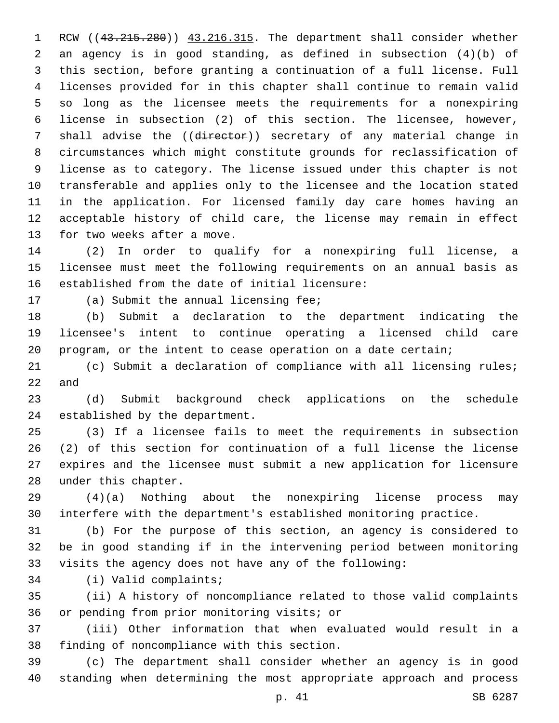1 RCW ((43.215.280)) 43.216.315. The department shall consider whether an agency is in good standing, as defined in subsection (4)(b) of this section, before granting a continuation of a full license. Full licenses provided for in this chapter shall continue to remain valid so long as the licensee meets the requirements for a nonexpiring license in subsection (2) of this section. The licensee, however, 7 shall advise the ((director)) secretary of any material change in circumstances which might constitute grounds for reclassification of license as to category. The license issued under this chapter is not transferable and applies only to the licensee and the location stated in the application. For licensed family day care homes having an acceptable history of child care, the license may remain in effect 13 for two weeks after a move.

 (2) In order to qualify for a nonexpiring full license, a licensee must meet the following requirements on an annual basis as established from the date of initial licensure:

17 (a) Submit the annual licensing fee;

 (b) Submit a declaration to the department indicating the licensee's intent to continue operating a licensed child care program, or the intent to cease operation on a date certain;

 (c) Submit a declaration of compliance with all licensing rules; and

 (d) Submit background check applications on the schedule 24 established by the department.

 (3) If a licensee fails to meet the requirements in subsection (2) of this section for continuation of a full license the license expires and the licensee must submit a new application for licensure 28 under this chapter.

 (4)(a) Nothing about the nonexpiring license process may interfere with the department's established monitoring practice.

 (b) For the purpose of this section, an agency is considered to be in good standing if in the intervening period between monitoring visits the agency does not have any of the following:

34 (i) Valid complaints;

 (ii) A history of noncompliance related to those valid complaints 36 or pending from prior monitoring visits; or

 (iii) Other information that when evaluated would result in a 38 finding of noncompliance with this section.

 (c) The department shall consider whether an agency is in good standing when determining the most appropriate approach and process

p. 41 SB 6287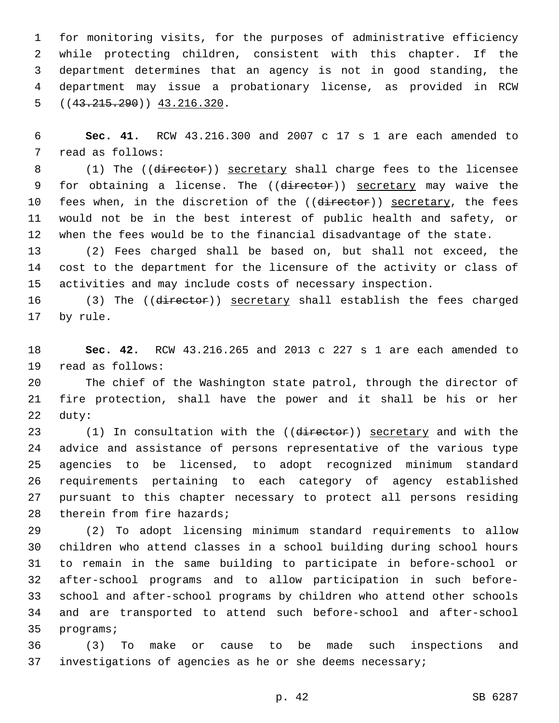for monitoring visits, for the purposes of administrative efficiency while protecting children, consistent with this chapter. If the department determines that an agency is not in good standing, the department may issue a probationary license, as provided in RCW  $( (43.215.290) )$  43.216.320.

 **Sec. 41.** RCW 43.216.300 and 2007 c 17 s 1 are each amended to 7 read as follows:

8 (1) The ((director)) secretary shall charge fees to the licensee 9 for obtaining a license. The ((director)) secretary may waive the 10 fees when, in the discretion of the ((director)) secretary, the fees would not be in the best interest of public health and safety, or when the fees would be to the financial disadvantage of the state.

 (2) Fees charged shall be based on, but shall not exceed, the cost to the department for the licensure of the activity or class of activities and may include costs of necessary inspection.

16 (3) The ((director)) secretary shall establish the fees charged 17 by rule.

 **Sec. 42.** RCW 43.216.265 and 2013 c 227 s 1 are each amended to 19 read as follows:

 The chief of the Washington state patrol, through the director of fire protection, shall have the power and it shall be his or her 22 duty:

23 (1) In consultation with the ((director)) secretary and with the advice and assistance of persons representative of the various type agencies to be licensed, to adopt recognized minimum standard requirements pertaining to each category of agency established pursuant to this chapter necessary to protect all persons residing 28 therein from fire hazards;

 (2) To adopt licensing minimum standard requirements to allow children who attend classes in a school building during school hours to remain in the same building to participate in before-school or after-school programs and to allow participation in such before- school and after-school programs by children who attend other schools and are transported to attend such before-school and after-school 35 programs;

 (3) To make or cause to be made such inspections and investigations of agencies as he or she deems necessary;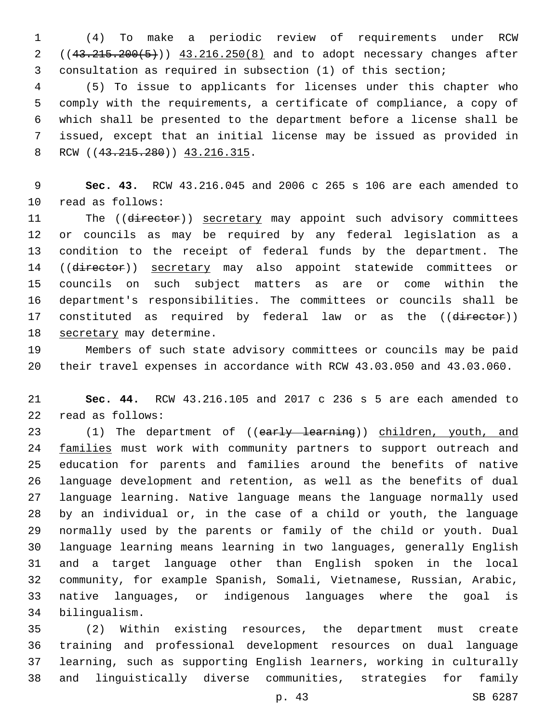(4) To make a periodic review of requirements under RCW 2 ((43.215.200(5))) 43.216.250(8) and to adopt necessary changes after consultation as required in subsection (1) of this section;

 (5) To issue to applicants for licenses under this chapter who comply with the requirements, a certificate of compliance, a copy of which shall be presented to the department before a license shall be issued, except that an initial license may be issued as provided in 8 RCW ((43.215.280)) 43.216.315.

 **Sec. 43.** RCW 43.216.045 and 2006 c 265 s 106 are each amended to 10 read as follows:

11 The ((director)) secretary may appoint such advisory committees or councils as may be required by any federal legislation as a condition to the receipt of federal funds by the department. The 14 ((director)) secretary may also appoint statewide committees or councils on such subject matters as are or come within the department's responsibilities. The committees or councils shall be 17 constituted as required by federal law or as the ((director)) 18 secretary may determine.

 Members of such state advisory committees or councils may be paid their travel expenses in accordance with RCW 43.03.050 and 43.03.060.

 **Sec. 44.** RCW 43.216.105 and 2017 c 236 s 5 are each amended to 22 read as follows:

23 (1) The department of ((early learning)) children, youth, and 24 families must work with community partners to support outreach and education for parents and families around the benefits of native language development and retention, as well as the benefits of dual language learning. Native language means the language normally used by an individual or, in the case of a child or youth, the language normally used by the parents or family of the child or youth. Dual language learning means learning in two languages, generally English and a target language other than English spoken in the local community, for example Spanish, Somali, Vietnamese, Russian, Arabic, native languages, or indigenous languages where the goal is bilingualism.34

 (2) Within existing resources, the department must create training and professional development resources on dual language learning, such as supporting English learners, working in culturally and linguistically diverse communities, strategies for family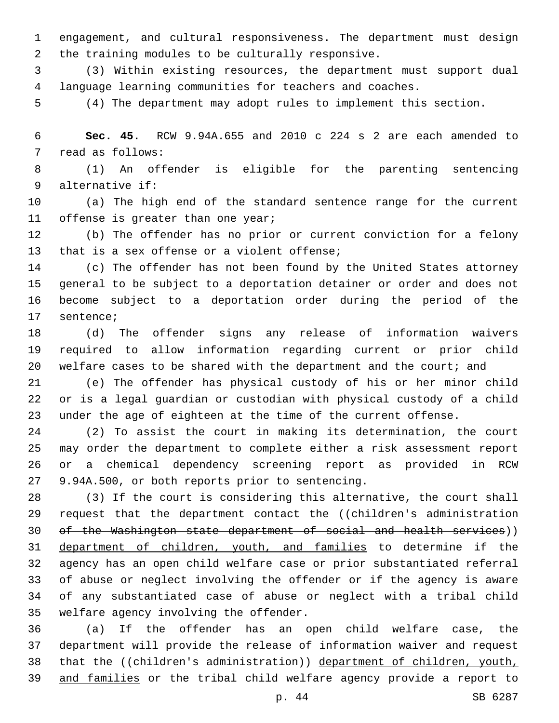engagement, and cultural responsiveness. The department must design 2 the training modules to be culturally responsive.

 (3) Within existing resources, the department must support dual language learning communities for teachers and coaches.

(4) The department may adopt rules to implement this section.

 **Sec. 45.** RCW 9.94A.655 and 2010 c 224 s 2 are each amended to 7 read as follows:

 (1) An offender is eligible for the parenting sentencing alternative if:9

 (a) The high end of the standard sentence range for the current 11 offense is greater than one year;

 (b) The offender has no prior or current conviction for a felony 13 that is a sex offense or a violent offense;

 (c) The offender has not been found by the United States attorney general to be subject to a deportation detainer or order and does not become subject to a deportation order during the period of the 17 sentence;

 (d) The offender signs any release of information waivers required to allow information regarding current or prior child 20 welfare cases to be shared with the department and the court; and

 (e) The offender has physical custody of his or her minor child or is a legal guardian or custodian with physical custody of a child under the age of eighteen at the time of the current offense.

 (2) To assist the court in making its determination, the court may order the department to complete either a risk assessment report or a chemical dependency screening report as provided in RCW 27 9.94A.500, or both reports prior to sentencing.

 (3) If the court is considering this alternative, the court shall 29 request that the department contact the ((children's administration of the Washington state department of social and health services)) department of children, youth, and families to determine if the agency has an open child welfare case or prior substantiated referral of abuse or neglect involving the offender or if the agency is aware of any substantiated case of abuse or neglect with a tribal child 35 welfare agency involving the offender.

 (a) If the offender has an open child welfare case, the department will provide the release of information waiver and request that the ((children's administration)) department of children, youth, and families or the tribal child welfare agency provide a report to

p. 44 SB 6287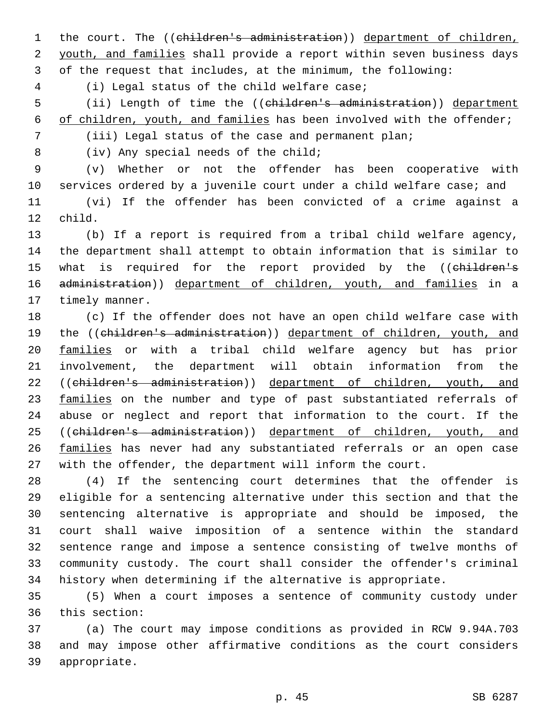1 the court. The ((children's administration)) department of children, 2 youth, and families shall provide a report within seven business days 3 of the request that includes, at the minimum, the following:

(i) Legal status of the child welfare case;4

5 (ii) Length of time the ((children's administration)) department 6 of children, youth, and families has been involved with the offender;

7 (iii) Legal status of the case and permanent plan;

8 (iv) Any special needs of the child;

 (v) Whether or not the offender has been cooperative with services ordered by a juvenile court under a child welfare case; and (vi) If the offender has been convicted of a crime against a 12 child.

13 (b) If a report is required from a tribal child welfare agency, 14 the department shall attempt to obtain information that is similar to 15 what is required for the report provided by the ((children's 16 administration)) department of children, youth, and families in a 17 timely manner.

18 (c) If the offender does not have an open child welfare case with 19 the ((children's administration)) department of children, youth, and 20 families or with a tribal child welfare agency but has prior 21 involvement, the department will obtain information from the 22 ((children's administration)) department of children, youth, and 23 families on the number and type of past substantiated referrals of 24 abuse or neglect and report that information to the court. If the 25 ((children's administration)) department of children, youth, and 26 families has never had any substantiated referrals or an open case 27 with the offender, the department will inform the court.

 (4) If the sentencing court determines that the offender is eligible for a sentencing alternative under this section and that the sentencing alternative is appropriate and should be imposed, the court shall waive imposition of a sentence within the standard sentence range and impose a sentence consisting of twelve months of community custody. The court shall consider the offender's criminal history when determining if the alternative is appropriate.

35 (5) When a court imposes a sentence of community custody under 36 this section:

37 (a) The court may impose conditions as provided in RCW 9.94A.703 38 and may impose other affirmative conditions as the court considers 39 appropriate.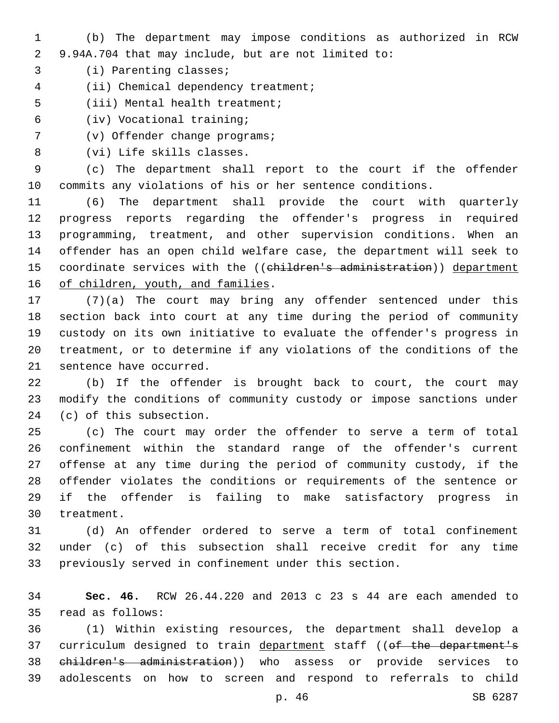- (b) The department may impose conditions as authorized in RCW 9.94A.704 that may include, but are not limited to:
- 3 (i) Parenting classes;
- 4 (ii) Chemical dependency treatment;
- 5 (iii) Mental health treatment;
- (iv) Vocational training;6
- 7 (v) Offender change programs;
- 8 (vi) Life skills classes.

 (c) The department shall report to the court if the offender commits any violations of his or her sentence conditions.

 (6) The department shall provide the court with quarterly progress reports regarding the offender's progress in required programming, treatment, and other supervision conditions. When an offender has an open child welfare case, the department will seek to 15 coordinate services with the ((children's administration)) department 16 of children, youth, and families.

 (7)(a) The court may bring any offender sentenced under this section back into court at any time during the period of community custody on its own initiative to evaluate the offender's progress in treatment, or to determine if any violations of the conditions of the 21 sentence have occurred.

 (b) If the offender is brought back to court, the court may modify the conditions of community custody or impose sanctions under 24 (c) of this subsection.

 (c) The court may order the offender to serve a term of total confinement within the standard range of the offender's current offense at any time during the period of community custody, if the offender violates the conditions or requirements of the sentence or if the offender is failing to make satisfactory progress in 30 treatment.

 (d) An offender ordered to serve a term of total confinement under (c) of this subsection shall receive credit for any time previously served in confinement under this section.

 **Sec. 46.** RCW 26.44.220 and 2013 c 23 s 44 are each amended to read as follows:35

 (1) Within existing resources, the department shall develop a 37 curriculum designed to train department staff ((of the department's children's administration)) who assess or provide services to adolescents on how to screen and respond to referrals to child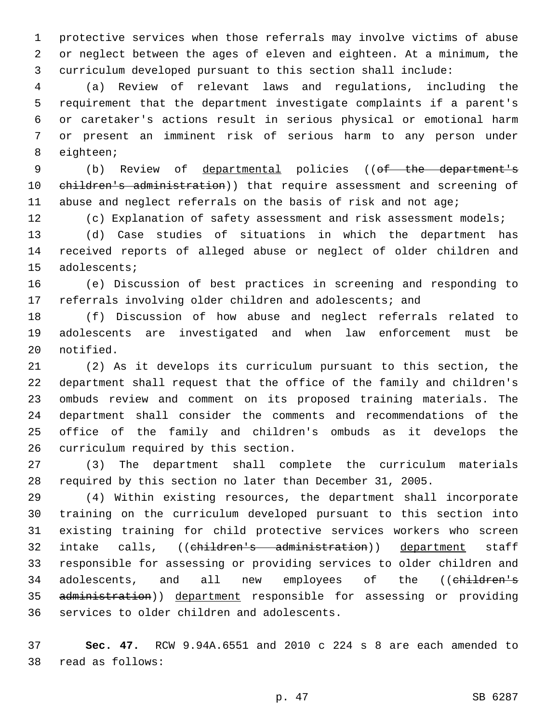protective services when those referrals may involve victims of abuse or neglect between the ages of eleven and eighteen. At a minimum, the curriculum developed pursuant to this section shall include:

 (a) Review of relevant laws and regulations, including the requirement that the department investigate complaints if a parent's or caretaker's actions result in serious physical or emotional harm or present an imminent risk of serious harm to any person under 8 eighteen;

 (b) Review of departmental policies ((of the department's 10 children's administration)) that require assessment and screening of abuse and neglect referrals on the basis of risk and not age;

(c) Explanation of safety assessment and risk assessment models;

 (d) Case studies of situations in which the department has received reports of alleged abuse or neglect of older children and 15 adolescents;

 (e) Discussion of best practices in screening and responding to referrals involving older children and adolescents; and

 (f) Discussion of how abuse and neglect referrals related to adolescents are investigated and when law enforcement must be 20 notified.

 (2) As it develops its curriculum pursuant to this section, the department shall request that the office of the family and children's ombuds review and comment on its proposed training materials. The department shall consider the comments and recommendations of the office of the family and children's ombuds as it develops the 26 curriculum required by this section.

 (3) The department shall complete the curriculum materials required by this section no later than December 31, 2005.

 (4) Within existing resources, the department shall incorporate training on the curriculum developed pursuant to this section into existing training for child protective services workers who screen 32 intake calls, ((children's administration)) department staff responsible for assessing or providing services to older children and 34 adolescents, and all new employees of the ((children's 35 administration)) department responsible for assessing or providing 36 services to older children and adolescents.

 **Sec. 47.** RCW 9.94A.6551 and 2010 c 224 s 8 are each amended to read as follows:38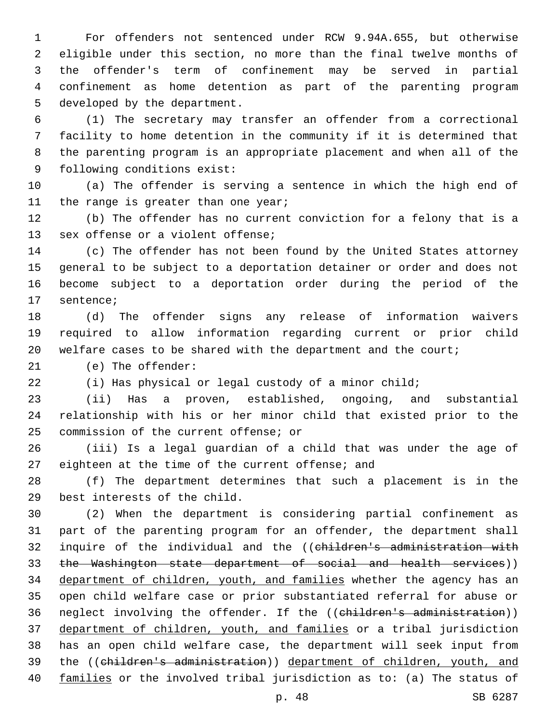For offenders not sentenced under RCW 9.94A.655, but otherwise eligible under this section, no more than the final twelve months of the offender's term of confinement may be served in partial confinement as home detention as part of the parenting program 5 developed by the department.

 (1) The secretary may transfer an offender from a correctional facility to home detention in the community if it is determined that the parenting program is an appropriate placement and when all of the 9 following conditions exist:

 (a) The offender is serving a sentence in which the high end of 11 the range is greater than one year;

 (b) The offender has no current conviction for a felony that is a 13 sex offense or a violent offense;

 (c) The offender has not been found by the United States attorney general to be subject to a deportation detainer or order and does not become subject to a deportation order during the period of the 17 sentence;

 (d) The offender signs any release of information waivers required to allow information regarding current or prior child welfare cases to be shared with the department and the court;

21 (e) The offender:

(i) Has physical or legal custody of a minor child;

 (ii) Has a proven, established, ongoing, and substantial relationship with his or her minor child that existed prior to the 25 commission of the current offense; or

 (iii) Is a legal guardian of a child that was under the age of 27 eighteen at the time of the current offense; and

 (f) The department determines that such a placement is in the 29 best interests of the child.

 (2) When the department is considering partial confinement as part of the parenting program for an offender, the department shall 32 inquire of the individual and the ((children's administration with 33 the Washington state department of social and health services)) 34 department of children, youth, and families whether the agency has an open child welfare case or prior substantiated referral for abuse or 36 neglect involving the offender. If the ((children's administration)) department of children, youth, and families or a tribal jurisdiction has an open child welfare case, the department will seek input from the ((children's administration)) department of children, youth, and families or the involved tribal jurisdiction as to: (a) The status of

p. 48 SB 6287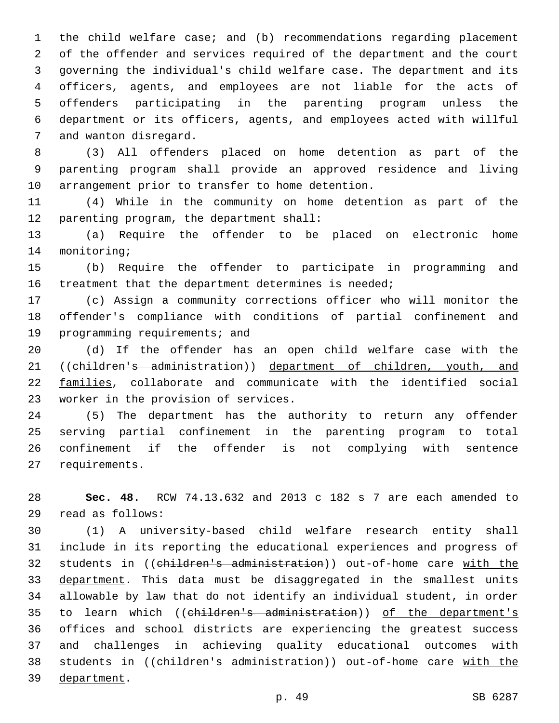the child welfare case; and (b) recommendations regarding placement of the offender and services required of the department and the court governing the individual's child welfare case. The department and its officers, agents, and employees are not liable for the acts of offenders participating in the parenting program unless the department or its officers, agents, and employees acted with willful 7 and wanton disregard.

 (3) All offenders placed on home detention as part of the parenting program shall provide an approved residence and living 10 arrangement prior to transfer to home detention.

 (4) While in the community on home detention as part of the 12 parenting program, the department shall:

 (a) Require the offender to be placed on electronic home 14 monitoring;

 (b) Require the offender to participate in programming and 16 treatment that the department determines is needed;

 (c) Assign a community corrections officer who will monitor the offender's compliance with conditions of partial confinement and 19 programming requirements; and

 (d) If the offender has an open child welfare case with the ((children's administration)) department of children, youth, and families, collaborate and communicate with the identified social 23 worker in the provision of services.

 (5) The department has the authority to return any offender serving partial confinement in the parenting program to total confinement if the offender is not complying with sentence 27 requirements.

 **Sec. 48.** RCW 74.13.632 and 2013 c 182 s 7 are each amended to read as follows:29

 (1) A university-based child welfare research entity shall include in its reporting the educational experiences and progress of students in ((children's administration)) out-of-home care with the 33 department. This data must be disaggregated in the smallest units allowable by law that do not identify an individual student, in order 35 to learn which ((children's administration)) of the department's offices and school districts are experiencing the greatest success and challenges in achieving quality educational outcomes with 38 students in ((children's administration)) out-of-home care with the 39 department.

p. 49 SB 6287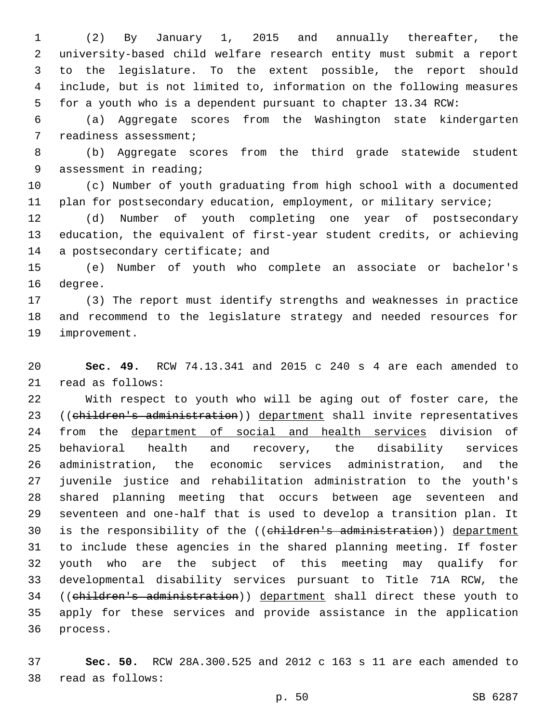(2) By January 1, 2015 and annually thereafter, the university-based child welfare research entity must submit a report to the legislature. To the extent possible, the report should include, but is not limited to, information on the following measures for a youth who is a dependent pursuant to chapter 13.34 RCW:

 (a) Aggregate scores from the Washington state kindergarten 7 readiness assessment;

 (b) Aggregate scores from the third grade statewide student 9 assessment in reading;

 (c) Number of youth graduating from high school with a documented 11 plan for postsecondary education, employment, or military service;

 (d) Number of youth completing one year of postsecondary education, the equivalent of first-year student credits, or achieving 14 a postsecondary certificate; and

 (e) Number of youth who complete an associate or bachelor's 16 degree.

 (3) The report must identify strengths and weaknesses in practice and recommend to the legislature strategy and needed resources for 19 improvement.

 **Sec. 49.** RCW 74.13.341 and 2015 c 240 s 4 are each amended to 21 read as follows:

 With respect to youth who will be aging out of foster care, the 23 ((children's administration)) department shall invite representatives 24 from the department of social and health services division of behavioral health and recovery, the disability services administration, the economic services administration, and the juvenile justice and rehabilitation administration to the youth's shared planning meeting that occurs between age seventeen and seventeen and one-half that is used to develop a transition plan. It 30 is the responsibility of the ((children's administration)) department to include these agencies in the shared planning meeting. If foster youth who are the subject of this meeting may qualify for developmental disability services pursuant to Title 71A RCW, the ((children's administration)) department shall direct these youth to apply for these services and provide assistance in the application 36 process.

 **Sec. 50.** RCW 28A.300.525 and 2012 c 163 s 11 are each amended to 38 read as follows: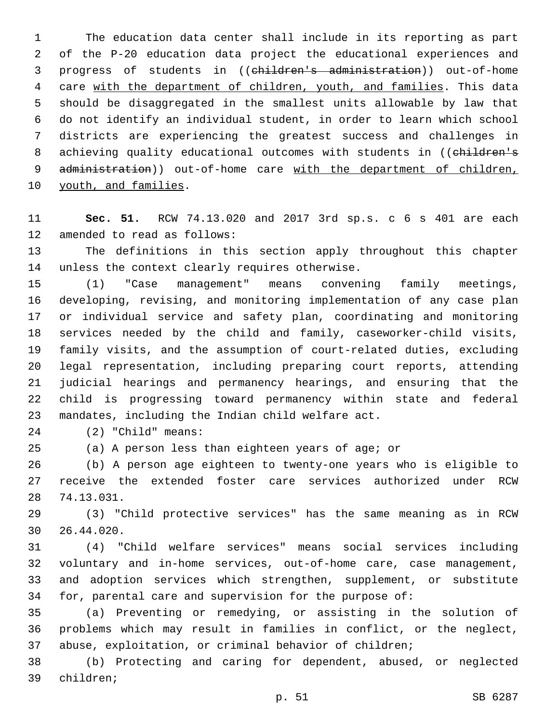The education data center shall include in its reporting as part of the P-20 education data project the educational experiences and progress of students in ((children's administration)) out-of-home care with the department of children, youth, and families. This data should be disaggregated in the smallest units allowable by law that do not identify an individual student, in order to learn which school districts are experiencing the greatest success and challenges in 8 achieving quality educational outcomes with students in ((children's 9 administration)) out-of-home care with the department of children, 10 youth, and families.

 **Sec. 51.** RCW 74.13.020 and 2017 3rd sp.s. c 6 s 401 are each 12 amended to read as follows:

 The definitions in this section apply throughout this chapter 14 unless the context clearly requires otherwise.

 (1) "Case management" means convening family meetings, developing, revising, and monitoring implementation of any case plan or individual service and safety plan, coordinating and monitoring services needed by the child and family, caseworker-child visits, family visits, and the assumption of court-related duties, excluding legal representation, including preparing court reports, attending judicial hearings and permanency hearings, and ensuring that the child is progressing toward permanency within state and federal 23 mandates, including the Indian child welfare act.

(2) "Child" means:24

(a) A person less than eighteen years of age; or

 (b) A person age eighteen to twenty-one years who is eligible to receive the extended foster care services authorized under RCW 74.13.031.28

 (3) "Child protective services" has the same meaning as in RCW 26.44.020.30

 (4) "Child welfare services" means social services including voluntary and in-home services, out-of-home care, case management, and adoption services which strengthen, supplement, or substitute for, parental care and supervision for the purpose of:

 (a) Preventing or remedying, or assisting in the solution of problems which may result in families in conflict, or the neglect, abuse, exploitation, or criminal behavior of children;

 (b) Protecting and caring for dependent, abused, or neglected 39 children;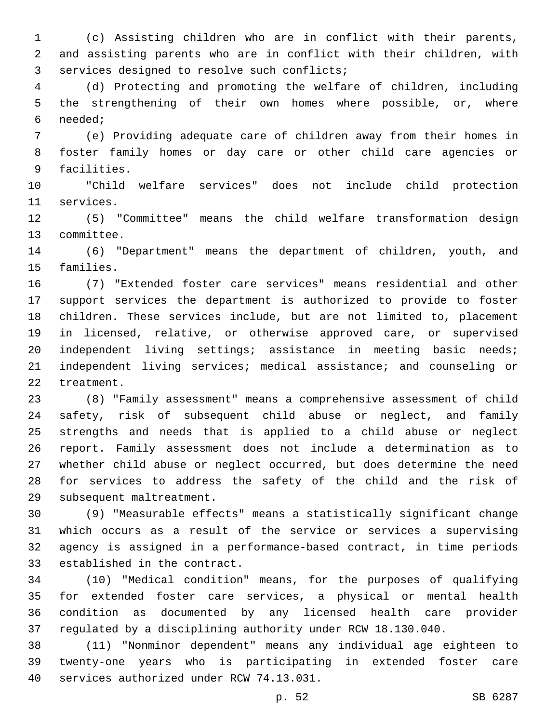(c) Assisting children who are in conflict with their parents, and assisting parents who are in conflict with their children, with 3 services designed to resolve such conflicts;

 (d) Protecting and promoting the welfare of children, including the strengthening of their own homes where possible, or, where needed;6

 (e) Providing adequate care of children away from their homes in foster family homes or day care or other child care agencies or 9 facilities.

 "Child welfare services" does not include child protection 11 services.

 (5) "Committee" means the child welfare transformation design 13 committee.

 (6) "Department" means the department of children, youth, and 15 families.

 (7) "Extended foster care services" means residential and other support services the department is authorized to provide to foster children. These services include, but are not limited to, placement in licensed, relative, or otherwise approved care, or supervised independent living settings; assistance in meeting basic needs; independent living services; medical assistance; and counseling or 22 treatment.

 (8) "Family assessment" means a comprehensive assessment of child safety, risk of subsequent child abuse or neglect, and family strengths and needs that is applied to a child abuse or neglect report. Family assessment does not include a determination as to whether child abuse or neglect occurred, but does determine the need for services to address the safety of the child and the risk of 29 subsequent maltreatment.

 (9) "Measurable effects" means a statistically significant change which occurs as a result of the service or services a supervising agency is assigned in a performance-based contract, in time periods 33 established in the contract.

 (10) "Medical condition" means, for the purposes of qualifying for extended foster care services, a physical or mental health condition as documented by any licensed health care provider regulated by a disciplining authority under RCW 18.130.040.

 (11) "Nonminor dependent" means any individual age eighteen to twenty-one years who is participating in extended foster care 40 services authorized under RCW 74.13.031.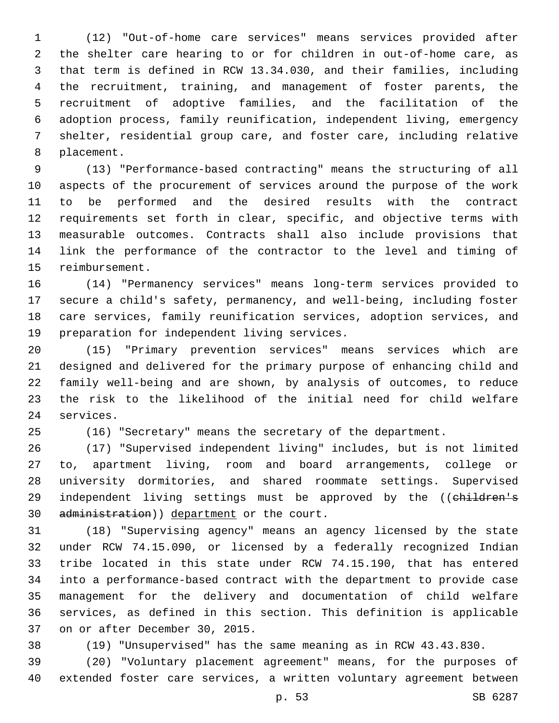(12) "Out-of-home care services" means services provided after the shelter care hearing to or for children in out-of-home care, as that term is defined in RCW 13.34.030, and their families, including the recruitment, training, and management of foster parents, the recruitment of adoptive families, and the facilitation of the adoption process, family reunification, independent living, emergency shelter, residential group care, and foster care, including relative 8 placement.

 (13) "Performance-based contracting" means the structuring of all aspects of the procurement of services around the purpose of the work to be performed and the desired results with the contract requirements set forth in clear, specific, and objective terms with measurable outcomes. Contracts shall also include provisions that link the performance of the contractor to the level and timing of 15 reimbursement.

 (14) "Permanency services" means long-term services provided to secure a child's safety, permanency, and well-being, including foster care services, family reunification services, adoption services, and 19 preparation for independent living services.

 (15) "Primary prevention services" means services which are designed and delivered for the primary purpose of enhancing child and family well-being and are shown, by analysis of outcomes, to reduce the risk to the likelihood of the initial need for child welfare 24 services.

(16) "Secretary" means the secretary of the department.

 (17) "Supervised independent living" includes, but is not limited to, apartment living, room and board arrangements, college or university dormitories, and shared roommate settings. Supervised 29 independent living settings must be approved by the ((children's 30 administration)) department or the court.

 (18) "Supervising agency" means an agency licensed by the state under RCW 74.15.090, or licensed by a federally recognized Indian tribe located in this state under RCW 74.15.190, that has entered into a performance-based contract with the department to provide case management for the delivery and documentation of child welfare services, as defined in this section. This definition is applicable 37 on or after December 30, 2015.

(19) "Unsupervised" has the same meaning as in RCW 43.43.830.

 (20) "Voluntary placement agreement" means, for the purposes of extended foster care services, a written voluntary agreement between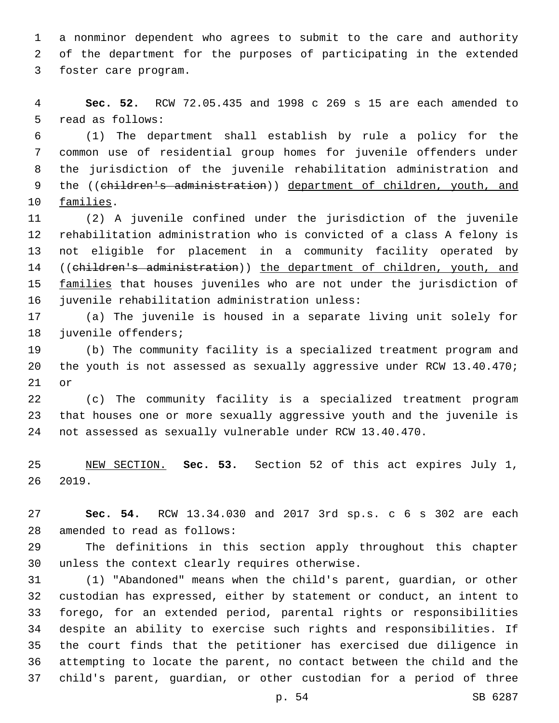a nonminor dependent who agrees to submit to the care and authority of the department for the purposes of participating in the extended 3 foster care program.

 **Sec. 52.** RCW 72.05.435 and 1998 c 269 s 15 are each amended to 5 read as follows:

 (1) The department shall establish by rule a policy for the common use of residential group homes for juvenile offenders under the jurisdiction of the juvenile rehabilitation administration and 9 the ((children's administration)) department of children, youth, and 10 families.

 (2) A juvenile confined under the jurisdiction of the juvenile rehabilitation administration who is convicted of a class A felony is not eligible for placement in a community facility operated by ((children's administration)) the department of children, youth, and 15 families that houses juveniles who are not under the jurisdiction of 16 juvenile rehabilitation administration unless:

 (a) The juvenile is housed in a separate living unit solely for 18 juvenile offenders;

 (b) The community facility is a specialized treatment program and the youth is not assessed as sexually aggressive under RCW 13.40.470; or

 (c) The community facility is a specialized treatment program that houses one or more sexually aggressive youth and the juvenile is not assessed as sexually vulnerable under RCW 13.40.470.

 NEW SECTION. **Sec. 53.** Section 52 of this act expires July 1, 2019.

 **Sec. 54.** RCW 13.34.030 and 2017 3rd sp.s. c 6 s 302 are each 28 amended to read as follows:

 The definitions in this section apply throughout this chapter 30 unless the context clearly requires otherwise.

 (1) "Abandoned" means when the child's parent, guardian, or other custodian has expressed, either by statement or conduct, an intent to forego, for an extended period, parental rights or responsibilities despite an ability to exercise such rights and responsibilities. If the court finds that the petitioner has exercised due diligence in attempting to locate the parent, no contact between the child and the child's parent, guardian, or other custodian for a period of three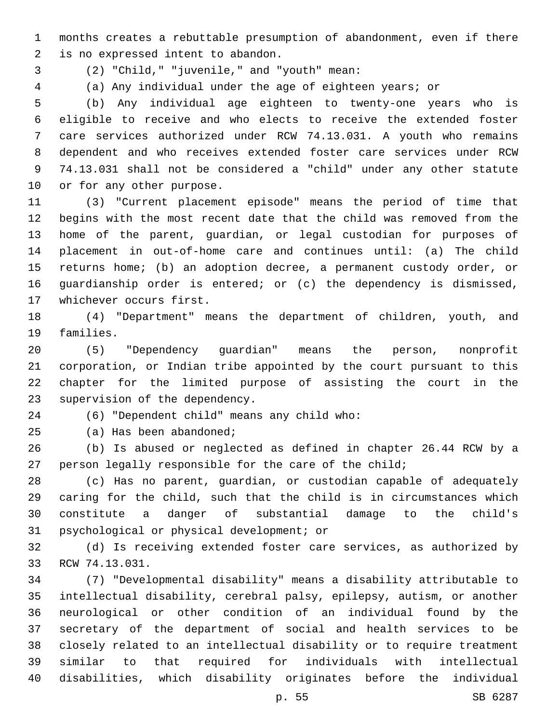months creates a rebuttable presumption of abandonment, even if there 2 is no expressed intent to abandon.

- (2) "Child," "juvenile," and "youth" mean:3
- 

(a) Any individual under the age of eighteen years; or

 (b) Any individual age eighteen to twenty-one years who is eligible to receive and who elects to receive the extended foster care services authorized under RCW 74.13.031. A youth who remains dependent and who receives extended foster care services under RCW 74.13.031 shall not be considered a "child" under any other statute 10 or for any other purpose.

 (3) "Current placement episode" means the period of time that begins with the most recent date that the child was removed from the home of the parent, guardian, or legal custodian for purposes of placement in out-of-home care and continues until: (a) The child returns home; (b) an adoption decree, a permanent custody order, or guardianship order is entered; or (c) the dependency is dismissed, 17 whichever occurs first.

 (4) "Department" means the department of children, youth, and 19 families.

 (5) "Dependency guardian" means the person, nonprofit corporation, or Indian tribe appointed by the court pursuant to this chapter for the limited purpose of assisting the court in the 23 supervision of the dependency.

(6) "Dependent child" means any child who:24

25 (a) Has been abandoned;

 (b) Is abused or neglected as defined in chapter 26.44 RCW by a 27 person legally responsible for the care of the child;

 (c) Has no parent, guardian, or custodian capable of adequately caring for the child, such that the child is in circumstances which constitute a danger of substantial damage to the child's 31 psychological or physical development; or

 (d) Is receiving extended foster care services, as authorized by 33 RCW 74.13.031.

 (7) "Developmental disability" means a disability attributable to intellectual disability, cerebral palsy, epilepsy, autism, or another neurological or other condition of an individual found by the secretary of the department of social and health services to be closely related to an intellectual disability or to require treatment similar to that required for individuals with intellectual disabilities, which disability originates before the individual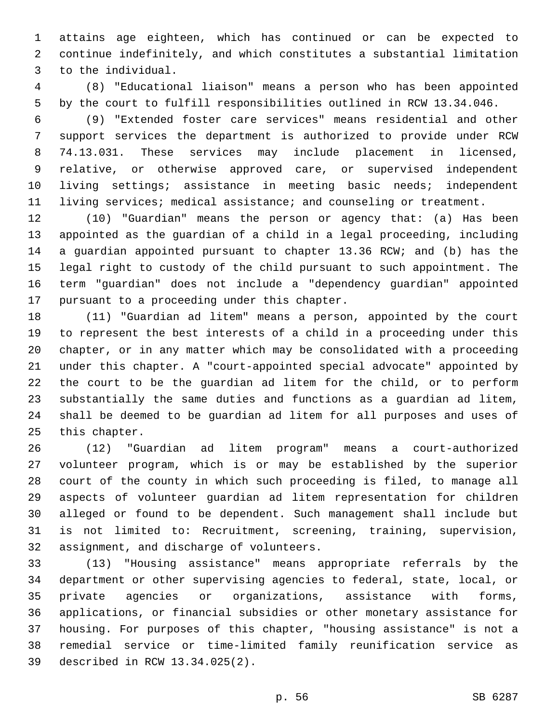attains age eighteen, which has continued or can be expected to continue indefinitely, and which constitutes a substantial limitation 3 to the individual.

 (8) "Educational liaison" means a person who has been appointed by the court to fulfill responsibilities outlined in RCW 13.34.046.

 (9) "Extended foster care services" means residential and other support services the department is authorized to provide under RCW 74.13.031. These services may include placement in licensed, relative, or otherwise approved care, or supervised independent living settings; assistance in meeting basic needs; independent living services; medical assistance; and counseling or treatment.

 (10) "Guardian" means the person or agency that: (a) Has been appointed as the guardian of a child in a legal proceeding, including a guardian appointed pursuant to chapter 13.36 RCW; and (b) has the legal right to custody of the child pursuant to such appointment. The term "guardian" does not include a "dependency guardian" appointed 17 pursuant to a proceeding under this chapter.

 (11) "Guardian ad litem" means a person, appointed by the court to represent the best interests of a child in a proceeding under this chapter, or in any matter which may be consolidated with a proceeding under this chapter. A "court-appointed special advocate" appointed by the court to be the guardian ad litem for the child, or to perform substantially the same duties and functions as a guardian ad litem, shall be deemed to be guardian ad litem for all purposes and uses of 25 this chapter.

 (12) "Guardian ad litem program" means a court-authorized volunteer program, which is or may be established by the superior court of the county in which such proceeding is filed, to manage all aspects of volunteer guardian ad litem representation for children alleged or found to be dependent. Such management shall include but is not limited to: Recruitment, screening, training, supervision, 32 assignment, and discharge of volunteers.

 (13) "Housing assistance" means appropriate referrals by the department or other supervising agencies to federal, state, local, or private agencies or organizations, assistance with forms, applications, or financial subsidies or other monetary assistance for housing. For purposes of this chapter, "housing assistance" is not a remedial service or time-limited family reunification service as described in RCW 13.34.025(2).39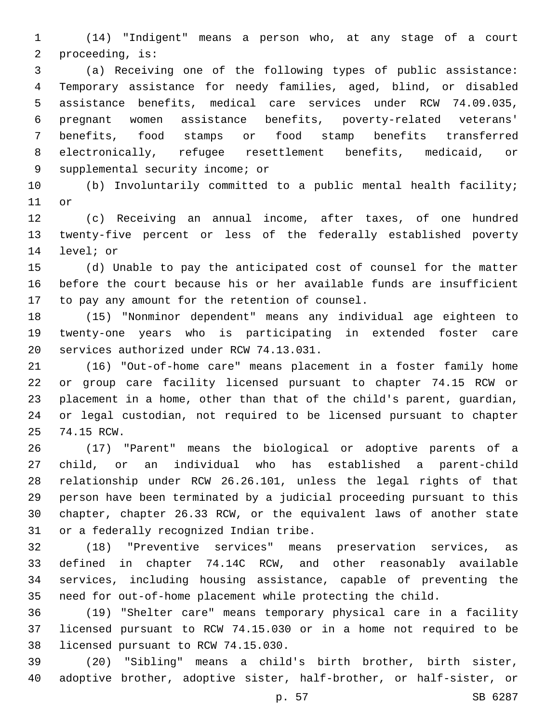(14) "Indigent" means a person who, at any stage of a court 2 proceeding, is:

 (a) Receiving one of the following types of public assistance: Temporary assistance for needy families, aged, blind, or disabled assistance benefits, medical care services under RCW 74.09.035, pregnant women assistance benefits, poverty-related veterans' benefits, food stamps or food stamp benefits transferred electronically, refugee resettlement benefits, medicaid, or 9 supplemental security income; or

 (b) Involuntarily committed to a public mental health facility; 11 or

 (c) Receiving an annual income, after taxes, of one hundred twenty-five percent or less of the federally established poverty 14 level; or

 (d) Unable to pay the anticipated cost of counsel for the matter before the court because his or her available funds are insufficient 17 to pay any amount for the retention of counsel.

 (15) "Nonminor dependent" means any individual age eighteen to twenty-one years who is participating in extended foster care 20 services authorized under RCW 74.13.031.

 (16) "Out-of-home care" means placement in a foster family home or group care facility licensed pursuant to chapter 74.15 RCW or placement in a home, other than that of the child's parent, guardian, or legal custodian, not required to be licensed pursuant to chapter 25 74.15 RCW.

 (17) "Parent" means the biological or adoptive parents of a child, or an individual who has established a parent-child relationship under RCW 26.26.101, unless the legal rights of that person have been terminated by a judicial proceeding pursuant to this chapter, chapter 26.33 RCW, or the equivalent laws of another state 31 or a federally recognized Indian tribe.

 (18) "Preventive services" means preservation services, as defined in chapter 74.14C RCW, and other reasonably available services, including housing assistance, capable of preventing the need for out-of-home placement while protecting the child.

 (19) "Shelter care" means temporary physical care in a facility licensed pursuant to RCW 74.15.030 or in a home not required to be 38 licensed pursuant to RCW 74.15.030.

 (20) "Sibling" means a child's birth brother, birth sister, adoptive brother, adoptive sister, half-brother, or half-sister, or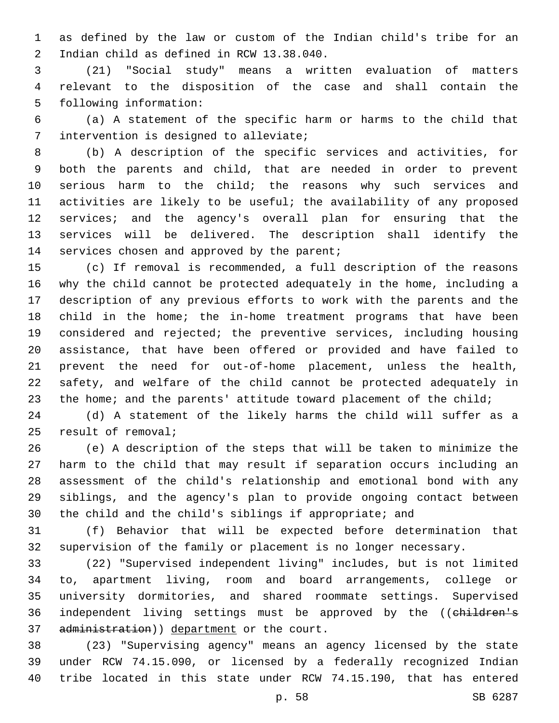as defined by the law or custom of the Indian child's tribe for an 2 Indian child as defined in RCW 13.38.040.

 (21) "Social study" means a written evaluation of matters relevant to the disposition of the case and shall contain the 5 following information:

 (a) A statement of the specific harm or harms to the child that 7 intervention is designed to alleviate;

 (b) A description of the specific services and activities, for both the parents and child, that are needed in order to prevent serious harm to the child; the reasons why such services and activities are likely to be useful; the availability of any proposed services; and the agency's overall plan for ensuring that the services will be delivered. The description shall identify the 14 services chosen and approved by the parent;

 (c) If removal is recommended, a full description of the reasons why the child cannot be protected adequately in the home, including a description of any previous efforts to work with the parents and the child in the home; the in-home treatment programs that have been considered and rejected; the preventive services, including housing assistance, that have been offered or provided and have failed to prevent the need for out-of-home placement, unless the health, safety, and welfare of the child cannot be protected adequately in 23 the home; and the parents' attitude toward placement of the child;

 (d) A statement of the likely harms the child will suffer as a 25 result of removal;

 (e) A description of the steps that will be taken to minimize the harm to the child that may result if separation occurs including an assessment of the child's relationship and emotional bond with any siblings, and the agency's plan to provide ongoing contact between the child and the child's siblings if appropriate; and

 (f) Behavior that will be expected before determination that supervision of the family or placement is no longer necessary.

 (22) "Supervised independent living" includes, but is not limited to, apartment living, room and board arrangements, college or university dormitories, and shared roommate settings. Supervised 36 independent living settings must be approved by the ((children's 37 administration)) department or the court.

 (23) "Supervising agency" means an agency licensed by the state under RCW 74.15.090, or licensed by a federally recognized Indian tribe located in this state under RCW 74.15.190, that has entered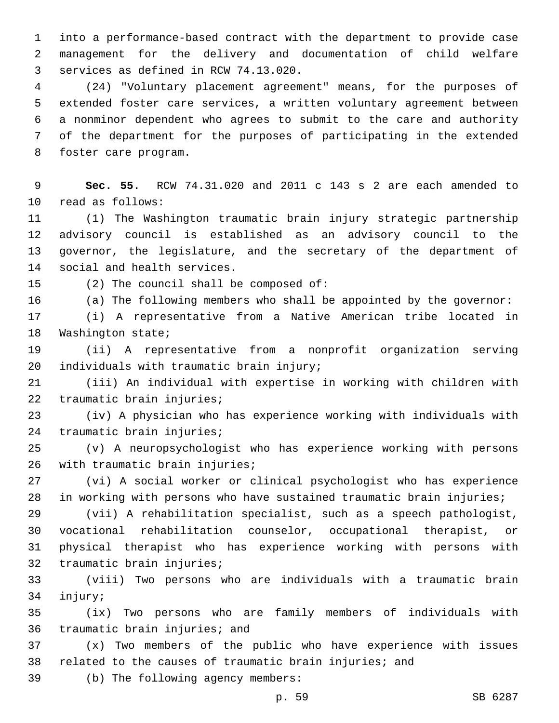into a performance-based contract with the department to provide case management for the delivery and documentation of child welfare 3 services as defined in RCW 74.13.020.

 (24) "Voluntary placement agreement" means, for the purposes of extended foster care services, a written voluntary agreement between a nonminor dependent who agrees to submit to the care and authority of the department for the purposes of participating in the extended 8 foster care program.

 **Sec. 55.** RCW 74.31.020 and 2011 c 143 s 2 are each amended to 10 read as follows:

 (1) The Washington traumatic brain injury strategic partnership advisory council is established as an advisory council to the governor, the legislature, and the secretary of the department of 14 social and health services.

(2) The council shall be composed of:

(a) The following members who shall be appointed by the governor:

 (i) A representative from a Native American tribe located in 18 Washington state;

 (ii) A representative from a nonprofit organization serving 20 individuals with traumatic brain injury;

 (iii) An individual with expertise in working with children with 22 traumatic brain injuries;

 (iv) A physician who has experience working with individuals with 24 traumatic brain injuries;

 (v) A neuropsychologist who has experience working with persons 26 with traumatic brain injuries;

 (vi) A social worker or clinical psychologist who has experience in working with persons who have sustained traumatic brain injuries;

 (vii) A rehabilitation specialist, such as a speech pathologist, vocational rehabilitation counselor, occupational therapist, or physical therapist who has experience working with persons with 32 traumatic brain injuries;

 (viii) Two persons who are individuals with a traumatic brain 34 injury;

 (ix) Two persons who are family members of individuals with 36 traumatic brain injuries; and

 (x) Two members of the public who have experience with issues 38 related to the causes of traumatic brain injuries; and

39 (b) The following agency members: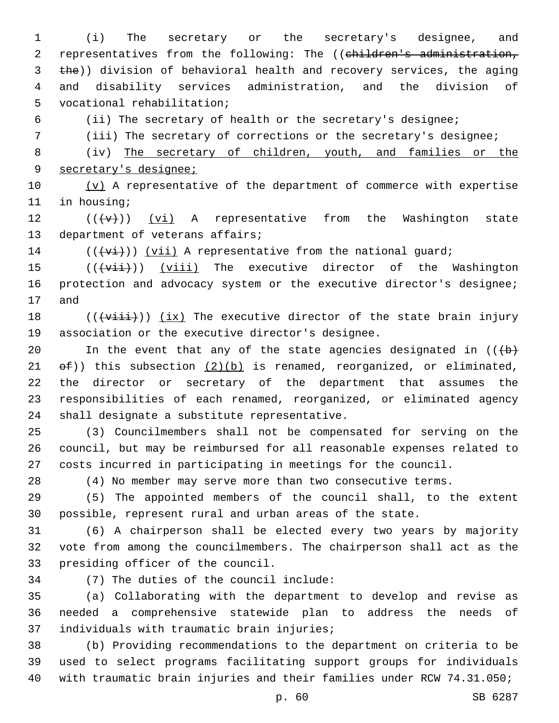(i) The secretary or the secretary's designee, and 2 representatives from the following: The ((children's administration, 3 the)) division of behavioral health and recovery services, the aging and disability services administration, and the division of 5 vocational rehabilitation;

(ii) The secretary of health or the secretary's designee;

(iii) The secretary of corrections or the secretary's designee;

 (iv) The secretary of children, youth, and families or the secretary's designee;

 $(v)$  A representative of the department of commerce with expertise 11 in housing;

12  $((\lbrace v \rbrace))$  (vi) A representative from the Washington state 13 department of veterans affairs;

(( $\overline{(+v\textbf{i})}$ ) ( $\overline{v\textbf{i}}$ ) A representative from the national guard;

 $((\overline{\text{viii}}))$  (viii) The executive director of the Washington 16 protection and advocacy system or the executive director's designee; 17 and

 $((\overline{\text{visit}}))$  (ix) The executive director of the state brain injury 19 association or the executive director's designee.

20 In the event that any of the state agencies designated in  $((+b)^2)$ 21  $ef)$ ) this subsection  $(2)(b)$  is renamed, reorganized, or eliminated, the director or secretary of the department that assumes the responsibilities of each renamed, reorganized, or eliminated agency 24 shall designate a substitute representative.

 (3) Councilmembers shall not be compensated for serving on the council, but may be reimbursed for all reasonable expenses related to costs incurred in participating in meetings for the council.

(4) No member may serve more than two consecutive terms.

 (5) The appointed members of the council shall, to the extent possible, represent rural and urban areas of the state.

 (6) A chairperson shall be elected every two years by majority vote from among the councilmembers. The chairperson shall act as the 33 presiding officer of the council.

(7) The duties of the council include:34

 (a) Collaborating with the department to develop and revise as needed a comprehensive statewide plan to address the needs of 37 individuals with traumatic brain injuries;

 (b) Providing recommendations to the department on criteria to be used to select programs facilitating support groups for individuals with traumatic brain injuries and their families under RCW 74.31.050;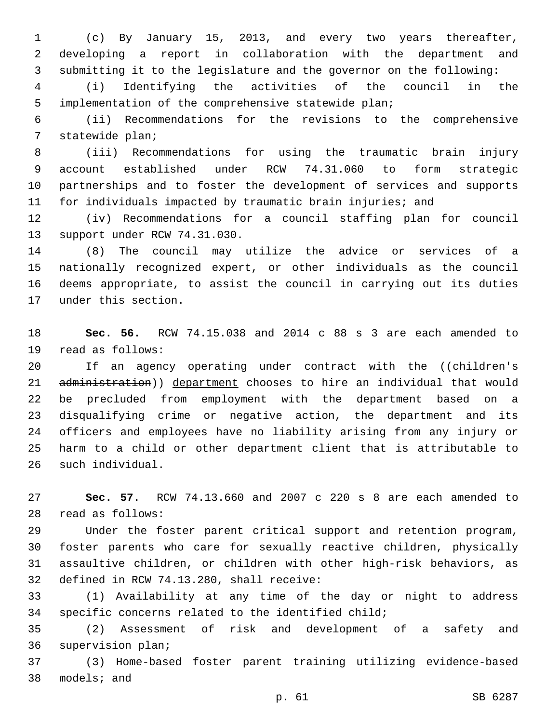(c) By January 15, 2013, and every two years thereafter, developing a report in collaboration with the department and submitting it to the legislature and the governor on the following:

 (i) Identifying the activities of the council in the implementation of the comprehensive statewide plan;

 (ii) Recommendations for the revisions to the comprehensive 7 statewide plan;

 (iii) Recommendations for using the traumatic brain injury account established under RCW 74.31.060 to form strategic partnerships and to foster the development of services and supports for individuals impacted by traumatic brain injuries; and

 (iv) Recommendations for a council staffing plan for council 13 support under RCW 74.31.030.

 (8) The council may utilize the advice or services of a nationally recognized expert, or other individuals as the council deems appropriate, to assist the council in carrying out its duties 17 under this section.

 **Sec. 56.** RCW 74.15.038 and 2014 c 88 s 3 are each amended to 19 read as follows:

20 If an agency operating under contract with the ((children's 21 administration)) department chooses to hire an individual that would be precluded from employment with the department based on a disqualifying crime or negative action, the department and its officers and employees have no liability arising from any injury or harm to a child or other department client that is attributable to 26 such individual.

 **Sec. 57.** RCW 74.13.660 and 2007 c 220 s 8 are each amended to 28 read as follows:

 Under the foster parent critical support and retention program, foster parents who care for sexually reactive children, physically assaultive children, or children with other high-risk behaviors, as 32 defined in RCW 74.13.280, shall receive:

 (1) Availability at any time of the day or night to address specific concerns related to the identified child;

 (2) Assessment of risk and development of a safety and 36 supervision plan;

 (3) Home-based foster parent training utilizing evidence-based 38 models; and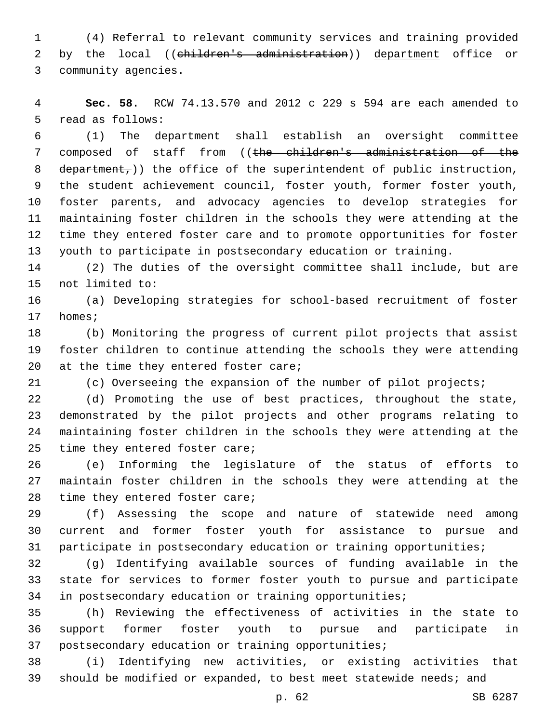(4) Referral to relevant community services and training provided 2 by the local ((children's administration)) department office or 3 community agencies.

 **Sec. 58.** RCW 74.13.570 and 2012 c 229 s 594 are each amended to 5 read as follows:

 (1) The department shall establish an oversight committee composed of staff from ((the children's administration of the 8 department,)) the office of the superintendent of public instruction, the student achievement council, foster youth, former foster youth, foster parents, and advocacy agencies to develop strategies for maintaining foster children in the schools they were attending at the time they entered foster care and to promote opportunities for foster youth to participate in postsecondary education or training.

 (2) The duties of the oversight committee shall include, but are 15 not limited to:

 (a) Developing strategies for school-based recruitment of foster 17 homes;

 (b) Monitoring the progress of current pilot projects that assist foster children to continue attending the schools they were attending 20  $at$  the time they entered foster care;

(c) Overseeing the expansion of the number of pilot projects;

 (d) Promoting the use of best practices, throughout the state, demonstrated by the pilot projects and other programs relating to maintaining foster children in the schools they were attending at the 25 time they entered foster care;

 (e) Informing the legislature of the status of efforts to maintain foster children in the schools they were attending at the 28 time they entered foster care;

 (f) Assessing the scope and nature of statewide need among current and former foster youth for assistance to pursue and participate in postsecondary education or training opportunities;

 (g) Identifying available sources of funding available in the state for services to former foster youth to pursue and participate in postsecondary education or training opportunities;

 (h) Reviewing the effectiveness of activities in the state to support former foster youth to pursue and participate in postsecondary education or training opportunities;

 (i) Identifying new activities, or existing activities that should be modified or expanded, to best meet statewide needs; and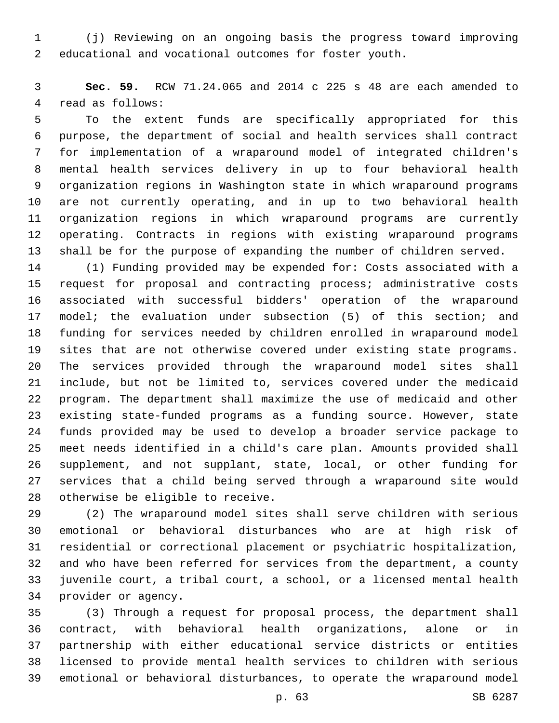(j) Reviewing on an ongoing basis the progress toward improving educational and vocational outcomes for foster youth.

 **Sec. 59.** RCW 71.24.065 and 2014 c 225 s 48 are each amended to 4 read as follows:

 To the extent funds are specifically appropriated for this purpose, the department of social and health services shall contract for implementation of a wraparound model of integrated children's mental health services delivery in up to four behavioral health organization regions in Washington state in which wraparound programs are not currently operating, and in up to two behavioral health organization regions in which wraparound programs are currently operating. Contracts in regions with existing wraparound programs shall be for the purpose of expanding the number of children served.

 (1) Funding provided may be expended for: Costs associated with a request for proposal and contracting process; administrative costs associated with successful bidders' operation of the wraparound model; the evaluation under subsection (5) of this section; and funding for services needed by children enrolled in wraparound model sites that are not otherwise covered under existing state programs. The services provided through the wraparound model sites shall include, but not be limited to, services covered under the medicaid program. The department shall maximize the use of medicaid and other existing state-funded programs as a funding source. However, state funds provided may be used to develop a broader service package to meet needs identified in a child's care plan. Amounts provided shall supplement, and not supplant, state, local, or other funding for services that a child being served through a wraparound site would 28 otherwise be eligible to receive.

 (2) The wraparound model sites shall serve children with serious emotional or behavioral disturbances who are at high risk of residential or correctional placement or psychiatric hospitalization, and who have been referred for services from the department, a county juvenile court, a tribal court, a school, or a licensed mental health 34 provider or agency.

 (3) Through a request for proposal process, the department shall contract, with behavioral health organizations, alone or in partnership with either educational service districts or entities licensed to provide mental health services to children with serious emotional or behavioral disturbances, to operate the wraparound model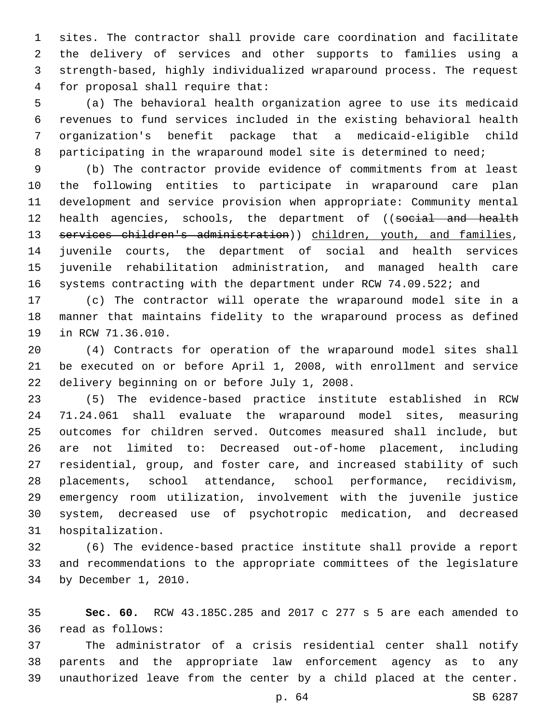sites. The contractor shall provide care coordination and facilitate the delivery of services and other supports to families using a strength-based, highly individualized wraparound process. The request for proposal shall require that:4

 (a) The behavioral health organization agree to use its medicaid revenues to fund services included in the existing behavioral health organization's benefit package that a medicaid-eligible child 8 participating in the wraparound model site is determined to need;

 (b) The contractor provide evidence of commitments from at least the following entities to participate in wraparound care plan development and service provision when appropriate: Community mental 12 health agencies, schools, the department of ((social and health 13 services children's administration)) children, youth, and families, juvenile courts, the department of social and health services juvenile rehabilitation administration, and managed health care 16 systems contracting with the department under RCW 74.09.522; and

 (c) The contractor will operate the wraparound model site in a manner that maintains fidelity to the wraparound process as defined 19 in RCW 71.36.010.

 (4) Contracts for operation of the wraparound model sites shall be executed on or before April 1, 2008, with enrollment and service 22 delivery beginning on or before July 1, 2008.

 (5) The evidence-based practice institute established in RCW 71.24.061 shall evaluate the wraparound model sites, measuring outcomes for children served. Outcomes measured shall include, but are not limited to: Decreased out-of-home placement, including residential, group, and foster care, and increased stability of such placements, school attendance, school performance, recidivism, emergency room utilization, involvement with the juvenile justice system, decreased use of psychotropic medication, and decreased 31 hospitalization.

 (6) The evidence-based practice institute shall provide a report and recommendations to the appropriate committees of the legislature 34 by December 1, 2010.

 **Sec. 60.** RCW 43.185C.285 and 2017 c 277 s 5 are each amended to read as follows:36

 The administrator of a crisis residential center shall notify parents and the appropriate law enforcement agency as to any unauthorized leave from the center by a child placed at the center.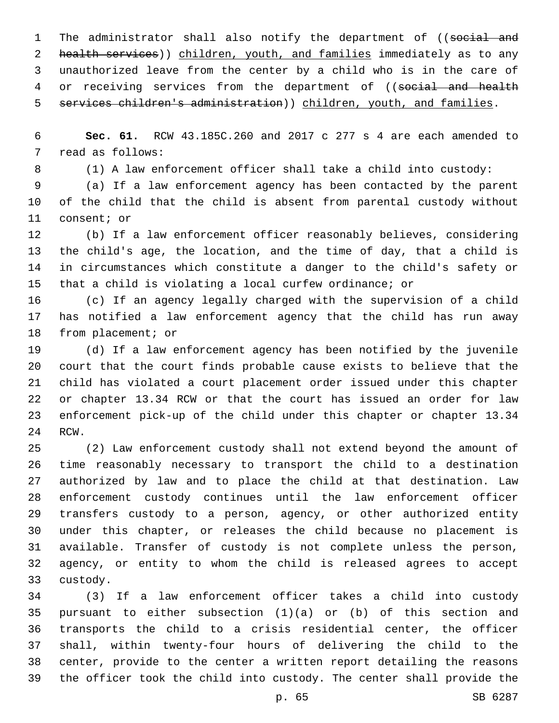1 The administrator shall also notify the department of ((social and 2 health services)) children, youth, and families immediately as to any unauthorized leave from the center by a child who is in the care of 4 or receiving services from the department of ((social and health 5 services children's administration)) children, youth, and families.

 **Sec. 61.** RCW 43.185C.260 and 2017 c 277 s 4 are each amended to 7 read as follows:

(1) A law enforcement officer shall take a child into custody:

 (a) If a law enforcement agency has been contacted by the parent of the child that the child is absent from parental custody without 11 consent; or

 (b) If a law enforcement officer reasonably believes, considering the child's age, the location, and the time of day, that a child is in circumstances which constitute a danger to the child's safety or that a child is violating a local curfew ordinance; or

 (c) If an agency legally charged with the supervision of a child has notified a law enforcement agency that the child has run away 18 from placement; or

 (d) If a law enforcement agency has been notified by the juvenile court that the court finds probable cause exists to believe that the child has violated a court placement order issued under this chapter or chapter 13.34 RCW or that the court has issued an order for law enforcement pick-up of the child under this chapter or chapter 13.34 24 RCW.

 (2) Law enforcement custody shall not extend beyond the amount of time reasonably necessary to transport the child to a destination authorized by law and to place the child at that destination. Law enforcement custody continues until the law enforcement officer transfers custody to a person, agency, or other authorized entity under this chapter, or releases the child because no placement is available. Transfer of custody is not complete unless the person, agency, or entity to whom the child is released agrees to accept 33 custody.

 (3) If a law enforcement officer takes a child into custody pursuant to either subsection (1)(a) or (b) of this section and transports the child to a crisis residential center, the officer shall, within twenty-four hours of delivering the child to the center, provide to the center a written report detailing the reasons the officer took the child into custody. The center shall provide the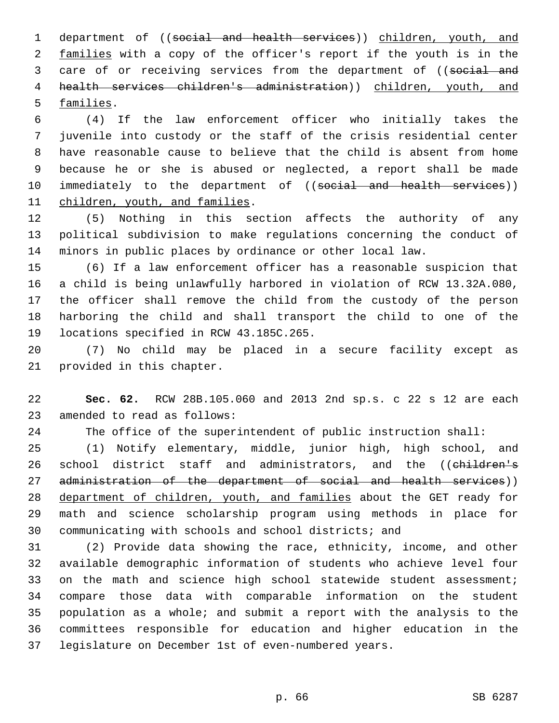department of ((social and health services)) children, youth, and 2 families with a copy of the officer's report if the youth is in the 3 care of or receiving services from the department of ((social and health services children's administration)) children, youth, and 5 families.

 (4) If the law enforcement officer who initially takes the juvenile into custody or the staff of the crisis residential center have reasonable cause to believe that the child is absent from home because he or she is abused or neglected, a report shall be made 10 immediately to the department of ((social and health services)) 11 children, youth, and families.

 (5) Nothing in this section affects the authority of any political subdivision to make regulations concerning the conduct of minors in public places by ordinance or other local law.

 (6) If a law enforcement officer has a reasonable suspicion that a child is being unlawfully harbored in violation of RCW 13.32A.080, the officer shall remove the child from the custody of the person harboring the child and shall transport the child to one of the 19 locations specified in RCW 43.185C.265.

 (7) No child may be placed in a secure facility except as 21 provided in this chapter.

 **Sec. 62.** RCW 28B.105.060 and 2013 2nd sp.s. c 22 s 12 are each 23 amended to read as follows:

The office of the superintendent of public instruction shall:

 (1) Notify elementary, middle, junior high, high school, and 26 school district staff and administrators, and the ((children's 27 administration of the department of social and health services)) department of children, youth, and families about the GET ready for math and science scholarship program using methods in place for communicating with schools and school districts; and

 (2) Provide data showing the race, ethnicity, income, and other available demographic information of students who achieve level four 33 on the math and science high school statewide student assessment; compare those data with comparable information on the student population as a whole; and submit a report with the analysis to the committees responsible for education and higher education in the legislature on December 1st of even-numbered years.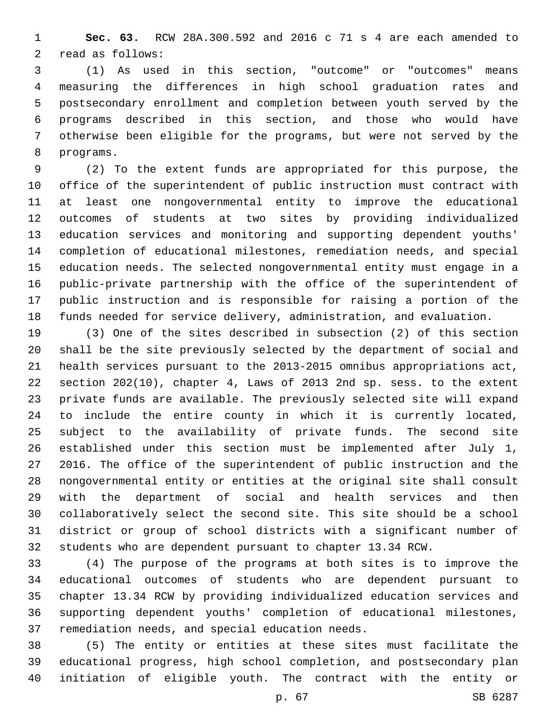**Sec. 63.** RCW 28A.300.592 and 2016 c 71 s 4 are each amended to 2 read as follows:

 (1) As used in this section, "outcome" or "outcomes" means measuring the differences in high school graduation rates and postsecondary enrollment and completion between youth served by the programs described in this section, and those who would have otherwise been eligible for the programs, but were not served by the 8 programs.

 (2) To the extent funds are appropriated for this purpose, the office of the superintendent of public instruction must contract with at least one nongovernmental entity to improve the educational outcomes of students at two sites by providing individualized education services and monitoring and supporting dependent youths' completion of educational milestones, remediation needs, and special education needs. The selected nongovernmental entity must engage in a public-private partnership with the office of the superintendent of public instruction and is responsible for raising a portion of the funds needed for service delivery, administration, and evaluation.

 (3) One of the sites described in subsection (2) of this section shall be the site previously selected by the department of social and health services pursuant to the 2013-2015 omnibus appropriations act, section 202(10), chapter 4, Laws of 2013 2nd sp. sess. to the extent private funds are available. The previously selected site will expand to include the entire county in which it is currently located, subject to the availability of private funds. The second site established under this section must be implemented after July 1, 2016. The office of the superintendent of public instruction and the nongovernmental entity or entities at the original site shall consult with the department of social and health services and then collaboratively select the second site. This site should be a school district or group of school districts with a significant number of students who are dependent pursuant to chapter 13.34 RCW.

 (4) The purpose of the programs at both sites is to improve the educational outcomes of students who are dependent pursuant to chapter 13.34 RCW by providing individualized education services and supporting dependent youths' completion of educational milestones, 37 remediation needs, and special education needs.

 (5) The entity or entities at these sites must facilitate the educational progress, high school completion, and postsecondary plan initiation of eligible youth. The contract with the entity or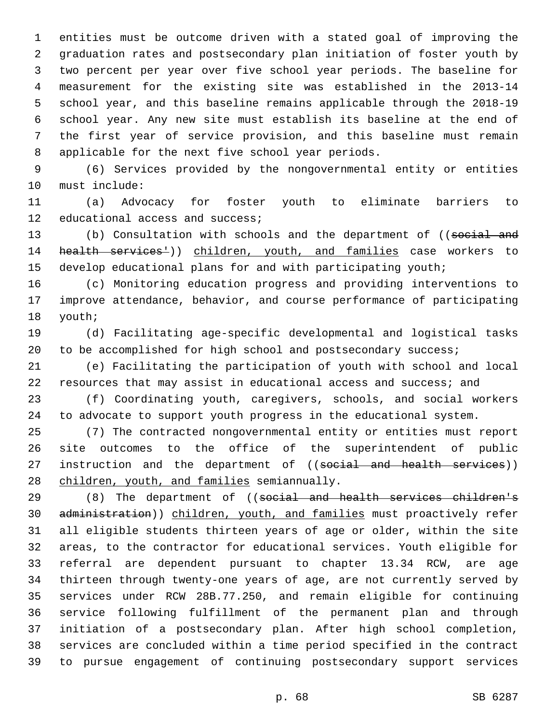entities must be outcome driven with a stated goal of improving the graduation rates and postsecondary plan initiation of foster youth by two percent per year over five school year periods. The baseline for measurement for the existing site was established in the 2013-14 school year, and this baseline remains applicable through the 2018-19 school year. Any new site must establish its baseline at the end of the first year of service provision, and this baseline must remain 8 applicable for the next five school year periods.

 (6) Services provided by the nongovernmental entity or entities 10 must include:

 (a) Advocacy for foster youth to eliminate barriers to 12 educational access and success;

13 (b) Consultation with schools and the department of ((social and 14 health services<sup>1</sup>)) children, youth, and families case workers to develop educational plans for and with participating youth;

 (c) Monitoring education progress and providing interventions to improve attendance, behavior, and course performance of participating 18 youth;

 (d) Facilitating age-specific developmental and logistical tasks 20 to be accomplished for high school and postsecondary success;

 (e) Facilitating the participation of youth with school and local resources that may assist in educational access and success; and

 (f) Coordinating youth, caregivers, schools, and social workers to advocate to support youth progress in the educational system.

 (7) The contracted nongovernmental entity or entities must report site outcomes to the office of the superintendent of public 27 instruction and the department of ((social and health services)) 28 children, youth, and families semiannually.

29 (8) The department of ((social and health services children's administration)) children, youth, and families must proactively refer all eligible students thirteen years of age or older, within the site areas, to the contractor for educational services. Youth eligible for referral are dependent pursuant to chapter 13.34 RCW, are age thirteen through twenty-one years of age, are not currently served by services under RCW 28B.77.250, and remain eligible for continuing service following fulfillment of the permanent plan and through initiation of a postsecondary plan. After high school completion, services are concluded within a time period specified in the contract to pursue engagement of continuing postsecondary support services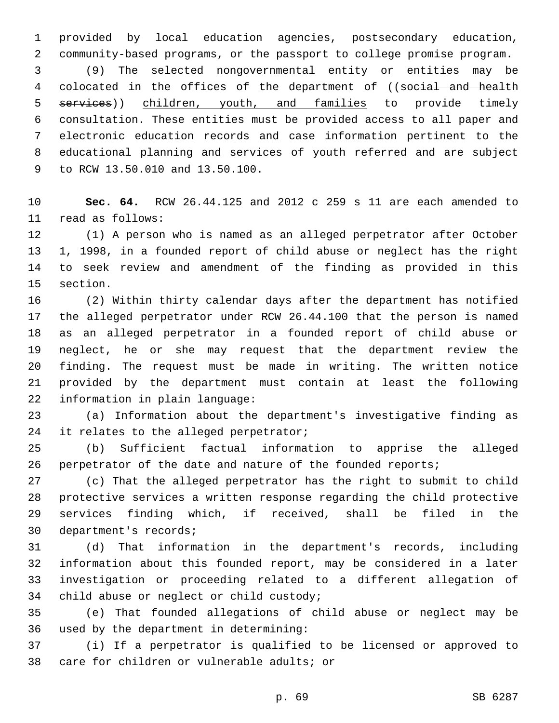provided by local education agencies, postsecondary education, community-based programs, or the passport to college promise program.

 (9) The selected nongovernmental entity or entities may be 4 colocated in the offices of the department of ((social and health 5 services)) children, youth, and families to provide timely consultation. These entities must be provided access to all paper and electronic education records and case information pertinent to the educational planning and services of youth referred and are subject 9 to RCW 13.50.010 and 13.50.100.

 **Sec. 64.** RCW 26.44.125 and 2012 c 259 s 11 are each amended to 11 read as follows:

 (1) A person who is named as an alleged perpetrator after October 1, 1998, in a founded report of child abuse or neglect has the right to seek review and amendment of the finding as provided in this 15 section.

 (2) Within thirty calendar days after the department has notified the alleged perpetrator under RCW 26.44.100 that the person is named as an alleged perpetrator in a founded report of child abuse or neglect, he or she may request that the department review the finding. The request must be made in writing. The written notice provided by the department must contain at least the following 22 information in plain language:

 (a) Information about the department's investigative finding as 24 it relates to the alleged perpetrator;

 (b) Sufficient factual information to apprise the alleged 26 perpetrator of the date and nature of the founded reports;

 (c) That the alleged perpetrator has the right to submit to child protective services a written response regarding the child protective services finding which, if received, shall be filed in the 30 department's records;

 (d) That information in the department's records, including information about this founded report, may be considered in a later investigation or proceeding related to a different allegation of 34 child abuse or neglect or child custody;

 (e) That founded allegations of child abuse or neglect may be 36 used by the department in determining:

 (i) If a perpetrator is qualified to be licensed or approved to 38 care for children or vulnerable adults; or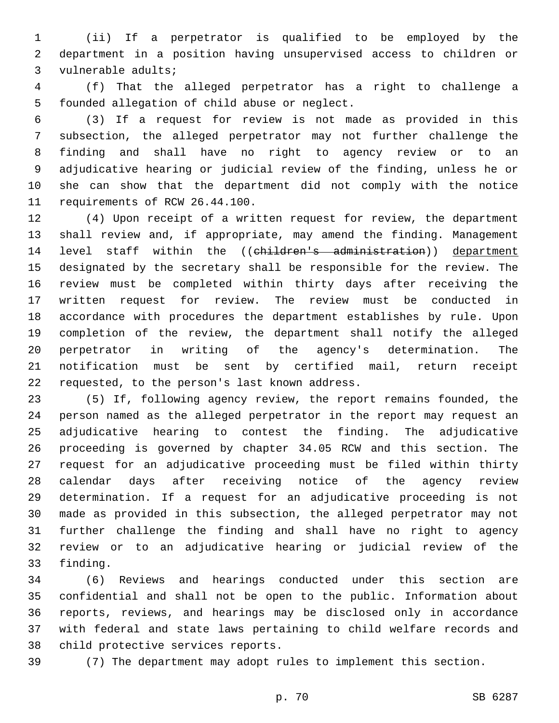(ii) If a perpetrator is qualified to be employed by the department in a position having unsupervised access to children or 3 vulnerable adults;

 (f) That the alleged perpetrator has a right to challenge a 5 founded allegation of child abuse or neglect.

 (3) If a request for review is not made as provided in this subsection, the alleged perpetrator may not further challenge the finding and shall have no right to agency review or to an adjudicative hearing or judicial review of the finding, unless he or she can show that the department did not comply with the notice 11 requirements of RCW 26.44.100.

 (4) Upon receipt of a written request for review, the department shall review and, if appropriate, may amend the finding. Management 14 level staff within the ((children's administration)) department designated by the secretary shall be responsible for the review. The review must be completed within thirty days after receiving the written request for review. The review must be conducted in accordance with procedures the department establishes by rule. Upon completion of the review, the department shall notify the alleged perpetrator in writing of the agency's determination. The notification must be sent by certified mail, return receipt 22 requested, to the person's last known address.

 (5) If, following agency review, the report remains founded, the person named as the alleged perpetrator in the report may request an adjudicative hearing to contest the finding. The adjudicative proceeding is governed by chapter 34.05 RCW and this section. The request for an adjudicative proceeding must be filed within thirty calendar days after receiving notice of the agency review determination. If a request for an adjudicative proceeding is not made as provided in this subsection, the alleged perpetrator may not further challenge the finding and shall have no right to agency review or to an adjudicative hearing or judicial review of the 33 finding.

 (6) Reviews and hearings conducted under this section are confidential and shall not be open to the public. Information about reports, reviews, and hearings may be disclosed only in accordance with federal and state laws pertaining to child welfare records and 38 child protective services reports.

(7) The department may adopt rules to implement this section.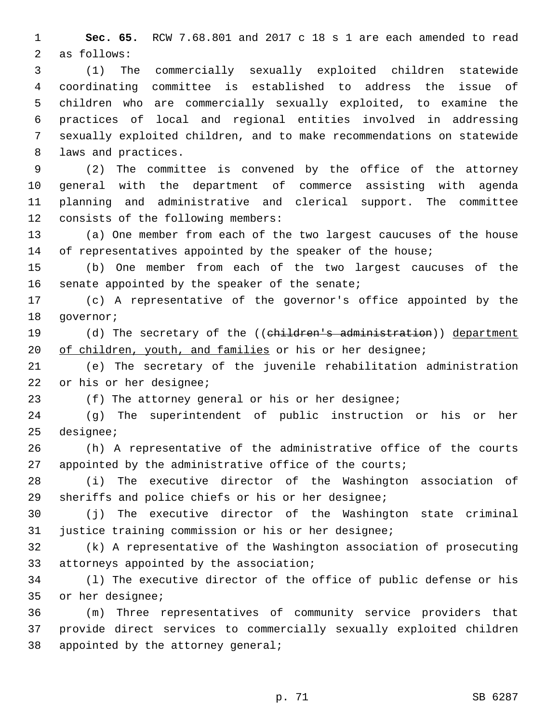**Sec. 65.** RCW 7.68.801 and 2017 c 18 s 1 are each amended to read 2 as follows:

 (1) The commercially sexually exploited children statewide coordinating committee is established to address the issue of children who are commercially sexually exploited, to examine the practices of local and regional entities involved in addressing sexually exploited children, and to make recommendations on statewide 8 laws and practices.

 (2) The committee is convened by the office of the attorney general with the department of commerce assisting with agenda planning and administrative and clerical support. The committee 12 consists of the following members:

 (a) One member from each of the two largest caucuses of the house 14 of representatives appointed by the speaker of the house;

 (b) One member from each of the two largest caucuses of the 16 senate appointed by the speaker of the senate;

 (c) A representative of the governor's office appointed by the 18 qovernor;

19 (d) The secretary of the ((children's administration)) department 20 of children, youth, and families or his or her designee;

 (e) The secretary of the juvenile rehabilitation administration 22 or his or her designee;

(f) The attorney general or his or her designee;

 (g) The superintendent of public instruction or his or her 25 designee;

 (h) A representative of the administrative office of the courts 27 appointed by the administrative office of the courts;

 (i) The executive director of the Washington association of sheriffs and police chiefs or his or her designee;

 (j) The executive director of the Washington state criminal justice training commission or his or her designee;

 (k) A representative of the Washington association of prosecuting 33 attorneys appointed by the association;

 (l) The executive director of the office of public defense or his 35 or her designee;

 (m) Three representatives of community service providers that provide direct services to commercially sexually exploited children 38 appointed by the attorney general;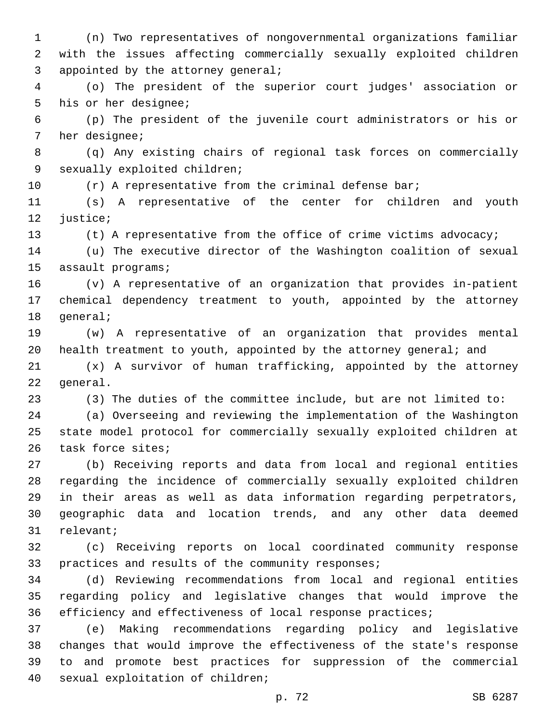(n) Two representatives of nongovernmental organizations familiar with the issues affecting commercially sexually exploited children 3 appointed by the attorney general;

 (o) The president of the superior court judges' association or 5 his or her designee;

 (p) The president of the juvenile court administrators or his or 7 her designee;

 (q) Any existing chairs of regional task forces on commercially 9 sexually exploited children;

10 (r) A representative from the criminal defense bar;

 (s) A representative of the center for children and youth 12 justice;

(t) A representative from the office of crime victims advocacy;

 (u) The executive director of the Washington coalition of sexual 15 assault programs;

 (v) A representative of an organization that provides in-patient chemical dependency treatment to youth, appointed by the attorney 18 general;

 (w) A representative of an organization that provides mental health treatment to youth, appointed by the attorney general; and

 (x) A survivor of human trafficking, appointed by the attorney 22 general.

(3) The duties of the committee include, but are not limited to:

 (a) Overseeing and reviewing the implementation of the Washington state model protocol for commercially sexually exploited children at 26 task force sites;

 (b) Receiving reports and data from local and regional entities regarding the incidence of commercially sexually exploited children in their areas as well as data information regarding perpetrators, geographic data and location trends, and any other data deemed 31 relevant;

 (c) Receiving reports on local coordinated community response 33 practices and results of the community responses;

 (d) Reviewing recommendations from local and regional entities regarding policy and legislative changes that would improve the efficiency and effectiveness of local response practices;

 (e) Making recommendations regarding policy and legislative changes that would improve the effectiveness of the state's response to and promote best practices for suppression of the commercial 40 sexual exploitation of children;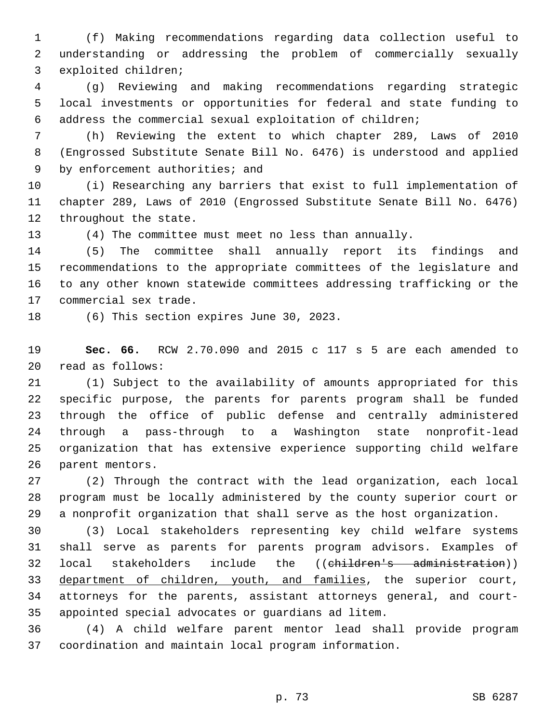(f) Making recommendations regarding data collection useful to understanding or addressing the problem of commercially sexually 3 exploited children;

 (g) Reviewing and making recommendations regarding strategic local investments or opportunities for federal and state funding to address the commercial sexual exploitation of children;

 (h) Reviewing the extent to which chapter 289, Laws of 2010 (Engrossed Substitute Senate Bill No. 6476) is understood and applied 9 by enforcement authorities; and

 (i) Researching any barriers that exist to full implementation of chapter 289, Laws of 2010 (Engrossed Substitute Senate Bill No. 6476) 12 throughout the state.

(4) The committee must meet no less than annually.

 (5) The committee shall annually report its findings and recommendations to the appropriate committees of the legislature and to any other known statewide committees addressing trafficking or the 17 commercial sex trade.

18 (6) This section expires June 30, 2023.

 **Sec. 66.** RCW 2.70.090 and 2015 c 117 s 5 are each amended to read as follows:20

 (1) Subject to the availability of amounts appropriated for this specific purpose, the parents for parents program shall be funded through the office of public defense and centrally administered through a pass-through to a Washington state nonprofit-lead organization that has extensive experience supporting child welfare 26 parent mentors.

 (2) Through the contract with the lead organization, each local program must be locally administered by the county superior court or a nonprofit organization that shall serve as the host organization.

 (3) Local stakeholders representing key child welfare systems shall serve as parents for parents program advisors. Examples of local stakeholders include the ((children's administration)) department of children, youth, and families, the superior court, attorneys for the parents, assistant attorneys general, and court-appointed special advocates or guardians ad litem.

 (4) A child welfare parent mentor lead shall provide program coordination and maintain local program information.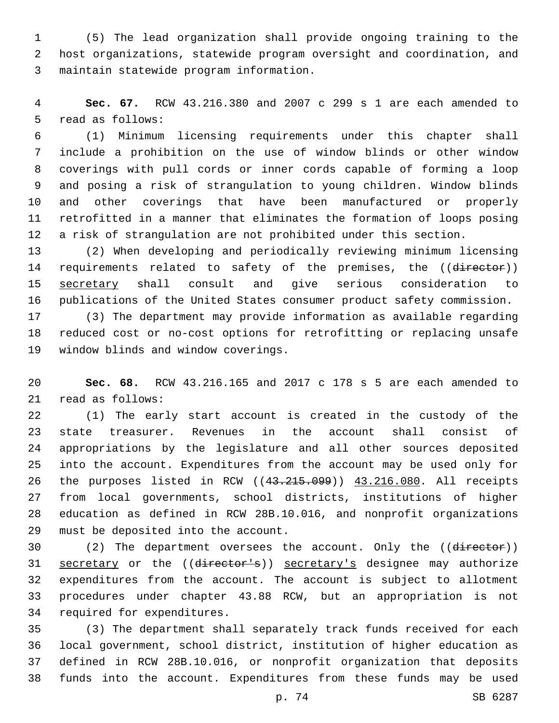(5) The lead organization shall provide ongoing training to the host organizations, statewide program oversight and coordination, and maintain statewide program information.3

 **Sec. 67.** RCW 43.216.380 and 2007 c 299 s 1 are each amended to 5 read as follows:

 (1) Minimum licensing requirements under this chapter shall include a prohibition on the use of window blinds or other window coverings with pull cords or inner cords capable of forming a loop and posing a risk of strangulation to young children. Window blinds and other coverings that have been manufactured or properly retrofitted in a manner that eliminates the formation of loops posing a risk of strangulation are not prohibited under this section.

 (2) When developing and periodically reviewing minimum licensing 14 requirements related to safety of the premises, the ((director)) secretary shall consult and give serious consideration to publications of the United States consumer product safety commission.

 (3) The department may provide information as available regarding reduced cost or no-cost options for retrofitting or replacing unsafe 19 window blinds and window coverings.

 **Sec. 68.** RCW 43.216.165 and 2017 c 178 s 5 are each amended to 21 read as follows:

 (1) The early start account is created in the custody of the state treasurer. Revenues in the account shall consist of appropriations by the legislature and all other sources deposited into the account. Expenditures from the account may be used only for the purposes listed in RCW ((43.215.099)) 43.216.080. All receipts from local governments, school districts, institutions of higher education as defined in RCW 28B.10.016, and nonprofit organizations 29 must be deposited into the account.

30 (2) The department oversees the account. Only the ((director)) 31 secretary or the ((director's)) secretary's designee may authorize expenditures from the account. The account is subject to allotment procedures under chapter 43.88 RCW, but an appropriation is not 34 required for expenditures.

 (3) The department shall separately track funds received for each local government, school district, institution of higher education as defined in RCW 28B.10.016, or nonprofit organization that deposits funds into the account. Expenditures from these funds may be used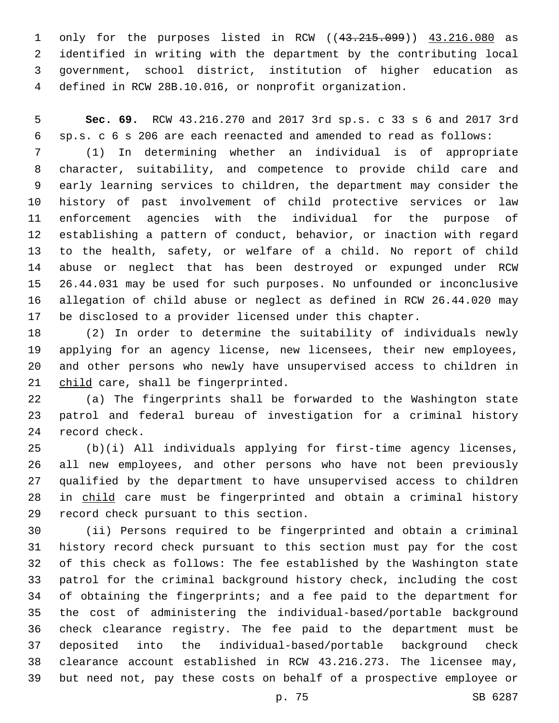only for the purposes listed in RCW ((43.215.099)) 43.216.080 as identified in writing with the department by the contributing local government, school district, institution of higher education as defined in RCW 28B.10.016, or nonprofit organization.

 **Sec. 69.** RCW 43.216.270 and 2017 3rd sp.s. c 33 s 6 and 2017 3rd sp.s. c 6 s 206 are each reenacted and amended to read as follows:

 (1) In determining whether an individual is of appropriate character, suitability, and competence to provide child care and early learning services to children, the department may consider the history of past involvement of child protective services or law enforcement agencies with the individual for the purpose of establishing a pattern of conduct, behavior, or inaction with regard to the health, safety, or welfare of a child. No report of child abuse or neglect that has been destroyed or expunged under RCW 26.44.031 may be used for such purposes. No unfounded or inconclusive allegation of child abuse or neglect as defined in RCW 26.44.020 may be disclosed to a provider licensed under this chapter.

 (2) In order to determine the suitability of individuals newly applying for an agency license, new licensees, their new employees, and other persons who newly have unsupervised access to children in 21 child care, shall be fingerprinted.

 (a) The fingerprints shall be forwarded to the Washington state patrol and federal bureau of investigation for a criminal history 24 record check.

 (b)(i) All individuals applying for first-time agency licenses, all new employees, and other persons who have not been previously qualified by the department to have unsupervised access to children in child care must be fingerprinted and obtain a criminal history 29 record check pursuant to this section.

 (ii) Persons required to be fingerprinted and obtain a criminal history record check pursuant to this section must pay for the cost of this check as follows: The fee established by the Washington state patrol for the criminal background history check, including the cost of obtaining the fingerprints; and a fee paid to the department for the cost of administering the individual-based/portable background check clearance registry. The fee paid to the department must be deposited into the individual-based/portable background check clearance account established in RCW 43.216.273. The licensee may, but need not, pay these costs on behalf of a prospective employee or

p. 75 SB 6287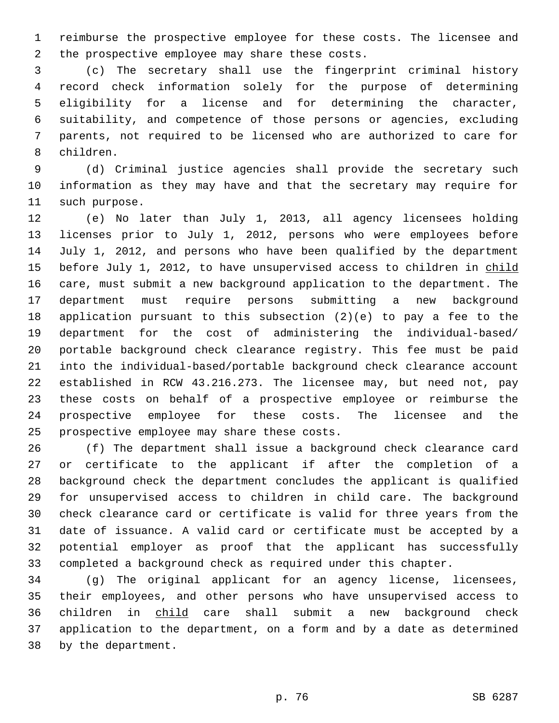reimburse the prospective employee for these costs. The licensee and 2 the prospective employee may share these costs.

 (c) The secretary shall use the fingerprint criminal history record check information solely for the purpose of determining eligibility for a license and for determining the character, suitability, and competence of those persons or agencies, excluding parents, not required to be licensed who are authorized to care for 8 children.

 (d) Criminal justice agencies shall provide the secretary such information as they may have and that the secretary may require for 11 such purpose.

 (e) No later than July 1, 2013, all agency licensees holding licenses prior to July 1, 2012, persons who were employees before July 1, 2012, and persons who have been qualified by the department 15 before July 1, 2012, to have unsupervised access to children in child care, must submit a new background application to the department. The department must require persons submitting a new background application pursuant to this subsection (2)(e) to pay a fee to the department for the cost of administering the individual-based/ portable background check clearance registry. This fee must be paid into the individual-based/portable background check clearance account established in RCW 43.216.273. The licensee may, but need not, pay these costs on behalf of a prospective employee or reimburse the prospective employee for these costs. The licensee and the 25 prospective employee may share these costs.

 (f) The department shall issue a background check clearance card or certificate to the applicant if after the completion of a background check the department concludes the applicant is qualified for unsupervised access to children in child care. The background check clearance card or certificate is valid for three years from the date of issuance. A valid card or certificate must be accepted by a potential employer as proof that the applicant has successfully completed a background check as required under this chapter.

34 (g) The original applicant for an agency license, licensees, their employees, and other persons who have unsupervised access to children in child care shall submit a new background check application to the department, on a form and by a date as determined 38 by the department.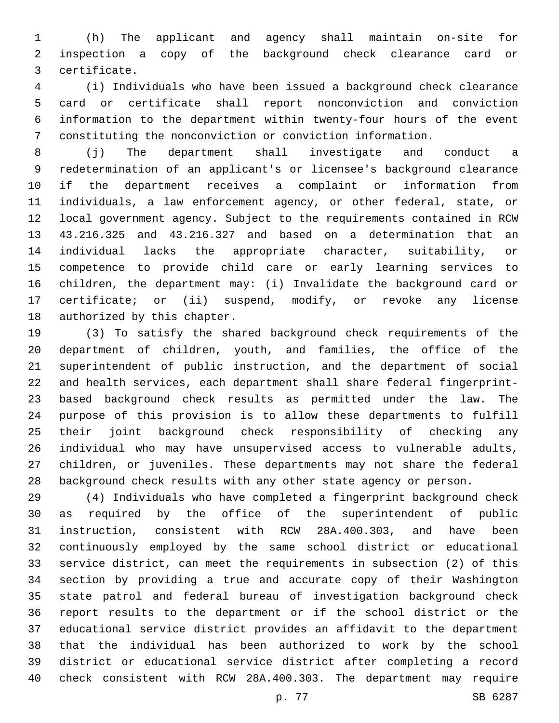(h) The applicant and agency shall maintain on-site for inspection a copy of the background check clearance card or certificate.3

 (i) Individuals who have been issued a background check clearance card or certificate shall report nonconviction and conviction information to the department within twenty-four hours of the event constituting the nonconviction or conviction information.

 (j) The department shall investigate and conduct a redetermination of an applicant's or licensee's background clearance if the department receives a complaint or information from individuals, a law enforcement agency, or other federal, state, or local government agency. Subject to the requirements contained in RCW 43.216.325 and 43.216.327 and based on a determination that an individual lacks the appropriate character, suitability, or competence to provide child care or early learning services to children, the department may: (i) Invalidate the background card or certificate; or (ii) suspend, modify, or revoke any license 18 authorized by this chapter.

 (3) To satisfy the shared background check requirements of the department of children, youth, and families, the office of the superintendent of public instruction, and the department of social and health services, each department shall share federal fingerprint- based background check results as permitted under the law. The purpose of this provision is to allow these departments to fulfill their joint background check responsibility of checking any individual who may have unsupervised access to vulnerable adults, children, or juveniles. These departments may not share the federal background check results with any other state agency or person.

 (4) Individuals who have completed a fingerprint background check as required by the office of the superintendent of public instruction, consistent with RCW 28A.400.303, and have been continuously employed by the same school district or educational service district, can meet the requirements in subsection (2) of this section by providing a true and accurate copy of their Washington state patrol and federal bureau of investigation background check report results to the department or if the school district or the educational service district provides an affidavit to the department that the individual has been authorized to work by the school district or educational service district after completing a record check consistent with RCW 28A.400.303. The department may require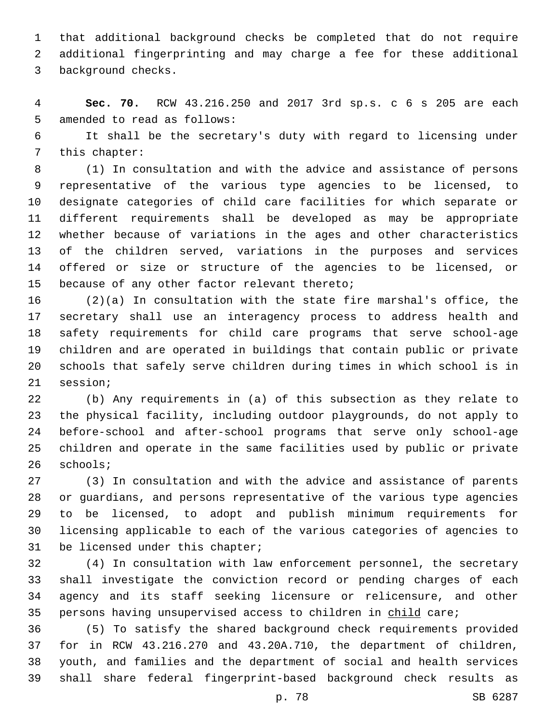that additional background checks be completed that do not require additional fingerprinting and may charge a fee for these additional 3 background checks.

 **Sec. 70.** RCW 43.216.250 and 2017 3rd sp.s. c 6 s 205 are each 5 amended to read as follows:

 It shall be the secretary's duty with regard to licensing under 7 this chapter:

 (1) In consultation and with the advice and assistance of persons representative of the various type agencies to be licensed, to designate categories of child care facilities for which separate or different requirements shall be developed as may be appropriate whether because of variations in the ages and other characteristics of the children served, variations in the purposes and services offered or size or structure of the agencies to be licensed, or 15 because of any other factor relevant thereto;

 (2)(a) In consultation with the state fire marshal's office, the secretary shall use an interagency process to address health and safety requirements for child care programs that serve school-age children and are operated in buildings that contain public or private schools that safely serve children during times in which school is in 21 session;

 (b) Any requirements in (a) of this subsection as they relate to the physical facility, including outdoor playgrounds, do not apply to before-school and after-school programs that serve only school-age children and operate in the same facilities used by public or private 26 schools;

 (3) In consultation and with the advice and assistance of parents or guardians, and persons representative of the various type agencies to be licensed, to adopt and publish minimum requirements for licensing applicable to each of the various categories of agencies to 31 be licensed under this chapter;

 (4) In consultation with law enforcement personnel, the secretary shall investigate the conviction record or pending charges of each agency and its staff seeking licensure or relicensure, and other 35 persons having unsupervised access to children in child care;

 (5) To satisfy the shared background check requirements provided for in RCW 43.216.270 and 43.20A.710, the department of children, youth, and families and the department of social and health services shall share federal fingerprint-based background check results as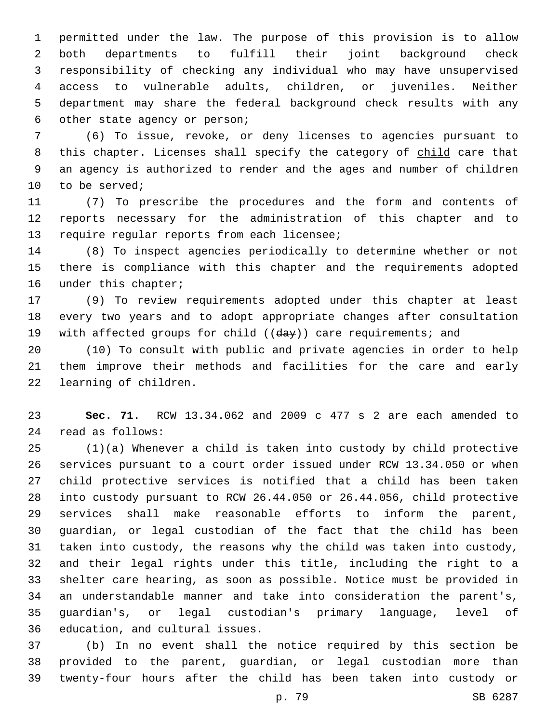permitted under the law. The purpose of this provision is to allow both departments to fulfill their joint background check responsibility of checking any individual who may have unsupervised access to vulnerable adults, children, or juveniles. Neither department may share the federal background check results with any 6 other state agency or person;

 (6) To issue, revoke, or deny licenses to agencies pursuant to 8 this chapter. Licenses shall specify the category of child care that an agency is authorized to render and the ages and number of children 10 to be served;

 (7) To prescribe the procedures and the form and contents of reports necessary for the administration of this chapter and to 13 require regular reports from each licensee;

 (8) To inspect agencies periodically to determine whether or not there is compliance with this chapter and the requirements adopted 16 under this chapter;

 (9) To review requirements adopted under this chapter at least every two years and to adopt appropriate changes after consultation 19 with affected groups for child ((day)) care requirements; and

 (10) To consult with public and private agencies in order to help them improve their methods and facilities for the care and early 22 learning of children.

 **Sec. 71.** RCW 13.34.062 and 2009 c 477 s 2 are each amended to read as follows:24

 (1)(a) Whenever a child is taken into custody by child protective services pursuant to a court order issued under RCW 13.34.050 or when child protective services is notified that a child has been taken into custody pursuant to RCW 26.44.050 or 26.44.056, child protective services shall make reasonable efforts to inform the parent, guardian, or legal custodian of the fact that the child has been taken into custody, the reasons why the child was taken into custody, and their legal rights under this title, including the right to a shelter care hearing, as soon as possible. Notice must be provided in an understandable manner and take into consideration the parent's, guardian's, or legal custodian's primary language, level of 36 education, and cultural issues.

 (b) In no event shall the notice required by this section be provided to the parent, guardian, or legal custodian more than twenty-four hours after the child has been taken into custody or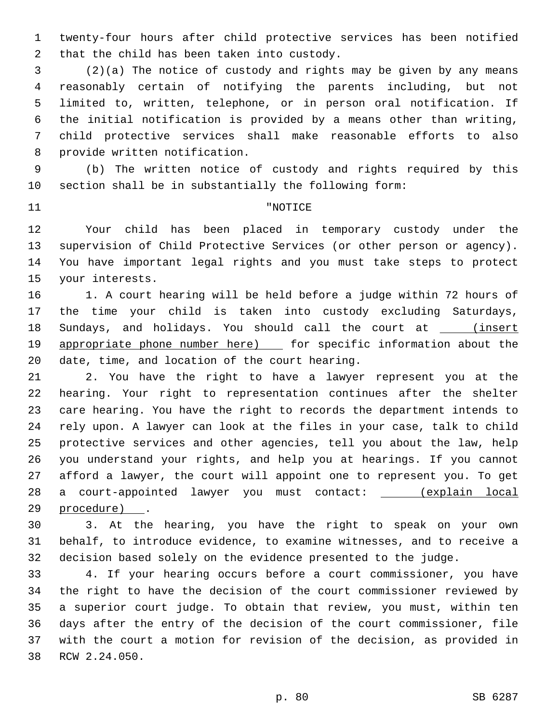twenty-four hours after child protective services has been notified 2 that the child has been taken into custody.

 (2)(a) The notice of custody and rights may be given by any means reasonably certain of notifying the parents including, but not limited to, written, telephone, or in person oral notification. If the initial notification is provided by a means other than writing, child protective services shall make reasonable efforts to also 8 provide written notification.

 (b) The written notice of custody and rights required by this section shall be in substantially the following form:

## 11 THE TERM PROPERTY AND THE TRUE TO THE TERM PROPERTY AND THE TERM PROPERTY.

 Your child has been placed in temporary custody under the supervision of Child Protective Services (or other person or agency). You have important legal rights and you must take steps to protect 15 your interests.

 1. A court hearing will be held before a judge within 72 hours of the time your child is taken into custody excluding Saturdays, 18 Sundays, and holidays. You should call the court at \_\_\_\_(insert 19 appropriate phone number here) [ for specific information about the 20 date, time, and location of the court hearing.

 2. You have the right to have a lawyer represent you at the hearing. Your right to representation continues after the shelter care hearing. You have the right to records the department intends to rely upon. A lawyer can look at the files in your case, talk to child protective services and other agencies, tell you about the law, help you understand your rights, and help you at hearings. If you cannot afford a lawyer, the court will appoint one to represent you. To get a court-appointed lawyer you must contact: (explain local 29 procedure) .

 3. At the hearing, you have the right to speak on your own behalf, to introduce evidence, to examine witnesses, and to receive a decision based solely on the evidence presented to the judge.

 4. If your hearing occurs before a court commissioner, you have the right to have the decision of the court commissioner reviewed by a superior court judge. To obtain that review, you must, within ten days after the entry of the decision of the court commissioner, file with the court a motion for revision of the decision, as provided in 38 RCW 2.24.050.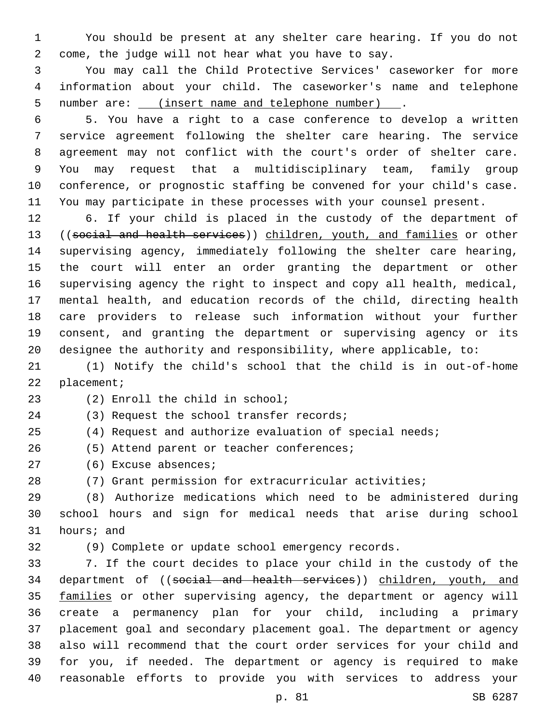You should be present at any shelter care hearing. If you do not come, the judge will not hear what you have to say.

 You may call the Child Protective Services' caseworker for more information about your child. The caseworker's name and telephone number are: (insert name and telephone number) .

 5. You have a right to a case conference to develop a written service agreement following the shelter care hearing. The service agreement may not conflict with the court's order of shelter care. You may request that a multidisciplinary team, family group conference, or prognostic staffing be convened for your child's case. You may participate in these processes with your counsel present.

 6. If your child is placed in the custody of the department of 13 ((social and health services)) children, youth, and families or other supervising agency, immediately following the shelter care hearing, the court will enter an order granting the department or other supervising agency the right to inspect and copy all health, medical, mental health, and education records of the child, directing health care providers to release such information without your further consent, and granting the department or supervising agency or its designee the authority and responsibility, where applicable, to:

 (1) Notify the child's school that the child is in out-of-home 22 placement;

(2) Enroll the child in school;23

24 (3) Request the school transfer records;

(4) Request and authorize evaluation of special needs;

26 (5) Attend parent or teacher conferences;

27 (6) Excuse absences;

(7) Grant permission for extracurricular activities;

 (8) Authorize medications which need to be administered during school hours and sign for medical needs that arise during school 31 hours; and

(9) Complete or update school emergency records.

 7. If the court decides to place your child in the custody of the 34 department of ((social and health services)) children, youth, and 35 families or other supervising agency, the department or agency will create a permanency plan for your child, including a primary placement goal and secondary placement goal. The department or agency also will recommend that the court order services for your child and for you, if needed. The department or agency is required to make reasonable efforts to provide you with services to address your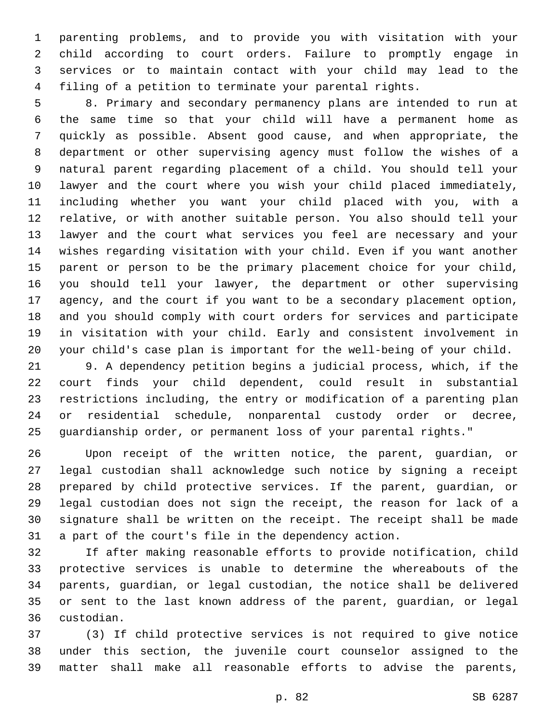parenting problems, and to provide you with visitation with your child according to court orders. Failure to promptly engage in services or to maintain contact with your child may lead to the filing of a petition to terminate your parental rights.

 8. Primary and secondary permanency plans are intended to run at the same time so that your child will have a permanent home as quickly as possible. Absent good cause, and when appropriate, the department or other supervising agency must follow the wishes of a natural parent regarding placement of a child. You should tell your lawyer and the court where you wish your child placed immediately, including whether you want your child placed with you, with a relative, or with another suitable person. You also should tell your lawyer and the court what services you feel are necessary and your wishes regarding visitation with your child. Even if you want another parent or person to be the primary placement choice for your child, you should tell your lawyer, the department or other supervising agency, and the court if you want to be a secondary placement option, and you should comply with court orders for services and participate in visitation with your child. Early and consistent involvement in your child's case plan is important for the well-being of your child.

 9. A dependency petition begins a judicial process, which, if the court finds your child dependent, could result in substantial restrictions including, the entry or modification of a parenting plan or residential schedule, nonparental custody order or decree, guardianship order, or permanent loss of your parental rights."

 Upon receipt of the written notice, the parent, guardian, or legal custodian shall acknowledge such notice by signing a receipt prepared by child protective services. If the parent, guardian, or legal custodian does not sign the receipt, the reason for lack of a signature shall be written on the receipt. The receipt shall be made a part of the court's file in the dependency action.

 If after making reasonable efforts to provide notification, child protective services is unable to determine the whereabouts of the parents, guardian, or legal custodian, the notice shall be delivered or sent to the last known address of the parent, guardian, or legal custodian.36

 (3) If child protective services is not required to give notice under this section, the juvenile court counselor assigned to the matter shall make all reasonable efforts to advise the parents,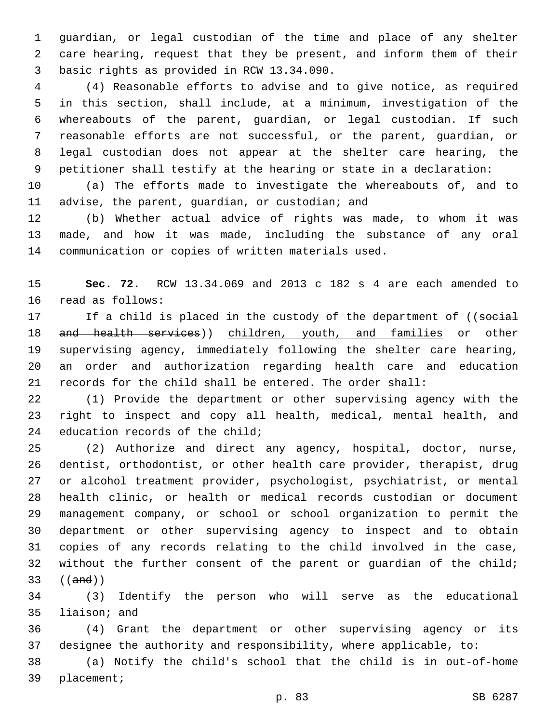guardian, or legal custodian of the time and place of any shelter care hearing, request that they be present, and inform them of their 3 basic rights as provided in RCW 13.34.090.

 (4) Reasonable efforts to advise and to give notice, as required in this section, shall include, at a minimum, investigation of the whereabouts of the parent, guardian, or legal custodian. If such reasonable efforts are not successful, or the parent, guardian, or legal custodian does not appear at the shelter care hearing, the petitioner shall testify at the hearing or state in a declaration:

 (a) The efforts made to investigate the whereabouts of, and to 11 advise, the parent, guardian, or custodian; and

 (b) Whether actual advice of rights was made, to whom it was made, and how it was made, including the substance of any oral communication or copies of written materials used.

 **Sec. 72.** RCW 13.34.069 and 2013 c 182 s 4 are each amended to 16 read as follows:

17 If a child is placed in the custody of the department of ((social 18 and health services)) children, youth, and families or other supervising agency, immediately following the shelter care hearing, an order and authorization regarding health care and education records for the child shall be entered. The order shall:

 (1) Provide the department or other supervising agency with the right to inspect and copy all health, medical, mental health, and 24 education records of the child;

 (2) Authorize and direct any agency, hospital, doctor, nurse, dentist, orthodontist, or other health care provider, therapist, drug or alcohol treatment provider, psychologist, psychiatrist, or mental health clinic, or health or medical records custodian or document management company, or school or school organization to permit the department or other supervising agency to inspect and to obtain copies of any records relating to the child involved in the case, 32 without the further consent of the parent or guardian of the child; ((and))

 (3) Identify the person who will serve as the educational 35 liaison; and

 (4) Grant the department or other supervising agency or its designee the authority and responsibility, where applicable, to:

 (a) Notify the child's school that the child is in out-of-home 39 placement;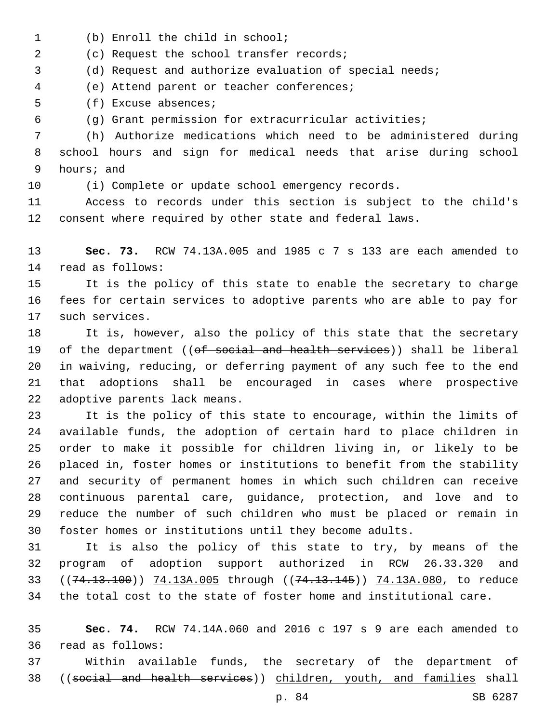- 1 (b) Enroll the child in school;
- (c) Request the school transfer records;2

(d) Request and authorize evaluation of special needs;

(e) Attend parent or teacher conferences;4

5 (f) Excuse absences;

(g) Grant permission for extracurricular activities;

 (h) Authorize medications which need to be administered during school hours and sign for medical needs that arise during school 9 hours; and

(i) Complete or update school emergency records.

 Access to records under this section is subject to the child's consent where required by other state and federal laws.

 **Sec. 73.** RCW 74.13A.005 and 1985 c 7 s 133 are each amended to 14 read as follows:

 It is the policy of this state to enable the secretary to charge fees for certain services to adoptive parents who are able to pay for 17 such services.

 It is, however, also the policy of this state that the secretary 19 of the department ((of social and health services)) shall be liberal in waiving, reducing, or deferring payment of any such fee to the end that adoptions shall be encouraged in cases where prospective 22 adoptive parents lack means.

 It is the policy of this state to encourage, within the limits of available funds, the adoption of certain hard to place children in order to make it possible for children living in, or likely to be placed in, foster homes or institutions to benefit from the stability and security of permanent homes in which such children can receive continuous parental care, guidance, protection, and love and to reduce the number of such children who must be placed or remain in foster homes or institutions until they become adults.

 It is also the policy of this state to try, by means of the program of adoption support authorized in RCW 26.33.320 and 33 ((74.13.100)) 74.13A.005 through ((74.13.145)) 74.13A.080, to reduce the total cost to the state of foster home and institutional care.

 **Sec. 74.** RCW 74.14A.060 and 2016 c 197 s 9 are each amended to read as follows:36

 Within available funds, the secretary of the department of ((social and health services)) children, youth, and families shall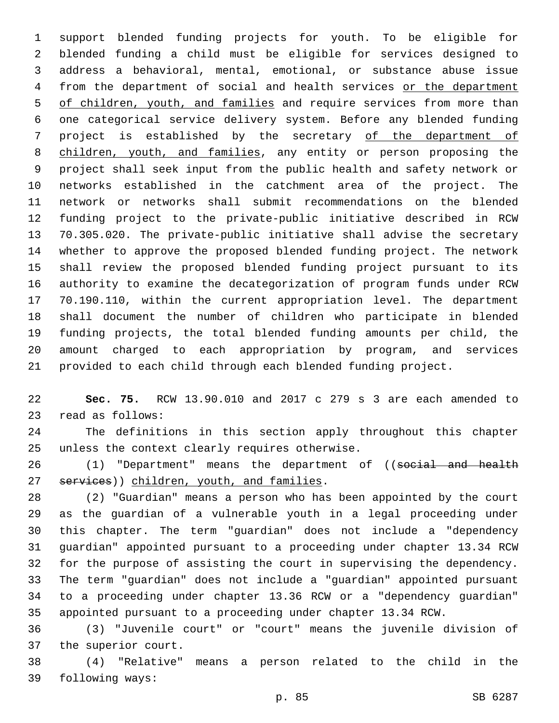support blended funding projects for youth. To be eligible for blended funding a child must be eligible for services designed to address a behavioral, mental, emotional, or substance abuse issue 4 from the department of social and health services or the department 5 of children, youth, and families and require services from more than one categorical service delivery system. Before any blended funding project is established by the secretary of the department of children, youth, and families, any entity or person proposing the project shall seek input from the public health and safety network or networks established in the catchment area of the project. The network or networks shall submit recommendations on the blended funding project to the private-public initiative described in RCW 70.305.020. The private-public initiative shall advise the secretary whether to approve the proposed blended funding project. The network shall review the proposed blended funding project pursuant to its authority to examine the decategorization of program funds under RCW 70.190.110, within the current appropriation level. The department shall document the number of children who participate in blended funding projects, the total blended funding amounts per child, the amount charged to each appropriation by program, and services provided to each child through each blended funding project.

 **Sec. 75.** RCW 13.90.010 and 2017 c 279 s 3 are each amended to 23 read as follows:

 The definitions in this section apply throughout this chapter 25 unless the context clearly requires otherwise.

26 (1) "Department" means the department of ((social and health 27 services)) children, youth, and families.

 (2) "Guardian" means a person who has been appointed by the court as the guardian of a vulnerable youth in a legal proceeding under this chapter. The term "guardian" does not include a "dependency guardian" appointed pursuant to a proceeding under chapter 13.34 RCW for the purpose of assisting the court in supervising the dependency. The term "guardian" does not include a "guardian" appointed pursuant to a proceeding under chapter 13.36 RCW or a "dependency guardian" appointed pursuant to a proceeding under chapter 13.34 RCW.

 (3) "Juvenile court" or "court" means the juvenile division of 37 the superior court.

 (4) "Relative" means a person related to the child in the 39 following ways: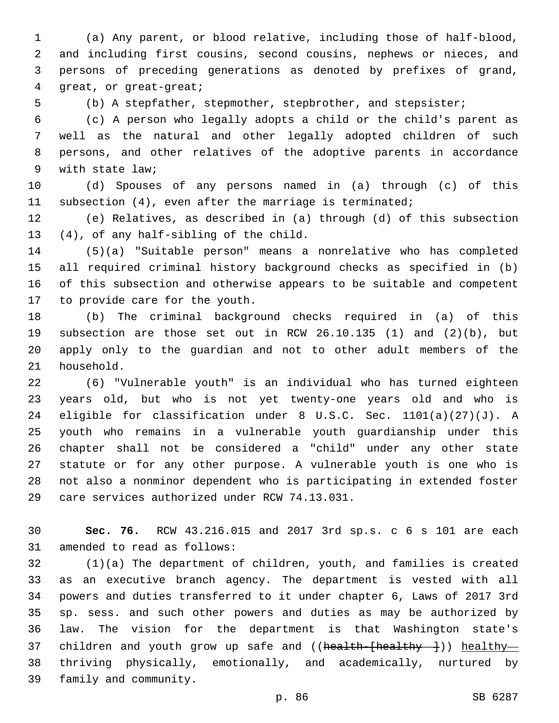(a) Any parent, or blood relative, including those of half-blood, and including first cousins, second cousins, nephews or nieces, and persons of preceding generations as denoted by prefixes of grand, 4 qreat, or great-great;

(b) A stepfather, stepmother, stepbrother, and stepsister;

 (c) A person who legally adopts a child or the child's parent as well as the natural and other legally adopted children of such persons, and other relatives of the adoptive parents in accordance 9 with state law;

 (d) Spouses of any persons named in (a) through (c) of this subsection (4), even after the marriage is terminated;

 (e) Relatives, as described in (a) through (d) of this subsection 13 (4), of any half-sibling of the child.

 (5)(a) "Suitable person" means a nonrelative who has completed all required criminal history background checks as specified in (b) of this subsection and otherwise appears to be suitable and competent 17 to provide care for the youth.

 (b) The criminal background checks required in (a) of this subsection are those set out in RCW 26.10.135 (1) and (2)(b), but apply only to the guardian and not to other adult members of the 21 household.

 (6) "Vulnerable youth" is an individual who has turned eighteen years old, but who is not yet twenty-one years old and who is eligible for classification under 8 U.S.C. Sec. 1101(a)(27)(J). A youth who remains in a vulnerable youth guardianship under this chapter shall not be considered a "child" under any other state statute or for any other purpose. A vulnerable youth is one who is not also a nonminor dependent who is participating in extended foster 29 care services authorized under RCW 74.13.031.

 **Sec. 76.** RCW 43.216.015 and 2017 3rd sp.s. c 6 s 101 are each 31 amended to read as follows:

 (1)(a) The department of children, youth, and families is created as an executive branch agency. The department is vested with all powers and duties transferred to it under chapter 6, Laws of 2017 3rd sp. sess. and such other powers and duties as may be authorized by law. The vision for the department is that Washington state's 37 children and youth grow up safe and ((health-[healthy---])) healthy- thriving physically, emotionally, and academically, nurtured by 39 family and community.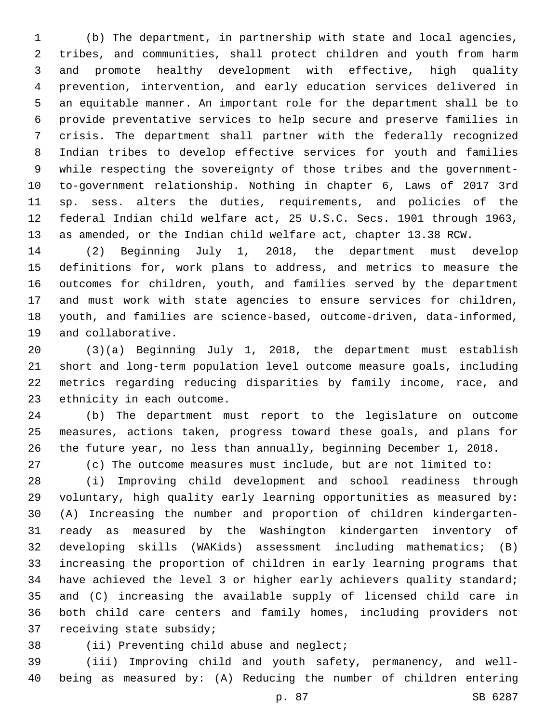(b) The department, in partnership with state and local agencies, tribes, and communities, shall protect children and youth from harm and promote healthy development with effective, high quality prevention, intervention, and early education services delivered in an equitable manner. An important role for the department shall be to provide preventative services to help secure and preserve families in crisis. The department shall partner with the federally recognized Indian tribes to develop effective services for youth and families while respecting the sovereignty of those tribes and the government- to-government relationship. Nothing in chapter 6, Laws of 2017 3rd sp. sess. alters the duties, requirements, and policies of the federal Indian child welfare act, 25 U.S.C. Secs. 1901 through 1963, as amended, or the Indian child welfare act, chapter 13.38 RCW.

 (2) Beginning July 1, 2018, the department must develop definitions for, work plans to address, and metrics to measure the outcomes for children, youth, and families served by the department and must work with state agencies to ensure services for children, youth, and families are science-based, outcome-driven, data-informed, 19 and collaborative.

 (3)(a) Beginning July 1, 2018, the department must establish short and long-term population level outcome measure goals, including metrics regarding reducing disparities by family income, race, and 23 ethnicity in each outcome.

 (b) The department must report to the legislature on outcome measures, actions taken, progress toward these goals, and plans for the future year, no less than annually, beginning December 1, 2018.

(c) The outcome measures must include, but are not limited to:

 (i) Improving child development and school readiness through voluntary, high quality early learning opportunities as measured by: (A) Increasing the number and proportion of children kindergarten- ready as measured by the Washington kindergarten inventory of developing skills (WAKids) assessment including mathematics; (B) increasing the proportion of children in early learning programs that have achieved the level 3 or higher early achievers quality standard; and (C) increasing the available supply of licensed child care in both child care centers and family homes, including providers not 37 receiving state subsidy;

38 (ii) Preventing child abuse and neglect;

 (iii) Improving child and youth safety, permanency, and well-being as measured by: (A) Reducing the number of children entering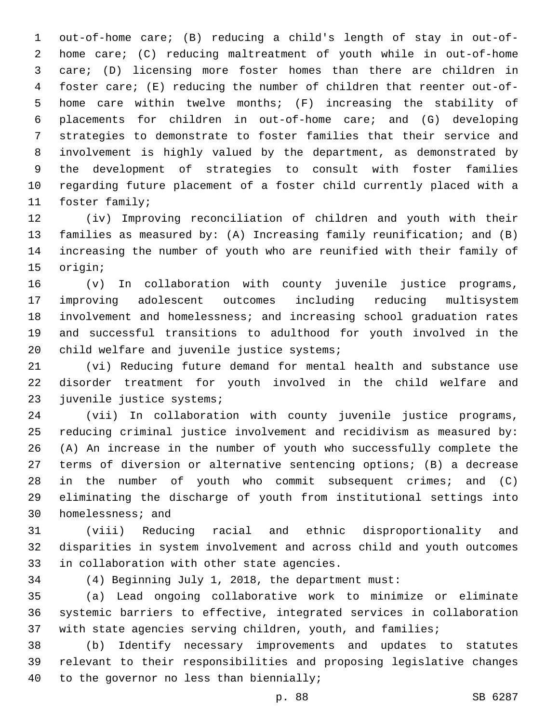out-of-home care; (B) reducing a child's length of stay in out-of- home care; (C) reducing maltreatment of youth while in out-of-home care; (D) licensing more foster homes than there are children in foster care; (E) reducing the number of children that reenter out-of- home care within twelve months; (F) increasing the stability of placements for children in out-of-home care; and (G) developing strategies to demonstrate to foster families that their service and involvement is highly valued by the department, as demonstrated by the development of strategies to consult with foster families regarding future placement of a foster child currently placed with a 11 foster family;

 (iv) Improving reconciliation of children and youth with their families as measured by: (A) Increasing family reunification; and (B) increasing the number of youth who are reunified with their family of 15 origin;

 (v) In collaboration with county juvenile justice programs, improving adolescent outcomes including reducing multisystem involvement and homelessness; and increasing school graduation rates and successful transitions to adulthood for youth involved in the 20 child welfare and juvenile justice systems;

 (vi) Reducing future demand for mental health and substance use disorder treatment for youth involved in the child welfare and 23 juvenile justice systems;

 (vii) In collaboration with county juvenile justice programs, reducing criminal justice involvement and recidivism as measured by: (A) An increase in the number of youth who successfully complete the terms of diversion or alternative sentencing options; (B) a decrease in the number of youth who commit subsequent crimes; and (C) eliminating the discharge of youth from institutional settings into 30 homelessness; and

 (viii) Reducing racial and ethnic disproportionality and disparities in system involvement and across child and youth outcomes 33 in collaboration with other state agencies.

(4) Beginning July 1, 2018, the department must:

 (a) Lead ongoing collaborative work to minimize or eliminate systemic barriers to effective, integrated services in collaboration 37 with state agencies serving children, youth, and families;

 (b) Identify necessary improvements and updates to statutes relevant to their responsibilities and proposing legislative changes 40 to the governor no less than biennially;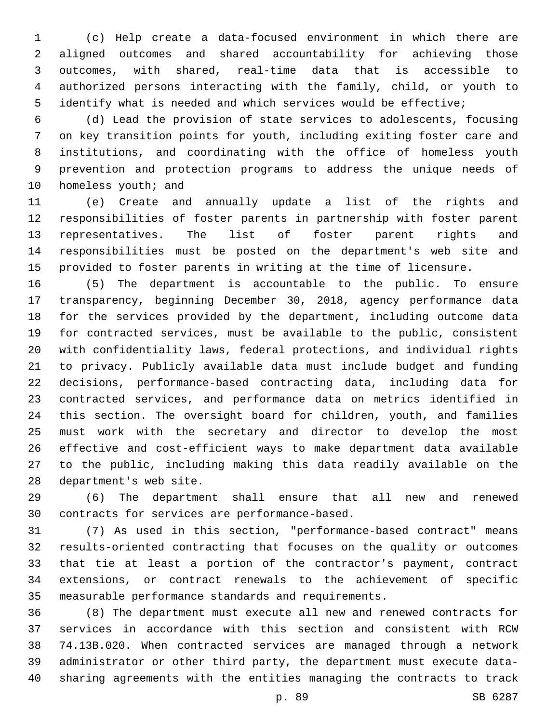(c) Help create a data-focused environment in which there are aligned outcomes and shared accountability for achieving those outcomes, with shared, real-time data that is accessible to authorized persons interacting with the family, child, or youth to identify what is needed and which services would be effective;

 (d) Lead the provision of state services to adolescents, focusing on key transition points for youth, including exiting foster care and institutions, and coordinating with the office of homeless youth prevention and protection programs to address the unique needs of 10 homeless youth; and

 (e) Create and annually update a list of the rights and responsibilities of foster parents in partnership with foster parent representatives. The list of foster parent rights and responsibilities must be posted on the department's web site and provided to foster parents in writing at the time of licensure.

 (5) The department is accountable to the public. To ensure transparency, beginning December 30, 2018, agency performance data for the services provided by the department, including outcome data for contracted services, must be available to the public, consistent with confidentiality laws, federal protections, and individual rights to privacy. Publicly available data must include budget and funding decisions, performance-based contracting data, including data for contracted services, and performance data on metrics identified in this section. The oversight board for children, youth, and families must work with the secretary and director to develop the most effective and cost-efficient ways to make department data available to the public, including making this data readily available on the 28 department's web site.

 (6) The department shall ensure that all new and renewed 30 contracts for services are performance-based.

 (7) As used in this section, "performance-based contract" means results-oriented contracting that focuses on the quality or outcomes that tie at least a portion of the contractor's payment, contract extensions, or contract renewals to the achievement of specific measurable performance standards and requirements.

 (8) The department must execute all new and renewed contracts for services in accordance with this section and consistent with RCW 74.13B.020. When contracted services are managed through a network administrator or other third party, the department must execute data-sharing agreements with the entities managing the contracts to track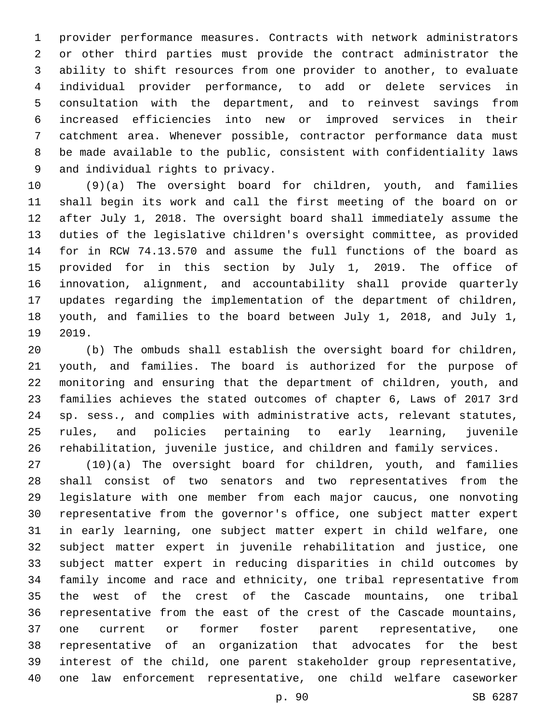provider performance measures. Contracts with network administrators or other third parties must provide the contract administrator the ability to shift resources from one provider to another, to evaluate individual provider performance, to add or delete services in consultation with the department, and to reinvest savings from increased efficiencies into new or improved services in their catchment area. Whenever possible, contractor performance data must be made available to the public, consistent with confidentiality laws 9 and individual rights to privacy.

 (9)(a) The oversight board for children, youth, and families shall begin its work and call the first meeting of the board on or after July 1, 2018. The oversight board shall immediately assume the duties of the legislative children's oversight committee, as provided for in RCW 74.13.570 and assume the full functions of the board as provided for in this section by July 1, 2019. The office of innovation, alignment, and accountability shall provide quarterly updates regarding the implementation of the department of children, youth, and families to the board between July 1, 2018, and July 1, 19 2019.

 (b) The ombuds shall establish the oversight board for children, youth, and families. The board is authorized for the purpose of monitoring and ensuring that the department of children, youth, and families achieves the stated outcomes of chapter 6, Laws of 2017 3rd sp. sess., and complies with administrative acts, relevant statutes, rules, and policies pertaining to early learning, juvenile rehabilitation, juvenile justice, and children and family services.

 (10)(a) The oversight board for children, youth, and families shall consist of two senators and two representatives from the legislature with one member from each major caucus, one nonvoting representative from the governor's office, one subject matter expert in early learning, one subject matter expert in child welfare, one subject matter expert in juvenile rehabilitation and justice, one subject matter expert in reducing disparities in child outcomes by family income and race and ethnicity, one tribal representative from the west of the crest of the Cascade mountains, one tribal representative from the east of the crest of the Cascade mountains, one current or former foster parent representative, one representative of an organization that advocates for the best interest of the child, one parent stakeholder group representative, one law enforcement representative, one child welfare caseworker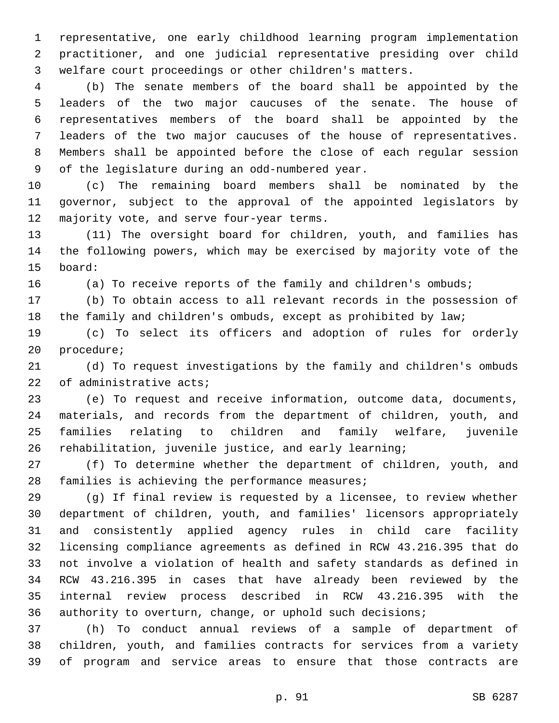representative, one early childhood learning program implementation practitioner, and one judicial representative presiding over child welfare court proceedings or other children's matters.

 (b) The senate members of the board shall be appointed by the leaders of the two major caucuses of the senate. The house of representatives members of the board shall be appointed by the leaders of the two major caucuses of the house of representatives. Members shall be appointed before the close of each regular session 9 of the legislature during an odd-numbered year.

 (c) The remaining board members shall be nominated by the governor, subject to the approval of the appointed legislators by 12 majority vote, and serve four-year terms.

 (11) The oversight board for children, youth, and families has the following powers, which may be exercised by majority vote of the 15 board:

16 (a) To receive reports of the family and children's ombuds;

 (b) To obtain access to all relevant records in the possession of the family and children's ombuds, except as prohibited by law;

 (c) To select its officers and adoption of rules for orderly 20 procedure;

 (d) To request investigations by the family and children's ombuds 22 of administrative acts;

 (e) To request and receive information, outcome data, documents, materials, and records from the department of children, youth, and families relating to children and family welfare, juvenile rehabilitation, juvenile justice, and early learning;

 (f) To determine whether the department of children, youth, and 28 families is achieving the performance measures;

 (g) If final review is requested by a licensee, to review whether department of children, youth, and families' licensors appropriately and consistently applied agency rules in child care facility licensing compliance agreements as defined in RCW 43.216.395 that do not involve a violation of health and safety standards as defined in RCW 43.216.395 in cases that have already been reviewed by the internal review process described in RCW 43.216.395 with the authority to overturn, change, or uphold such decisions;

 (h) To conduct annual reviews of a sample of department of children, youth, and families contracts for services from a variety of program and service areas to ensure that those contracts are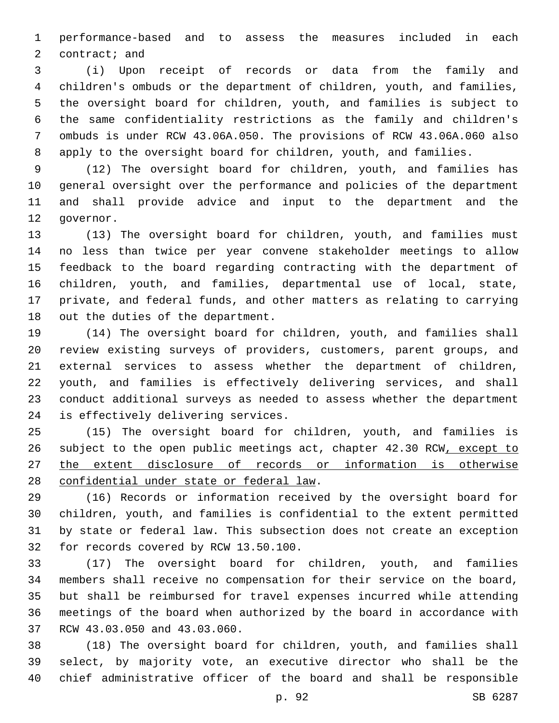performance-based and to assess the measures included in each 2 contract; and

 (i) Upon receipt of records or data from the family and children's ombuds or the department of children, youth, and families, the oversight board for children, youth, and families is subject to the same confidentiality restrictions as the family and children's ombuds is under RCW 43.06A.050. The provisions of RCW 43.06A.060 also apply to the oversight board for children, youth, and families.

 (12) The oversight board for children, youth, and families has general oversight over the performance and policies of the department and shall provide advice and input to the department and the 12 qovernor.

 (13) The oversight board for children, youth, and families must no less than twice per year convene stakeholder meetings to allow feedback to the board regarding contracting with the department of children, youth, and families, departmental use of local, state, private, and federal funds, and other matters as relating to carrying 18 out the duties of the department.

 (14) The oversight board for children, youth, and families shall review existing surveys of providers, customers, parent groups, and external services to assess whether the department of children, youth, and families is effectively delivering services, and shall conduct additional surveys as needed to assess whether the department 24 is effectively delivering services.

 (15) The oversight board for children, youth, and families is subject to the open public meetings act, chapter 42.30 RCW, except to the extent disclosure of records or information is otherwise 28 confidential under state or federal law.

 (16) Records or information received by the oversight board for children, youth, and families is confidential to the extent permitted by state or federal law. This subsection does not create an exception 32 for records covered by RCW 13.50.100.

 (17) The oversight board for children, youth, and families members shall receive no compensation for their service on the board, but shall be reimbursed for travel expenses incurred while attending meetings of the board when authorized by the board in accordance with 37 RCW 43.03.050 and 43.03.060.

 (18) The oversight board for children, youth, and families shall select, by majority vote, an executive director who shall be the chief administrative officer of the board and shall be responsible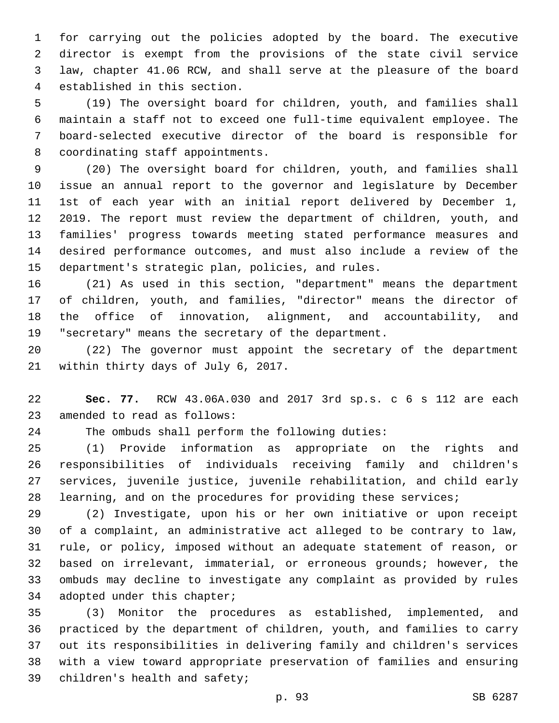for carrying out the policies adopted by the board. The executive director is exempt from the provisions of the state civil service law, chapter 41.06 RCW, and shall serve at the pleasure of the board 4 established in this section.

 (19) The oversight board for children, youth, and families shall maintain a staff not to exceed one full-time equivalent employee. The board-selected executive director of the board is responsible for 8 coordinating staff appointments.

 (20) The oversight board for children, youth, and families shall issue an annual report to the governor and legislature by December 1st of each year with an initial report delivered by December 1, 2019. The report must review the department of children, youth, and families' progress towards meeting stated performance measures and desired performance outcomes, and must also include a review of the 15 department's strategic plan, policies, and rules.

 (21) As used in this section, "department" means the department of children, youth, and families, "director" means the director of the office of innovation, alignment, and accountability, and "secretary" means the secretary of the department.

 (22) The governor must appoint the secretary of the department 21 within thirty days of July 6, 2017.

 **Sec. 77.** RCW 43.06A.030 and 2017 3rd sp.s. c 6 s 112 are each 23 amended to read as follows:

The ombuds shall perform the following duties:

 (1) Provide information as appropriate on the rights and responsibilities of individuals receiving family and children's services, juvenile justice, juvenile rehabilitation, and child early learning, and on the procedures for providing these services;

 (2) Investigate, upon his or her own initiative or upon receipt of a complaint, an administrative act alleged to be contrary to law, rule, or policy, imposed without an adequate statement of reason, or based on irrelevant, immaterial, or erroneous grounds; however, the ombuds may decline to investigate any complaint as provided by rules 34 adopted under this chapter;

 (3) Monitor the procedures as established, implemented, and practiced by the department of children, youth, and families to carry out its responsibilities in delivering family and children's services with a view toward appropriate preservation of families and ensuring 39 children's health and safety;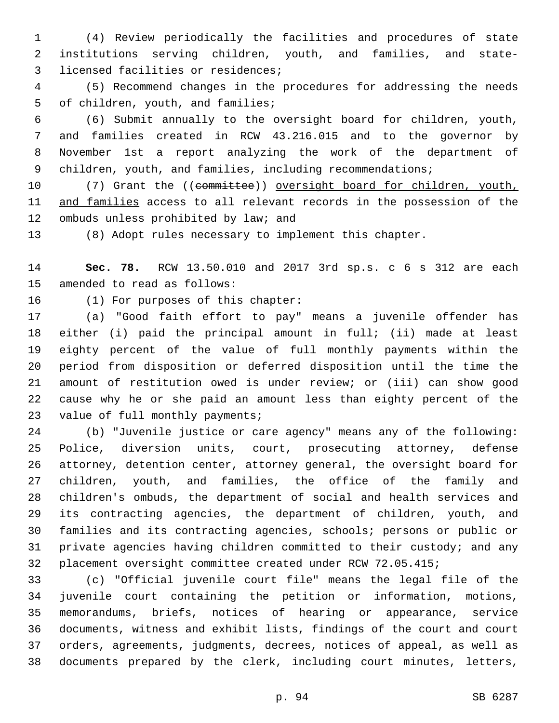(4) Review periodically the facilities and procedures of state institutions serving children, youth, and families, and state-3 licensed facilities or residences;

 (5) Recommend changes in the procedures for addressing the needs 5 of children, youth, and families;

 (6) Submit annually to the oversight board for children, youth, and families created in RCW 43.216.015 and to the governor by November 1st a report analyzing the work of the department of 9 children, youth, and families, including recommendations;

10 (7) Grant the ((committee)) oversight board for children, youth, and families access to all relevant records in the possession of the 12 ombuds unless prohibited by law; and

(8) Adopt rules necessary to implement this chapter.

 **Sec. 78.** RCW 13.50.010 and 2017 3rd sp.s. c 6 s 312 are each 15 amended to read as follows:

16 (1) For purposes of this chapter:

 (a) "Good faith effort to pay" means a juvenile offender has either (i) paid the principal amount in full; (ii) made at least eighty percent of the value of full monthly payments within the period from disposition or deferred disposition until the time the amount of restitution owed is under review; or (iii) can show good cause why he or she paid an amount less than eighty percent of the 23 value of full monthly payments;

 (b) "Juvenile justice or care agency" means any of the following: Police, diversion units, court, prosecuting attorney, defense attorney, detention center, attorney general, the oversight board for children, youth, and families, the office of the family and children's ombuds, the department of social and health services and its contracting agencies, the department of children, youth, and families and its contracting agencies, schools; persons or public or private agencies having children committed to their custody; and any placement oversight committee created under RCW 72.05.415;

 (c) "Official juvenile court file" means the legal file of the juvenile court containing the petition or information, motions, memorandums, briefs, notices of hearing or appearance, service documents, witness and exhibit lists, findings of the court and court orders, agreements, judgments, decrees, notices of appeal, as well as documents prepared by the clerk, including court minutes, letters,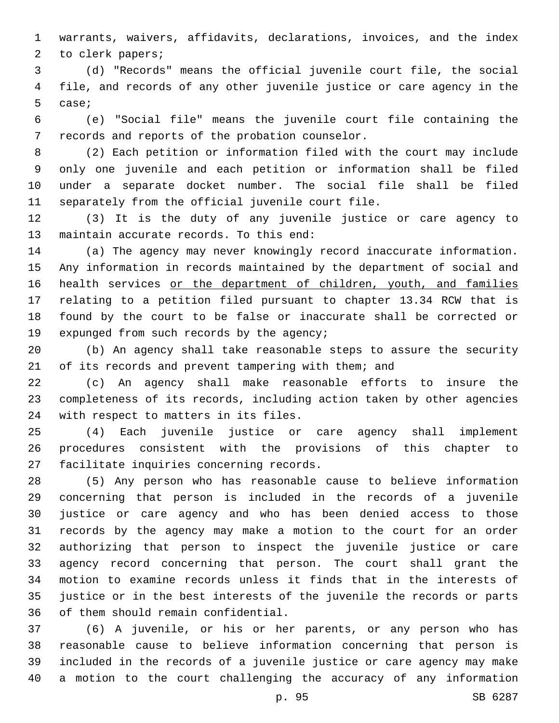warrants, waivers, affidavits, declarations, invoices, and the index 2 to clerk papers;

 (d) "Records" means the official juvenile court file, the social file, and records of any other juvenile justice or care agency in the 5 case;

 (e) "Social file" means the juvenile court file containing the 7 records and reports of the probation counselor.

 (2) Each petition or information filed with the court may include only one juvenile and each petition or information shall be filed under a separate docket number. The social file shall be filed 11 separately from the official juvenile court file.

 (3) It is the duty of any juvenile justice or care agency to 13 maintain accurate records. To this end:

 (a) The agency may never knowingly record inaccurate information. Any information in records maintained by the department of social and 16 health services or the department of children, youth, and families relating to a petition filed pursuant to chapter 13.34 RCW that is found by the court to be false or inaccurate shall be corrected or 19 expunged from such records by the agency;

 (b) An agency shall take reasonable steps to assure the security of its records and prevent tampering with them; and

 (c) An agency shall make reasonable efforts to insure the completeness of its records, including action taken by other agencies 24 with respect to matters in its files.

 (4) Each juvenile justice or care agency shall implement procedures consistent with the provisions of this chapter to 27 facilitate inquiries concerning records.

 (5) Any person who has reasonable cause to believe information concerning that person is included in the records of a juvenile justice or care agency and who has been denied access to those records by the agency may make a motion to the court for an order authorizing that person to inspect the juvenile justice or care agency record concerning that person. The court shall grant the motion to examine records unless it finds that in the interests of justice or in the best interests of the juvenile the records or parts 36 of them should remain confidential.

 (6) A juvenile, or his or her parents, or any person who has reasonable cause to believe information concerning that person is included in the records of a juvenile justice or care agency may make a motion to the court challenging the accuracy of any information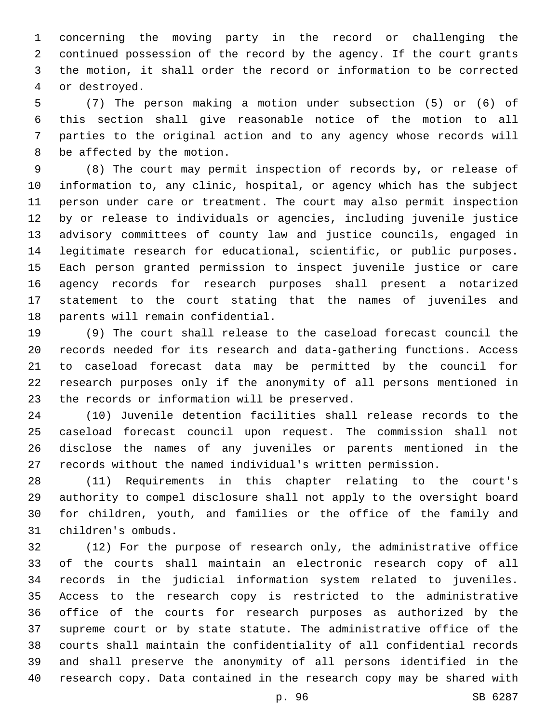concerning the moving party in the record or challenging the continued possession of the record by the agency. If the court grants the motion, it shall order the record or information to be corrected 4 or destroyed.

 (7) The person making a motion under subsection (5) or (6) of this section shall give reasonable notice of the motion to all parties to the original action and to any agency whose records will 8 be affected by the motion.

 (8) The court may permit inspection of records by, or release of information to, any clinic, hospital, or agency which has the subject person under care or treatment. The court may also permit inspection by or release to individuals or agencies, including juvenile justice advisory committees of county law and justice councils, engaged in legitimate research for educational, scientific, or public purposes. Each person granted permission to inspect juvenile justice or care agency records for research purposes shall present a notarized statement to the court stating that the names of juveniles and 18 parents will remain confidential.

 (9) The court shall release to the caseload forecast council the records needed for its research and data-gathering functions. Access to caseload forecast data may be permitted by the council for research purposes only if the anonymity of all persons mentioned in 23 the records or information will be preserved.

 (10) Juvenile detention facilities shall release records to the caseload forecast council upon request. The commission shall not disclose the names of any juveniles or parents mentioned in the records without the named individual's written permission.

 (11) Requirements in this chapter relating to the court's authority to compel disclosure shall not apply to the oversight board for children, youth, and families or the office of the family and 31 children's ombuds.

 (12) For the purpose of research only, the administrative office of the courts shall maintain an electronic research copy of all records in the judicial information system related to juveniles. Access to the research copy is restricted to the administrative office of the courts for research purposes as authorized by the supreme court or by state statute. The administrative office of the courts shall maintain the confidentiality of all confidential records and shall preserve the anonymity of all persons identified in the research copy. Data contained in the research copy may be shared with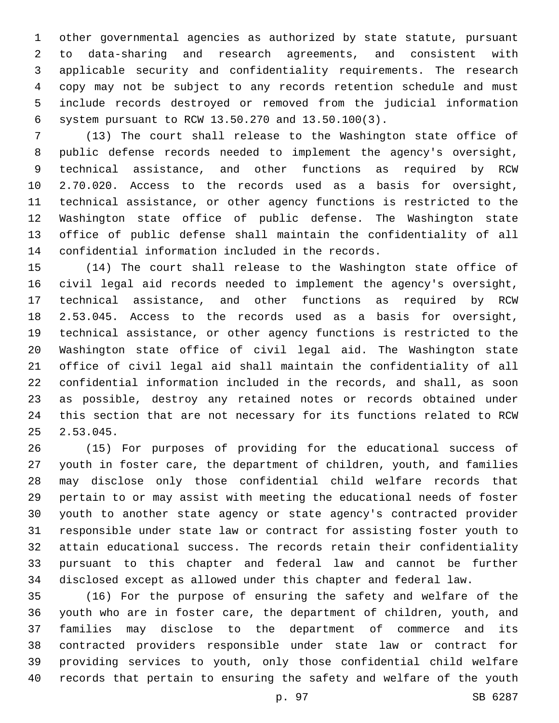other governmental agencies as authorized by state statute, pursuant to data-sharing and research agreements, and consistent with applicable security and confidentiality requirements. The research copy may not be subject to any records retention schedule and must include records destroyed or removed from the judicial information system pursuant to RCW 13.50.270 and 13.50.100(3).6

 (13) The court shall release to the Washington state office of public defense records needed to implement the agency's oversight, technical assistance, and other functions as required by RCW 2.70.020. Access to the records used as a basis for oversight, technical assistance, or other agency functions is restricted to the Washington state office of public defense. The Washington state office of public defense shall maintain the confidentiality of all 14 confidential information included in the records.

 (14) The court shall release to the Washington state office of civil legal aid records needed to implement the agency's oversight, technical assistance, and other functions as required by RCW 2.53.045. Access to the records used as a basis for oversight, technical assistance, or other agency functions is restricted to the Washington state office of civil legal aid. The Washington state office of civil legal aid shall maintain the confidentiality of all confidential information included in the records, and shall, as soon as possible, destroy any retained notes or records obtained under this section that are not necessary for its functions related to RCW 2.53.045.

 (15) For purposes of providing for the educational success of youth in foster care, the department of children, youth, and families may disclose only those confidential child welfare records that pertain to or may assist with meeting the educational needs of foster youth to another state agency or state agency's contracted provider responsible under state law or contract for assisting foster youth to attain educational success. The records retain their confidentiality pursuant to this chapter and federal law and cannot be further disclosed except as allowed under this chapter and federal law.

 (16) For the purpose of ensuring the safety and welfare of the youth who are in foster care, the department of children, youth, and families may disclose to the department of commerce and its contracted providers responsible under state law or contract for providing services to youth, only those confidential child welfare records that pertain to ensuring the safety and welfare of the youth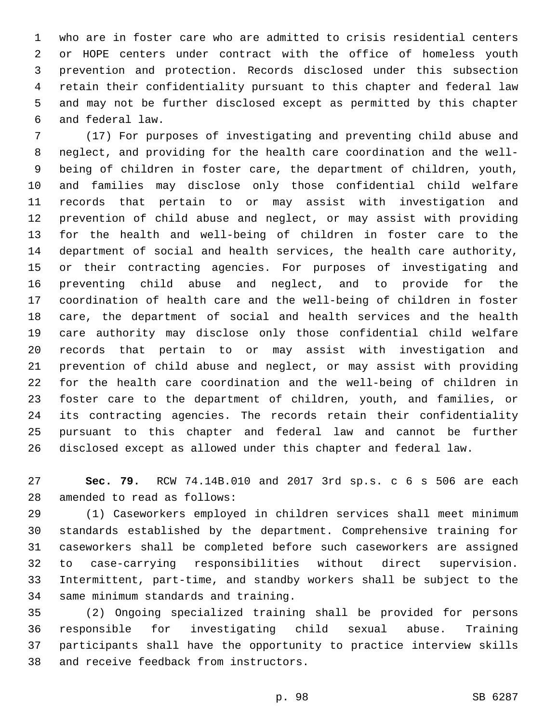who are in foster care who are admitted to crisis residential centers or HOPE centers under contract with the office of homeless youth prevention and protection. Records disclosed under this subsection retain their confidentiality pursuant to this chapter and federal law and may not be further disclosed except as permitted by this chapter and federal law.6

 (17) For purposes of investigating and preventing child abuse and neglect, and providing for the health care coordination and the well- being of children in foster care, the department of children, youth, and families may disclose only those confidential child welfare records that pertain to or may assist with investigation and prevention of child abuse and neglect, or may assist with providing for the health and well-being of children in foster care to the department of social and health services, the health care authority, or their contracting agencies. For purposes of investigating and preventing child abuse and neglect, and to provide for the coordination of health care and the well-being of children in foster care, the department of social and health services and the health care authority may disclose only those confidential child welfare records that pertain to or may assist with investigation and prevention of child abuse and neglect, or may assist with providing for the health care coordination and the well-being of children in foster care to the department of children, youth, and families, or its contracting agencies. The records retain their confidentiality pursuant to this chapter and federal law and cannot be further disclosed except as allowed under this chapter and federal law.

 **Sec. 79.** RCW 74.14B.010 and 2017 3rd sp.s. c 6 s 506 are each 28 amended to read as follows:

 (1) Caseworkers employed in children services shall meet minimum standards established by the department. Comprehensive training for caseworkers shall be completed before such caseworkers are assigned to case-carrying responsibilities without direct supervision. Intermittent, part-time, and standby workers shall be subject to the 34 same minimum standards and training.

 (2) Ongoing specialized training shall be provided for persons responsible for investigating child sexual abuse. Training participants shall have the opportunity to practice interview skills 38 and receive feedback from instructors.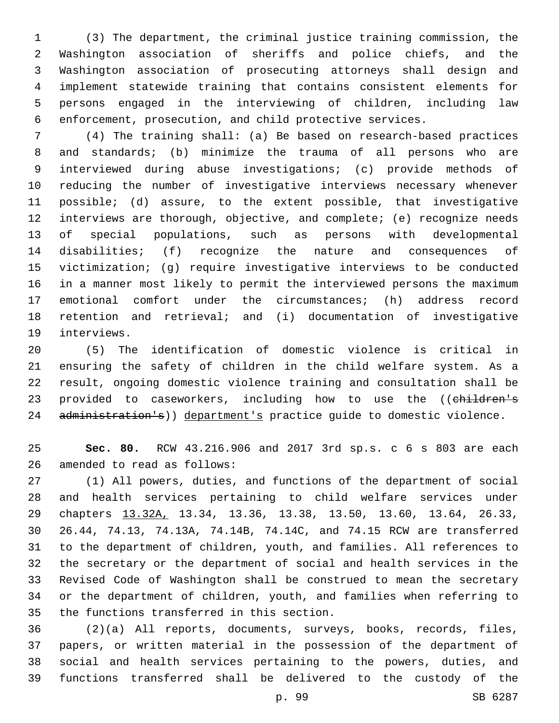(3) The department, the criminal justice training commission, the Washington association of sheriffs and police chiefs, and the Washington association of prosecuting attorneys shall design and implement statewide training that contains consistent elements for persons engaged in the interviewing of children, including law enforcement, prosecution, and child protective services.

 (4) The training shall: (a) Be based on research-based practices and standards; (b) minimize the trauma of all persons who are interviewed during abuse investigations; (c) provide methods of reducing the number of investigative interviews necessary whenever possible; (d) assure, to the extent possible, that investigative interviews are thorough, objective, and complete; (e) recognize needs of special populations, such as persons with developmental disabilities; (f) recognize the nature and consequences of victimization; (g) require investigative interviews to be conducted in a manner most likely to permit the interviewed persons the maximum emotional comfort under the circumstances; (h) address record retention and retrieval; and (i) documentation of investigative 19 interviews.

 (5) The identification of domestic violence is critical in ensuring the safety of children in the child welfare system. As a result, ongoing domestic violence training and consultation shall be 23 provided to caseworkers, including how to use the ((children's 24 administration's)) department's practice guide to domestic violence.

 **Sec. 80.** RCW 43.216.906 and 2017 3rd sp.s. c 6 s 803 are each 26 amended to read as follows:

 (1) All powers, duties, and functions of the department of social and health services pertaining to child welfare services under chapters 13.32A, 13.34, 13.36, 13.38, 13.50, 13.60, 13.64, 26.33, 26.44, 74.13, 74.13A, 74.14B, 74.14C, and 74.15 RCW are transferred to the department of children, youth, and families. All references to the secretary or the department of social and health services in the Revised Code of Washington shall be construed to mean the secretary or the department of children, youth, and families when referring to 35 the functions transferred in this section.

 (2)(a) All reports, documents, surveys, books, records, files, papers, or written material in the possession of the department of social and health services pertaining to the powers, duties, and functions transferred shall be delivered to the custody of the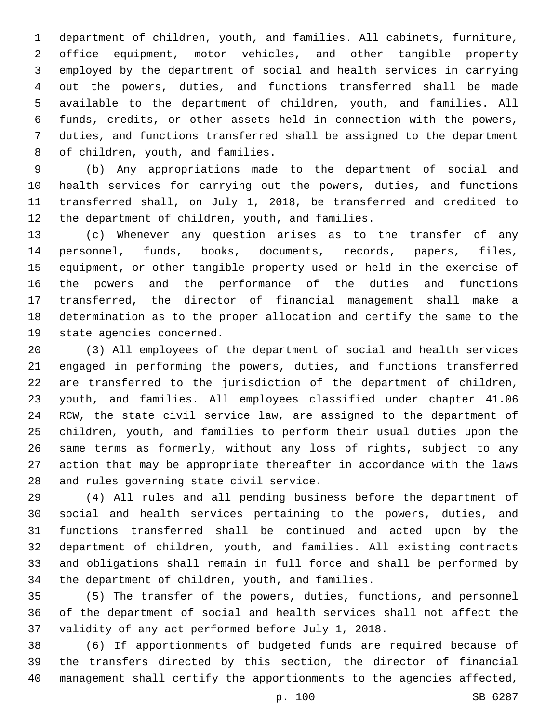department of children, youth, and families. All cabinets, furniture, office equipment, motor vehicles, and other tangible property employed by the department of social and health services in carrying out the powers, duties, and functions transferred shall be made available to the department of children, youth, and families. All funds, credits, or other assets held in connection with the powers, duties, and functions transferred shall be assigned to the department 8 of children, youth, and families.

 (b) Any appropriations made to the department of social and health services for carrying out the powers, duties, and functions transferred shall, on July 1, 2018, be transferred and credited to 12 the department of children, youth, and families.

 (c) Whenever any question arises as to the transfer of any personnel, funds, books, documents, records, papers, files, equipment, or other tangible property used or held in the exercise of the powers and the performance of the duties and functions transferred, the director of financial management shall make a determination as to the proper allocation and certify the same to the 19 state agencies concerned.

 (3) All employees of the department of social and health services engaged in performing the powers, duties, and functions transferred are transferred to the jurisdiction of the department of children, youth, and families. All employees classified under chapter 41.06 RCW, the state civil service law, are assigned to the department of children, youth, and families to perform their usual duties upon the same terms as formerly, without any loss of rights, subject to any action that may be appropriate thereafter in accordance with the laws 28 and rules governing state civil service.

 (4) All rules and all pending business before the department of social and health services pertaining to the powers, duties, and functions transferred shall be continued and acted upon by the department of children, youth, and families. All existing contracts and obligations shall remain in full force and shall be performed by 34 the department of children, youth, and families.

 (5) The transfer of the powers, duties, functions, and personnel of the department of social and health services shall not affect the validity of any act performed before July 1, 2018.

 (6) If apportionments of budgeted funds are required because of the transfers directed by this section, the director of financial management shall certify the apportionments to the agencies affected,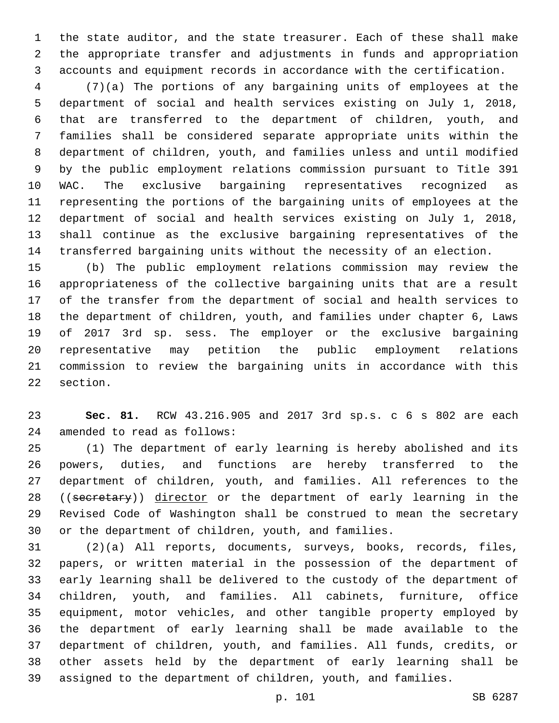the state auditor, and the state treasurer. Each of these shall make the appropriate transfer and adjustments in funds and appropriation accounts and equipment records in accordance with the certification.

 (7)(a) The portions of any bargaining units of employees at the department of social and health services existing on July 1, 2018, that are transferred to the department of children, youth, and families shall be considered separate appropriate units within the department of children, youth, and families unless and until modified by the public employment relations commission pursuant to Title 391 WAC. The exclusive bargaining representatives recognized as representing the portions of the bargaining units of employees at the department of social and health services existing on July 1, 2018, shall continue as the exclusive bargaining representatives of the transferred bargaining units without the necessity of an election.

 (b) The public employment relations commission may review the appropriateness of the collective bargaining units that are a result of the transfer from the department of social and health services to the department of children, youth, and families under chapter 6, Laws of 2017 3rd sp. sess. The employer or the exclusive bargaining representative may petition the public employment relations commission to review the bargaining units in accordance with this 22 section.

 **Sec. 81.** RCW 43.216.905 and 2017 3rd sp.s. c 6 s 802 are each 24 amended to read as follows:

 (1) The department of early learning is hereby abolished and its powers, duties, and functions are hereby transferred to the department of children, youth, and families. All references to the 28 ((secretary)) director or the department of early learning in the Revised Code of Washington shall be construed to mean the secretary or the department of children, youth, and families.

 (2)(a) All reports, documents, surveys, books, records, files, papers, or written material in the possession of the department of early learning shall be delivered to the custody of the department of children, youth, and families. All cabinets, furniture, office equipment, motor vehicles, and other tangible property employed by the department of early learning shall be made available to the department of children, youth, and families. All funds, credits, or other assets held by the department of early learning shall be assigned to the department of children, youth, and families.

p. 101 SB 6287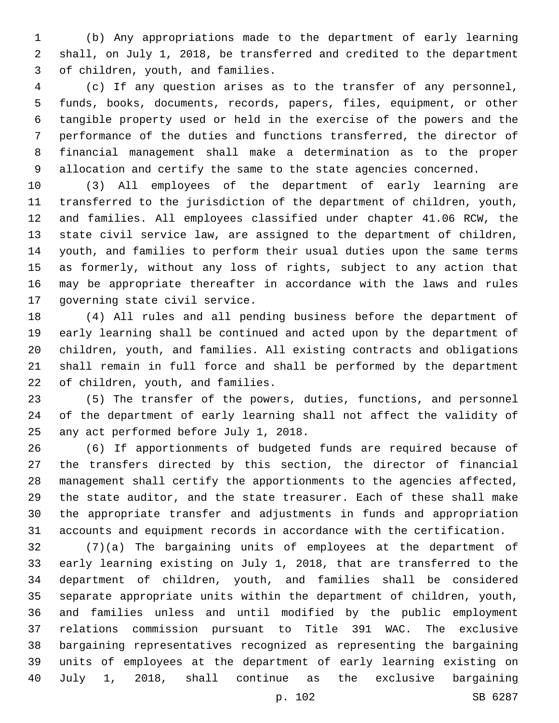(b) Any appropriations made to the department of early learning shall, on July 1, 2018, be transferred and credited to the department 3 of children, youth, and families.

 (c) If any question arises as to the transfer of any personnel, funds, books, documents, records, papers, files, equipment, or other tangible property used or held in the exercise of the powers and the performance of the duties and functions transferred, the director of financial management shall make a determination as to the proper allocation and certify the same to the state agencies concerned.

 (3) All employees of the department of early learning are transferred to the jurisdiction of the department of children, youth, and families. All employees classified under chapter 41.06 RCW, the state civil service law, are assigned to the department of children, youth, and families to perform their usual duties upon the same terms as formerly, without any loss of rights, subject to any action that may be appropriate thereafter in accordance with the laws and rules 17 governing state civil service.

 (4) All rules and all pending business before the department of early learning shall be continued and acted upon by the department of children, youth, and families. All existing contracts and obligations shall remain in full force and shall be performed by the department 22 of children, youth, and families.

 (5) The transfer of the powers, duties, functions, and personnel of the department of early learning shall not affect the validity of 25 any act performed before July 1, 2018.

 (6) If apportionments of budgeted funds are required because of the transfers directed by this section, the director of financial management shall certify the apportionments to the agencies affected, the state auditor, and the state treasurer. Each of these shall make the appropriate transfer and adjustments in funds and appropriation accounts and equipment records in accordance with the certification.

 (7)(a) The bargaining units of employees at the department of early learning existing on July 1, 2018, that are transferred to the department of children, youth, and families shall be considered separate appropriate units within the department of children, youth, and families unless and until modified by the public employment relations commission pursuant to Title 391 WAC. The exclusive bargaining representatives recognized as representing the bargaining units of employees at the department of early learning existing on July 1, 2018, shall continue as the exclusive bargaining